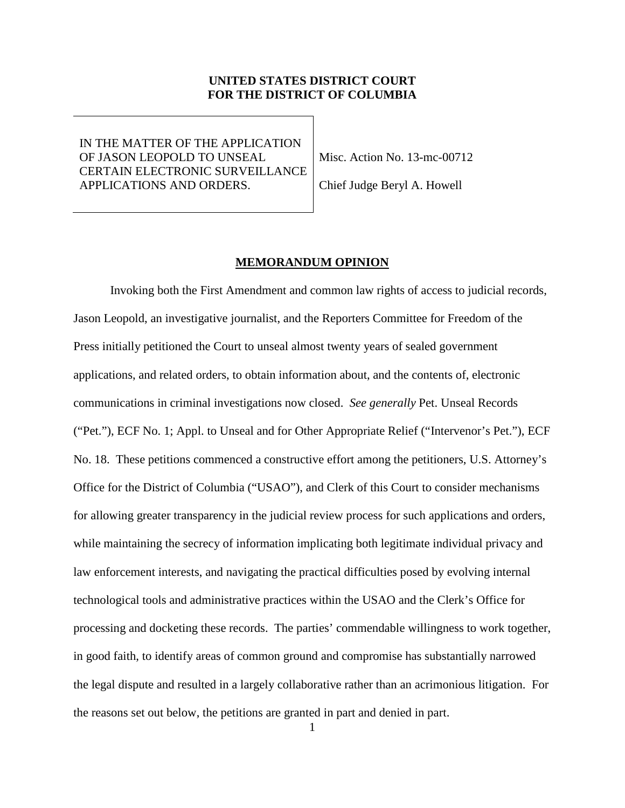# **UNITED STATES DISTRICT COURT FOR THE DISTRICT OF COLUMBIA**

# IN THE MATTER OF THE APPLICATION OF JASON LEOPOLD TO UNSEAL CERTAIN ELECTRONIC SURVEILLANCE APPLICATIONS AND ORDERS.

Misc. Action No. 13-mc-00712 Chief Judge Beryl A. Howell

#### **MEMORANDUM OPINION**

Invoking both the First Amendment and common law rights of access to judicial records, Jason Leopold, an investigative journalist, and the Reporters Committee for Freedom of the Press initially petitioned the Court to unseal almost twenty years of sealed government applications, and related orders, to obtain information about, and the contents of, electronic communications in criminal investigations now closed. *See generally* Pet. Unseal Records ("Pet."), ECF No. 1; Appl. to Unseal and for Other Appropriate Relief ("Intervenor's Pet."), ECF No. 18. These petitions commenced a constructive effort among the petitioners, U.S. Attorney's Office for the District of Columbia ("USAO"), and Clerk of this Court to consider mechanisms for allowing greater transparency in the judicial review process for such applications and orders, while maintaining the secrecy of information implicating both legitimate individual privacy and law enforcement interests, and navigating the practical difficulties posed by evolving internal technological tools and administrative practices within the USAO and the Clerk's Office for processing and docketing these records. The parties' commendable willingness to work together, in good faith, to identify areas of common ground and compromise has substantially narrowed the legal dispute and resulted in a largely collaborative rather than an acrimonious litigation. For the reasons set out below, the petitions are granted in part and denied in part.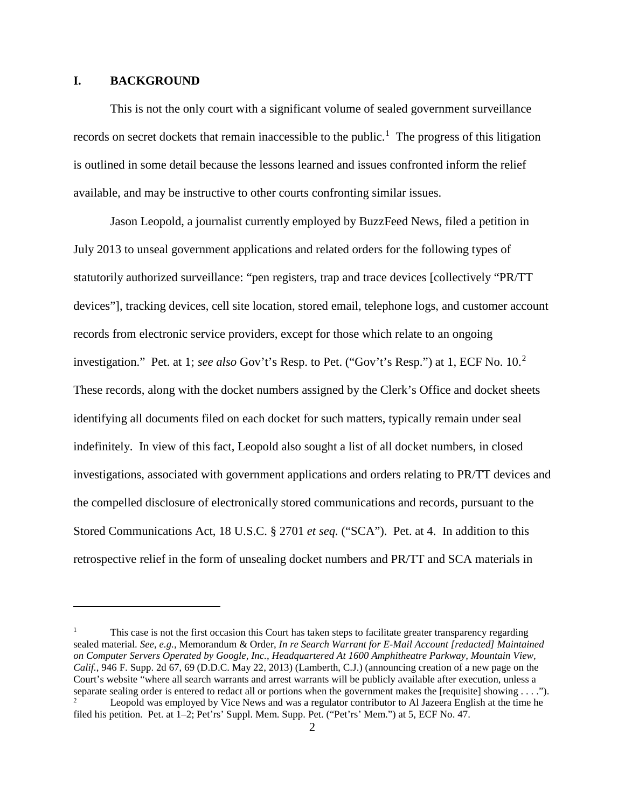## **I. BACKGROUND**

 $\overline{a}$ 

This is not the only court with a significant volume of sealed government surveillance records on secret dockets that remain inaccessible to the public.<sup>[1](#page-1-0)</sup> The progress of this litigation is outlined in some detail because the lessons learned and issues confronted inform the relief available, and may be instructive to other courts confronting similar issues.

Jason Leopold, a journalist currently employed by BuzzFeed News, filed a petition in July 2013 to unseal government applications and related orders for the following types of statutorily authorized surveillance: "pen registers, trap and trace devices [collectively "PR/TT devices"], tracking devices, cell site location, stored email, telephone logs, and customer account records from electronic service providers, except for those which relate to an ongoing investigation." Pet. at 1; *see also* Gov't's Resp. to Pet. ("Gov't's Resp.") at 1, ECF No. 10. [2](#page-1-1) These records, along with the docket numbers assigned by the Clerk's Office and docket sheets identifying all documents filed on each docket for such matters, typically remain under seal indefinitely. In view of this fact, Leopold also sought a list of all docket numbers, in closed investigations, associated with government applications and orders relating to PR/TT devices and the compelled disclosure of electronically stored communications and records, pursuant to the Stored Communications Act, 18 U.S.C. § 2701 *et seq.* ("SCA"). Pet. at 4. In addition to this retrospective relief in the form of unsealing docket numbers and PR/TT and SCA materials in

<span id="page-1-1"></span><span id="page-1-0"></span><sup>1</sup> This case is not the first occasion this Court has taken steps to facilitate greater transparency regarding sealed material. *See, e.g.,* Memorandum & Order, *In re Search Warrant for E-Mail Account [redacted] Maintained on Computer Servers Operated by Google, Inc., Headquartered At 1600 Amphitheatre Parkway, Mountain View, Calif.*, 946 F. Supp. 2d 67, 69 (D.D.C. May 22, 2013) (Lamberth, C.J.) (announcing creation of a new page on the Court's website "where all search warrants and arrest warrants will be publicly available after execution, unless a separate sealing order is entered to redact all or portions when the government makes the [requisite] showing . . . ."). <sup>2</sup> Leopold was employed by Vice News and was a regulator contributor to Al Jazeera English at the time he filed his petition. Pet. at 1–2; Pet'rs' Suppl. Mem. Supp. Pet. ("Pet'rs' Mem.") at 5, ECF No. 47.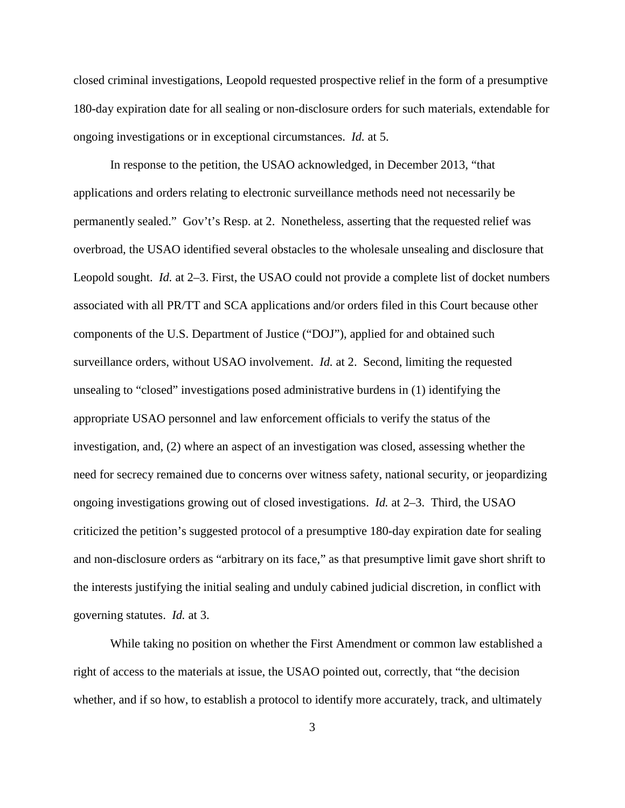closed criminal investigations, Leopold requested prospective relief in the form of a presumptive 180-day expiration date for all sealing or non-disclosure orders for such materials, extendable for ongoing investigations or in exceptional circumstances. *Id.* at 5.

In response to the petition, the USAO acknowledged, in December 2013, "that applications and orders relating to electronic surveillance methods need not necessarily be permanently sealed." Gov't's Resp. at 2. Nonetheless, asserting that the requested relief was overbroad, the USAO identified several obstacles to the wholesale unsealing and disclosure that Leopold sought. *Id.* at 2–3. First, the USAO could not provide a complete list of docket numbers associated with all PR/TT and SCA applications and/or orders filed in this Court because other components of the U.S. Department of Justice ("DOJ"), applied for and obtained such surveillance orders, without USAO involvement. *Id.* at 2. Second, limiting the requested unsealing to "closed" investigations posed administrative burdens in (1) identifying the appropriate USAO personnel and law enforcement officials to verify the status of the investigation, and, (2) where an aspect of an investigation was closed, assessing whether the need for secrecy remained due to concerns over witness safety, national security, or jeopardizing ongoing investigations growing out of closed investigations. *Id.* at 2–3. Third, the USAO criticized the petition's suggested protocol of a presumptive 180-day expiration date for sealing and non-disclosure orders as "arbitrary on its face," as that presumptive limit gave short shrift to the interests justifying the initial sealing and unduly cabined judicial discretion, in conflict with governing statutes. *Id.* at 3.

While taking no position on whether the First Amendment or common law established a right of access to the materials at issue, the USAO pointed out, correctly, that "the decision whether, and if so how, to establish a protocol to identify more accurately, track, and ultimately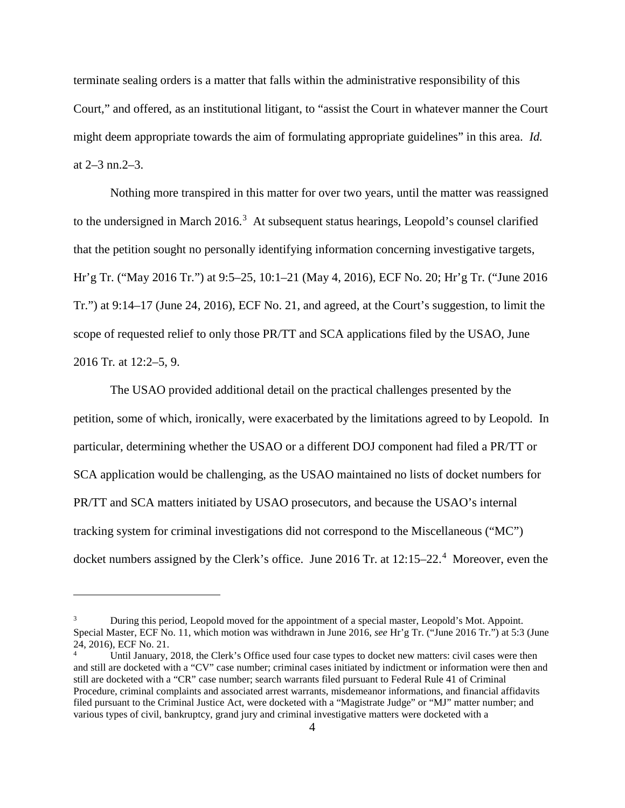terminate sealing orders is a matter that falls within the administrative responsibility of this Court," and offered, as an institutional litigant, to "assist the Court in whatever manner the Court might deem appropriate towards the aim of formulating appropriate guidelines" in this area. *Id.* at 2–3 nn.2–3.

Nothing more transpired in this matter for over two years, until the matter was reassigned to the undersigned in March  $2016<sup>3</sup>$  $2016<sup>3</sup>$  $2016<sup>3</sup>$  At subsequent status hearings, Leopold's counsel clarified that the petition sought no personally identifying information concerning investigative targets, Hr'g Tr. ("May 2016 Tr.") at 9:5–25, 10:1–21 (May 4, 2016), ECF No. 20; Hr'g Tr. ("June 2016 Tr.") at 9:14–17 (June 24, 2016), ECF No. 21, and agreed, at the Court's suggestion, to limit the scope of requested relief to only those PR/TT and SCA applications filed by the USAO, June 2016 Tr*.* at 12:2–5, 9.

The USAO provided additional detail on the practical challenges presented by the petition, some of which, ironically, were exacerbated by the limitations agreed to by Leopold. In particular, determining whether the USAO or a different DOJ component had filed a PR/TT or SCA application would be challenging, as the USAO maintained no lists of docket numbers for PR/TT and SCA matters initiated by USAO prosecutors, and because the USAO's internal tracking system for criminal investigations did not correspond to the Miscellaneous ("MC") docket numbers assigned by the Clerk's office. June 2016 Tr. at 12:15–22.<sup>[4](#page-3-1)</sup> Moreover, even the

<span id="page-3-0"></span><sup>3</sup> During this period, Leopold moved for the appointment of a special master, Leopold's Mot. Appoint. Special Master, ECF No. 11, which motion was withdrawn in June 2016, *see* Hr'g Tr. ("June 2016 Tr.") at 5:3 (June 24, 2016), ECF No. 21.

<span id="page-3-1"></span>Until January, 2018, the Clerk's Office used four case types to docket new matters: civil cases were then and still are docketed with a "CV" case number; criminal cases initiated by indictment or information were then and still are docketed with a "CR" case number; search warrants filed pursuant to Federal Rule 41 of Criminal Procedure, criminal complaints and associated arrest warrants, misdemeanor informations, and financial affidavits filed pursuant to the Criminal Justice Act, were docketed with a "Magistrate Judge" or "MJ" matter number; and various types of civil, bankruptcy, grand jury and criminal investigative matters were docketed with a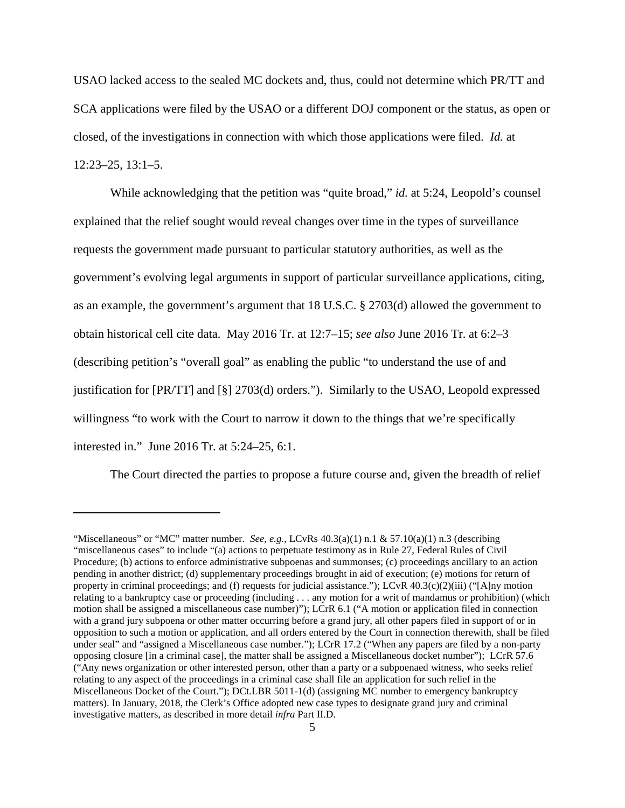USAO lacked access to the sealed MC dockets and, thus, could not determine which PR/TT and SCA applications were filed by the USAO or a different DOJ component or the status, as open or closed, of the investigations in connection with which those applications were filed. *Id.* at 12:23–25, 13:1–5.

While acknowledging that the petition was "quite broad," *id.* at 5:24, Leopold's counsel explained that the relief sought would reveal changes over time in the types of surveillance requests the government made pursuant to particular statutory authorities, as well as the government's evolving legal arguments in support of particular surveillance applications, citing, as an example, the government's argument that 18 U.S.C. § 2703(d) allowed the government to obtain historical cell cite data. May 2016 Tr. at 12:7–15; *see also* June 2016 Tr. at 6:2–3 (describing petition's "overall goal" as enabling the public "to understand the use of and justification for [PR/TT] and [§] 2703(d) orders."). Similarly to the USAO, Leopold expressed willingness "to work with the Court to narrow it down to the things that we're specifically interested in." June 2016 Tr. at 5:24–25, 6:1.

The Court directed the parties to propose a future course and, given the breadth of relief

<sup>&</sup>quot;Miscellaneous" or "MC" matter number. *See, e.g.*, LCvRs 40.3(a)(1) n.1 & 57.10(a)(1) n.3 (describing "miscellaneous cases" to include "(a) actions to perpetuate testimony as in Rule 27, Federal Rules of Civil Procedure; (b) actions to enforce administrative subpoenas and summonses; (c) proceedings ancillary to an action pending in another district; (d) supplementary proceedings brought in aid of execution; (e) motions for return of property in criminal proceedings; and (f) requests for judicial assistance."); LCvR  $40.3(c)(2)(iii)$  ("[A]ny motion relating to a bankruptcy case or proceeding (including . . . any motion for a writ of mandamus or prohibition) (which motion shall be assigned a miscellaneous case number)"); LCrR 6.1 ("A motion or application filed in connection with a grand jury subpoena or other matter occurring before a grand jury, all other papers filed in support of or in opposition to such a motion or application, and all orders entered by the Court in connection therewith, shall be filed under seal" and "assigned a Miscellaneous case number."); LCrR 17.2 ("When any papers are filed by a non-party opposing closure [in a criminal case], the matter shall be assigned a Miscellaneous docket number"); LCrR 57.6 ("Any news organization or other interested person, other than a party or a subpoenaed witness, who seeks relief relating to any aspect of the proceedings in a criminal case shall file an application for such relief in the Miscellaneous Docket of the Court."); DCt.LBR 5011-1(d) (assigning MC number to emergency bankruptcy matters). In January, 2018, the Clerk's Office adopted new case types to designate grand jury and criminal investigative matters, as described in more detail *infra* Part II.D.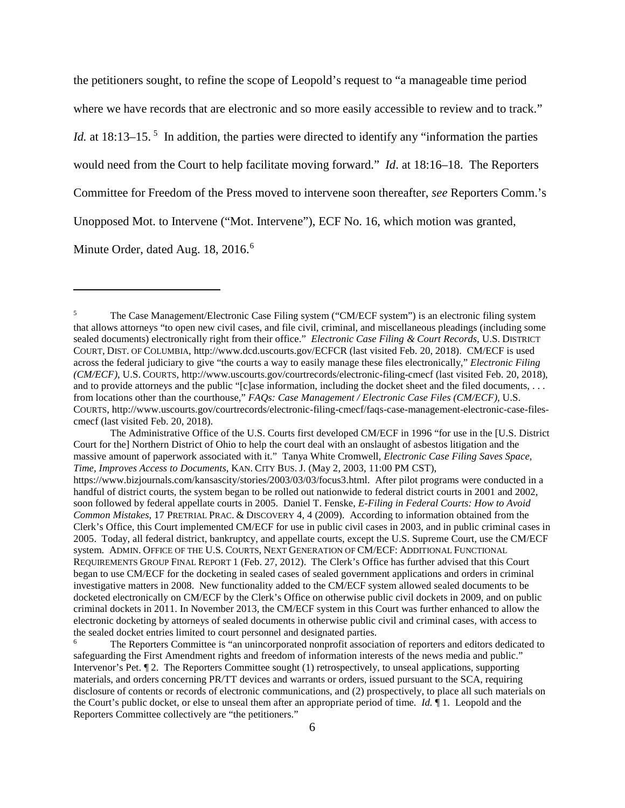the petitioners sought, to refine the scope of Leopold's request to "a manageable time period where we have records that are electronic and so more easily accessible to review and to track." *Id.* at 18:13–1[5](#page-5-0).<sup>5</sup> In addition, the parties were directed to identify any "information the parties" would need from the Court to help facilitate moving forward." *Id*. at 18:16–18. The Reporters Committee for Freedom of the Press moved to intervene soon thereafter, *see* Reporters Comm.'s Unopposed Mot. to Intervene ("Mot. Intervene"), ECF No. 16, which motion was granted, Minute Order, dated Aug. 18, 201[6](#page-5-1).<sup>6</sup>

<span id="page-5-0"></span><sup>&</sup>lt;sup>5</sup> The Case Management/Electronic Case Filing system ("CM/ECF system") is an electronic filing system that allows attorneys "to open new civil cases, and file civil, criminal, and miscellaneous pleadings (including some sealed documents) electronically right from their office." *Electronic Case Filing & Court Records*, U.S. DISTRICT COURT, DIST. OF COLUMBIA, http://www.dcd.uscourts.gov/ECFCR (last visited Feb. 20, 2018). CM/ECF is used across the federal judiciary to give "the courts a way to easily manage these files electronically," *Electronic Filing (CM/ECF)*, U.S. COURTS, http://www.uscourts.gov/courtrecords/electronic-filing-cmecf (last visited Feb. 20, 2018), and to provide attorneys and the public "[c]ase information, including the docket sheet and the filed documents, ... from locations other than the courthouse," *FAQs: Case Management / Electronic Case Files (CM/ECF)*, U.S. COURTS, http://www.uscourts.gov/courtrecords/electronic-filing-cmecf/faqs-case-management-electronic-case-filescmecf (last visited Feb. 20, 2018).

The Administrative Office of the U.S. Courts first developed CM/ECF in 1996 "for use in the [U.S. District Court for the] Northern District of Ohio to help the court deal with an onslaught of asbestos litigation and the massive amount of paperwork associated with it." Tanya White Cromwell, *Electronic Case Filing Saves Space, Time, Improves Access to Documents*, KAN. CITY BUS. J. (May 2, 2003, 11:00 PM CST), https://www.bizjournals.com/kansascity/stories/2003/03/03/focus3.html. After pilot programs were conducted in a handful of district courts, the system began to be rolled out nationwide to federal district courts in 2001 and 2002, soon followed by federal appellate courts in 2005. Daniel T. Fenske, *E-Filing in Federal Courts: How to Avoid Common Mistakes*, 17 PRETRIAL PRAC. & DISCOVERY 4, 4 (2009). According to information obtained from the Clerk's Office, this Court implemented CM/ECF for use in public civil cases in 2003, and in public criminal cases in 2005. Today, all federal district, bankruptcy, and appellate courts, except the U.S. Supreme Court, use the CM/ECF system. ADMIN. OFFICE OF THE U.S. COURTS, NEXT GENERATION OF CM/ECF: ADDITIONAL FUNCTIONAL REQUIREMENTS GROUP FINAL REPORT 1 (Feb. 27, 2012). The Clerk's Office has further advised that this Court began to use CM/ECF for the docketing in sealed cases of sealed government applications and orders in criminal investigative matters in 2008. New functionality added to the CM/ECF system allowed sealed documents to be docketed electronically on CM/ECF by the Clerk's Office on otherwise public civil dockets in 2009, and on public criminal dockets in 2011. In November 2013, the CM/ECF system in this Court was further enhanced to allow the electronic docketing by attorneys of sealed documents in otherwise public civil and criminal cases, with access to the sealed docket entries limited to court personnel and designated parties.

<span id="page-5-1"></span><sup>&</sup>lt;sup>6</sup> The Reporters Committee is "an unincorporated nonprofit association of reporters and editors dedicated to safeguarding the First Amendment rights and freedom of information interests of the news media and public." Intervenor's Pet. ¶ 2. The Reporters Committee sought (1) retrospectively, to unseal applications, supporting materials, and orders concerning PR/TT devices and warrants or orders, issued pursuant to the SCA, requiring disclosure of contents or records of electronic communications, and (2) prospectively, to place all such materials on the Court's public docket, or else to unseal them after an appropriate period of time. *Id.* ¶ 1. Leopold and the Reporters Committee collectively are "the petitioners."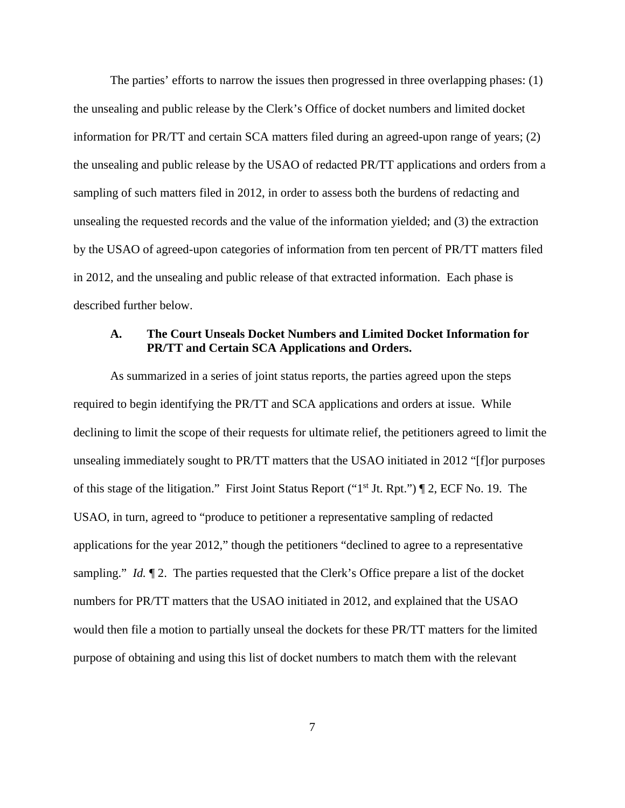The parties' efforts to narrow the issues then progressed in three overlapping phases: (1) the unsealing and public release by the Clerk's Office of docket numbers and limited docket information for PR/TT and certain SCA matters filed during an agreed-upon range of years; (2) the unsealing and public release by the USAO of redacted PR/TT applications and orders from a sampling of such matters filed in 2012, in order to assess both the burdens of redacting and unsealing the requested records and the value of the information yielded; and (3) the extraction by the USAO of agreed-upon categories of information from ten percent of PR/TT matters filed in 2012, and the unsealing and public release of that extracted information. Each phase is described further below.

## **A. The Court Unseals Docket Numbers and Limited Docket Information for PR/TT and Certain SCA Applications and Orders.**

As summarized in a series of joint status reports, the parties agreed upon the steps required to begin identifying the PR/TT and SCA applications and orders at issue. While declining to limit the scope of their requests for ultimate relief, the petitioners agreed to limit the unsealing immediately sought to PR/TT matters that the USAO initiated in 2012 "[f]or purposes of this stage of the litigation." First Joint Status Report ("1st Jt. Rpt.") ¶ 2, ECF No. 19. The USAO, in turn, agreed to "produce to petitioner a representative sampling of redacted applications for the year 2012," though the petitioners "declined to agree to a representative sampling." *Id.*  $\llbracket 2$ . The parties requested that the Clerk's Office prepare a list of the docket numbers for PR/TT matters that the USAO initiated in 2012, and explained that the USAO would then file a motion to partially unseal the dockets for these PR/TT matters for the limited purpose of obtaining and using this list of docket numbers to match them with the relevant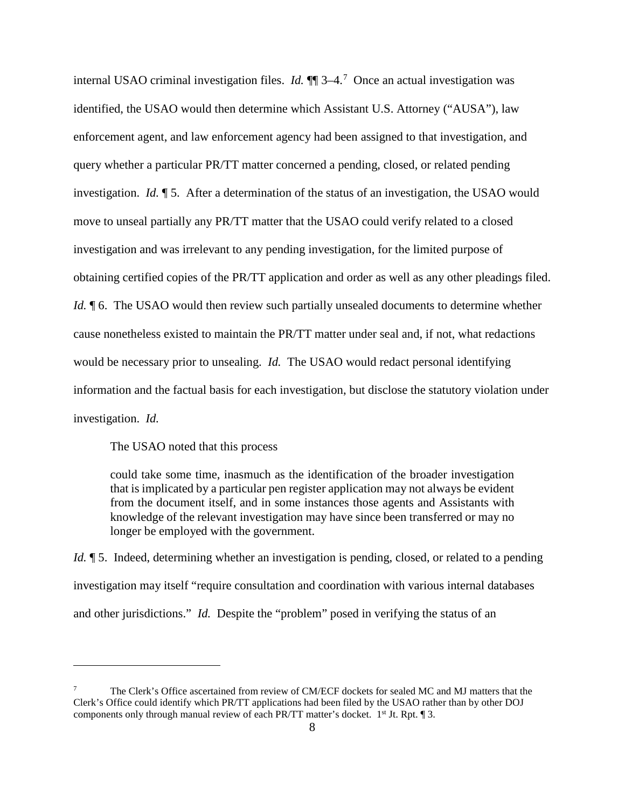internal USAO criminal investigation files. *Id.* ¶¶ 3–4.[7](#page-7-0) Once an actual investigation was identified, the USAO would then determine which Assistant U.S. Attorney ("AUSA"), law enforcement agent, and law enforcement agency had been assigned to that investigation, and query whether a particular PR/TT matter concerned a pending, closed, or related pending investigation. *Id.* ¶ 5. After a determination of the status of an investigation, the USAO would move to unseal partially any PR/TT matter that the USAO could verify related to a closed investigation and was irrelevant to any pending investigation, for the limited purpose of obtaining certified copies of the PR/TT application and order as well as any other pleadings filed. *Id.*  $\phi$  6. The USAO would then review such partially unsealed documents to determine whether cause nonetheless existed to maintain the PR/TT matter under seal and, if not, what redactions would be necessary prior to unsealing. *Id.* The USAO would redact personal identifying information and the factual basis for each investigation, but disclose the statutory violation under investigation. *Id.*

The USAO noted that this process

 $\overline{a}$ 

could take some time, inasmuch as the identification of the broader investigation that is implicated by a particular pen register application may not always be evident from the document itself, and in some instances those agents and Assistants with knowledge of the relevant investigation may have since been transferred or may no longer be employed with the government.

*Id.*  $\parallel$  5. Indeed, determining whether an investigation is pending, closed, or related to a pending investigation may itself "require consultation and coordination with various internal databases and other jurisdictions." *Id.* Despite the "problem" posed in verifying the status of an

<span id="page-7-0"></span><sup>7</sup> The Clerk's Office ascertained from review of CM/ECF dockets for sealed MC and MJ matters that the Clerk's Office could identify which PR/TT applications had been filed by the USAO rather than by other DOJ components only through manual review of each PR/TT matter's docket.  $1<sup>st</sup>$  Jt. Rpt.  $\P$  3.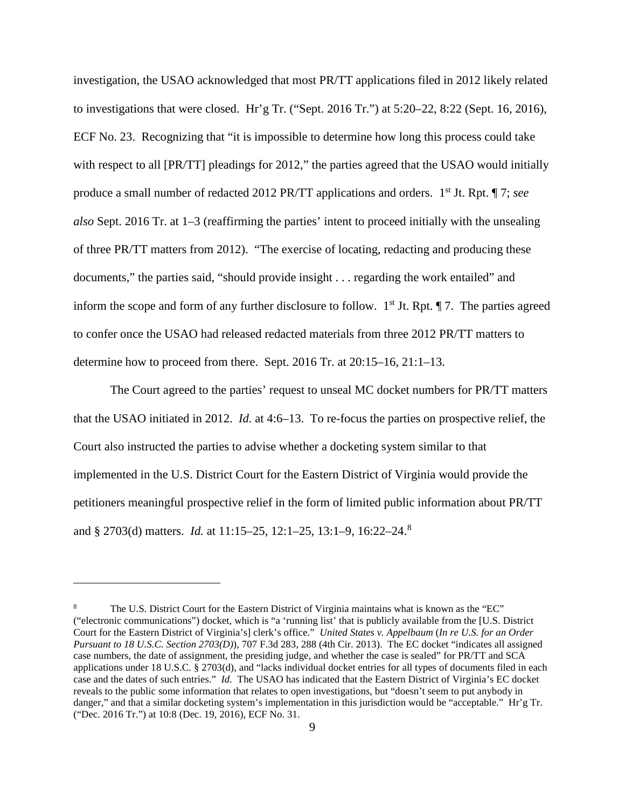investigation, the USAO acknowledged that most PR/TT applications filed in 2012 likely related to investigations that were closed. Hr'g Tr. ("Sept. 2016 Tr.") at 5:20–22, 8:22 (Sept. 16, 2016), ECF No. 23. Recognizing that "it is impossible to determine how long this process could take with respect to all [PR/TT] pleadings for 2012," the parties agreed that the USAO would initially produce a small number of redacted 2012 PR/TT applications and orders. 1st Jt. Rpt. ¶ 7; *see also* Sept. 2016 Tr. at 1–3 (reaffirming the parties' intent to proceed initially with the unsealing of three PR/TT matters from 2012). "The exercise of locating, redacting and producing these documents," the parties said, "should provide insight . . . regarding the work entailed" and inform the scope and form of any further disclosure to follow.  $1<sup>st</sup>$  Jt. Rpt.  $\P$  7. The parties agreed to confer once the USAO had released redacted materials from three 2012 PR/TT matters to determine how to proceed from there. Sept. 2016 Tr. at 20:15–16, 21:1–13.

The Court agreed to the parties' request to unseal MC docket numbers for PR/TT matters that the USAO initiated in 2012. *Id.* at 4:6–13. To re-focus the parties on prospective relief, the Court also instructed the parties to advise whether a docketing system similar to that implemented in the U.S. District Court for the Eastern District of Virginia would provide the petitioners meaningful prospective relief in the form of limited public information about PR/TT and § 2703(d) matters. *Id.* at 11:15–25, 12:1–25, 13:1–9, 16:22–24.[8](#page-8-0)

<span id="page-8-0"></span><sup>8</sup> The U.S. District Court for the Eastern District of Virginia maintains what is known as the "EC" ("electronic communications") docket, which is "a 'running list' that is publicly available from the [U.S. District Court for the Eastern District of Virginia's] clerk's office." *United States v. Appelbaum* (*In re U.S. for an Order Pursuant to 18 U.S.C. Section 2703(D)*), 707 F.3d 283, 288 (4th Cir. 2013). The EC docket "indicates all assigned case numbers, the date of assignment, the presiding judge, and whether the case is sealed" for PR/TT and SCA applications under 18 U.S.C. § 2703(d), and "lacks individual docket entries for all types of documents filed in each case and the dates of such entries." *Id.* The USAO has indicated that the Eastern District of Virginia's EC docket reveals to the public some information that relates to open investigations, but "doesn't seem to put anybody in danger," and that a similar docketing system's implementation in this jurisdiction would be "acceptable." Hr'g Tr. ("Dec. 2016 Tr.") at 10:8 (Dec. 19, 2016), ECF No. 31.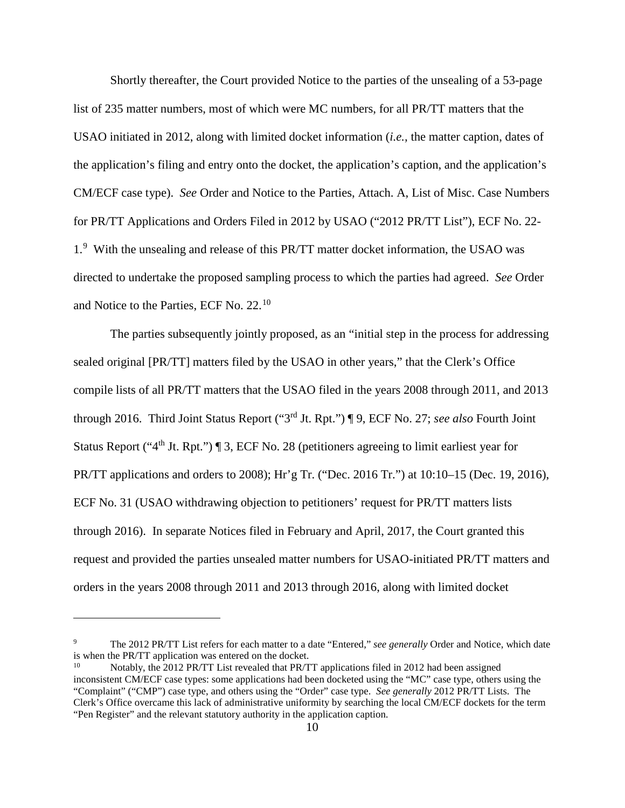Shortly thereafter, the Court provided Notice to the parties of the unsealing of a 53-page list of 235 matter numbers, most of which were MC numbers, for all PR/TT matters that the USAO initiated in 2012, along with limited docket information (*i.e.,* the matter caption, dates of the application's filing and entry onto the docket, the application's caption, and the application's CM/ECF case type). *See* Order and Notice to the Parties, Attach. A, List of Misc. Case Numbers for PR/TT Applications and Orders Filed in 2012 by USAO ("2012 PR/TT List"), ECF No. 22- 1.[9](#page-9-0) With the unsealing and release of this PR/TT matter docket information, the USAO was directed to undertake the proposed sampling process to which the parties had agreed. *See* Order and Notice to the Parties, ECF No. 22.[10](#page-9-1)

The parties subsequently jointly proposed, as an "initial step in the process for addressing sealed original [PR/TT] matters filed by the USAO in other years," that the Clerk's Office compile lists of all PR/TT matters that the USAO filed in the years 2008 through 2011, and 2013 through 2016. Third Joint Status Report ("3rd Jt. Rpt.") ¶ 9, ECF No. 27; *see also* Fourth Joint Status Report (" $4<sup>th</sup>$  Jt. Rpt.") ¶ 3, ECF No. 28 (petitioners agreeing to limit earliest year for PR/TT applications and orders to 2008); Hr'g Tr. ("Dec. 2016 Tr.") at 10:10–15 (Dec. 19, 2016), ECF No. 31 (USAO withdrawing objection to petitioners' request for PR/TT matters lists through 2016). In separate Notices filed in February and April, 2017, the Court granted this request and provided the parties unsealed matter numbers for USAO-initiated PR/TT matters and orders in the years 2008 through 2011 and 2013 through 2016, along with limited docket

<span id="page-9-0"></span><sup>9</sup> The 2012 PR/TT List refers for each matter to a date "Entered," *see generally* Order and Notice, which date is when the PR/TT application was entered on the docket.

<span id="page-9-1"></span>Notably, the 2012 PR/TT List revealed that PR/TT applications filed in 2012 had been assigned inconsistent CM/ECF case types: some applications had been docketed using the "MC" case type, others using the "Complaint" ("CMP") case type, and others using the "Order" case type. *See generally* 2012 PR/TT Lists. The Clerk's Office overcame this lack of administrative uniformity by searching the local CM/ECF dockets for the term "Pen Register" and the relevant statutory authority in the application caption.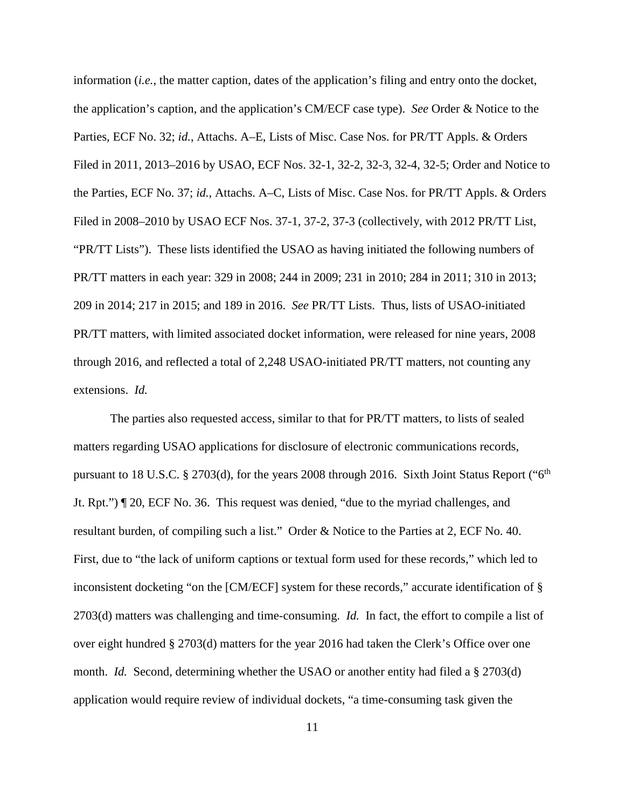information (*i.e.*, the matter caption, dates of the application's filing and entry onto the docket, the application's caption, and the application's CM/ECF case type). *See* Order & Notice to the Parties, ECF No. 32; *id.*, Attachs. A–E, Lists of Misc. Case Nos. for PR/TT Appls. & Orders Filed in 2011, 2013–2016 by USAO, ECF Nos. 32-1, 32-2, 32-3, 32-4, 32-5; Order and Notice to the Parties, ECF No. 37; *id.*, Attachs. A–C, Lists of Misc. Case Nos. for PR/TT Appls. & Orders Filed in 2008–2010 by USAO ECF Nos. 37-1, 37-2, 37-3 (collectively, with 2012 PR/TT List, "PR/TT Lists"). These lists identified the USAO as having initiated the following numbers of PR/TT matters in each year: 329 in 2008; 244 in 2009; 231 in 2010; 284 in 2011; 310 in 2013; 209 in 2014; 217 in 2015; and 189 in 2016. *See* PR/TT Lists. Thus, lists of USAO-initiated PR/TT matters, with limited associated docket information, were released for nine years, 2008 through 2016, and reflected a total of 2,248 USAO-initiated PR/TT matters, not counting any extensions. *Id.*

The parties also requested access, similar to that for PR/TT matters, to lists of sealed matters regarding USAO applications for disclosure of electronic communications records, pursuant to 18 U.S.C. § 2703(d), for the years 2008 through 2016. Sixth Joint Status Report ("6<sup>th</sup> Jt. Rpt.") ¶ 20, ECF No. 36. This request was denied, "due to the myriad challenges, and resultant burden, of compiling such a list." Order & Notice to the Parties at 2, ECF No. 40. First, due to "the lack of uniform captions or textual form used for these records," which led to inconsistent docketing "on the [CM/ECF] system for these records," accurate identification of § 2703(d) matters was challenging and time-consuming. *Id.* In fact, the effort to compile a list of over eight hundred § 2703(d) matters for the year 2016 had taken the Clerk's Office over one month. *Id.* Second, determining whether the USAO or another entity had filed a § 2703(d) application would require review of individual dockets, "a time-consuming task given the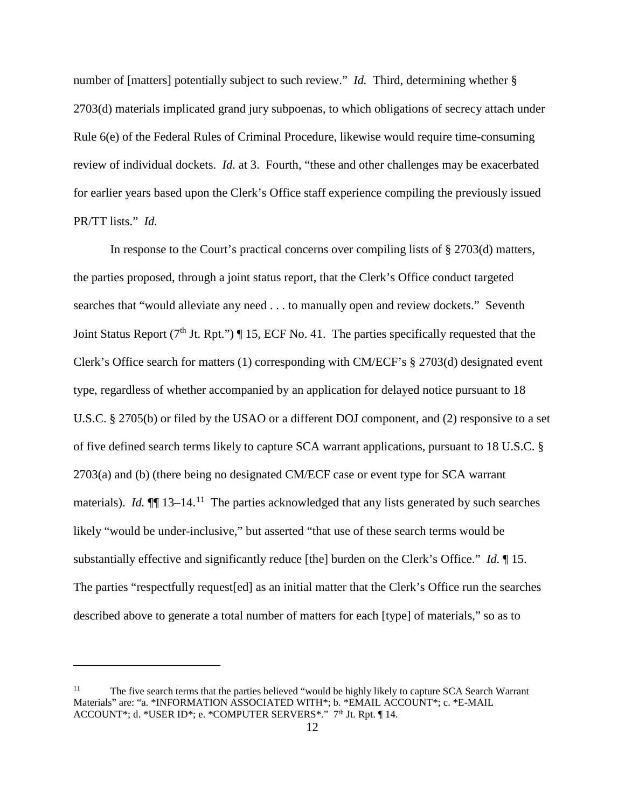number of [matters] potentially subject to such review." *Id.* Third, determining whether § 2703(d) materials implicated grand jury subpoenas, to which obligations of secrecy attach under Rule 6(e) of the Federal Rules of Criminal Procedure, likewise would require time-consuming review of individual dockets. *Id.* at 3. Fourth, "these and other challenges may be exacerbated for earlier years based upon the Clerk's Office staff experience compiling the previously issued PR/TT lists." *Id.*

In response to the Court's practical concerns over compiling lists of § 2703(d) matters, the parties proposed, through a joint status report, that the Clerk's Office conduct targeted searches that "would alleviate any need . . . to manually open and review dockets." Seventh Joint Status Report ( $7<sup>th</sup>$  Jt. Rpt.") | 15, ECF No. 41. The parties specifically requested that the Clerk's Office search for matters (1) corresponding with CM/ECF's § 2703(d) designated event type, regardless of whether accompanied by an application for delayed notice pursuant to 18 U.S.C. § 2705(b) or filed by the USAO or a different DOJ component, and (2) responsive to a set of five defined search terms likely to capture SCA warrant applications, pursuant to 18 U.S.C. § 2703(a) and (b) (there being no designated CM/ECF case or event type for SCA warrant materials). *Id.*  $\P\P$  13–14.<sup>11</sup> The parties acknowledged that any lists generated by such searches likely "would be under-inclusive," but asserted "that use of these search terms would be substantially effective and significantly reduce [the] burden on the Clerk's Office." *Id.* ¶ 15. The parties "respectfully request[ed] as an initial matter that the Clerk's Office run the searches described above to generate a total number of matters for each [type] of materials," so as to

<span id="page-11-0"></span><sup>&</sup>lt;sup>11</sup> The five search terms that the parties believed "would be highly likely to capture SCA Search Warrant Materials" are: "a. \*INFORMATION ASSOCIATED WITH\*; b. \*EMAIL ACCOUNT\*; c. \*E-MAIL ACCOUNT\*; d. \*USER ID\*; e. \*COMPUTER SERVERS\*." 7<sup>th</sup> Jt. Rpt. ¶ 14.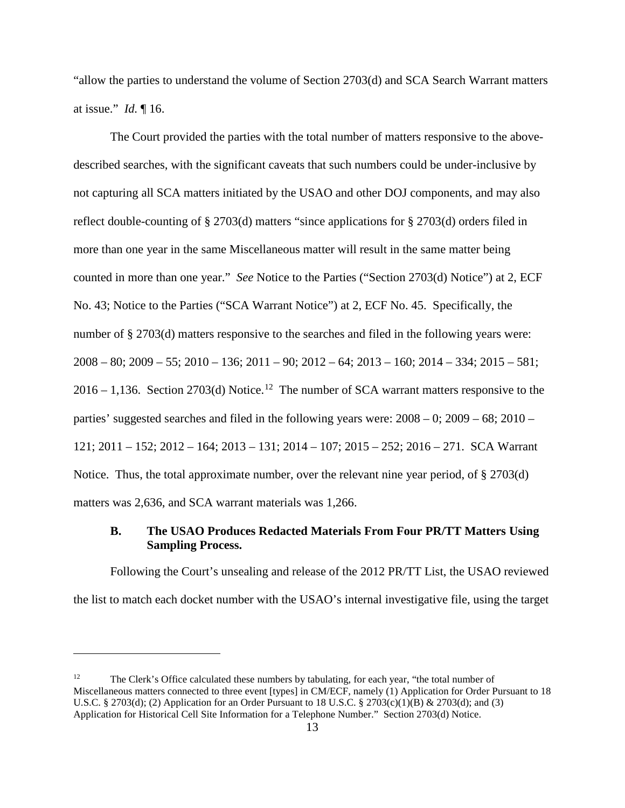"allow the parties to understand the volume of Section 2703(d) and SCA Search Warrant matters at issue." *Id.* ¶ 16.

The Court provided the parties with the total number of matters responsive to the abovedescribed searches, with the significant caveats that such numbers could be under-inclusive by not capturing all SCA matters initiated by the USAO and other DOJ components, and may also reflect double-counting of § 2703(d) matters "since applications for § 2703(d) orders filed in more than one year in the same Miscellaneous matter will result in the same matter being counted in more than one year." *See* Notice to the Parties ("Section 2703(d) Notice") at 2, ECF No. 43; Notice to the Parties ("SCA Warrant Notice") at 2, ECF No. 45. Specifically, the number of § 2703(d) matters responsive to the searches and filed in the following years were: 2008 – 80; 2009 – 55; 2010 – 136; 2011 – 90; 2012 – 64; 2013 – 160; 2014 – 334; 2015 – 581;  $2016 - 1,136$ . Section 2703(d) Notice.<sup>12</sup> The number of SCA warrant matters responsive to the parties' suggested searches and filed in the following years were: 2008 – 0; 2009 – 68; 2010 – 121; 2011 – 152; 2012 – 164; 2013 – 131; 2014 – 107; 2015 – 252; 2016 – 271. SCA Warrant Notice. Thus, the total approximate number, over the relevant nine year period, of § 2703(d) matters was 2,636, and SCA warrant materials was 1,266.

# **B. The USAO Produces Redacted Materials From Four PR/TT Matters Using Sampling Process.**

Following the Court's unsealing and release of the 2012 PR/TT List, the USAO reviewed the list to match each docket number with the USAO's internal investigative file, using the target

<span id="page-12-0"></span><sup>&</sup>lt;sup>12</sup> The Clerk's Office calculated these numbers by tabulating, for each year, "the total number of Miscellaneous matters connected to three event [types] in CM/ECF, namely (1) Application for Order Pursuant to 18 U.S.C. § 2703(d); (2) Application for an Order Pursuant to 18 U.S.C. § 2703(c)(1)(B) & 2703(d); and (3) Application for Historical Cell Site Information for a Telephone Number." Section 2703(d) Notice.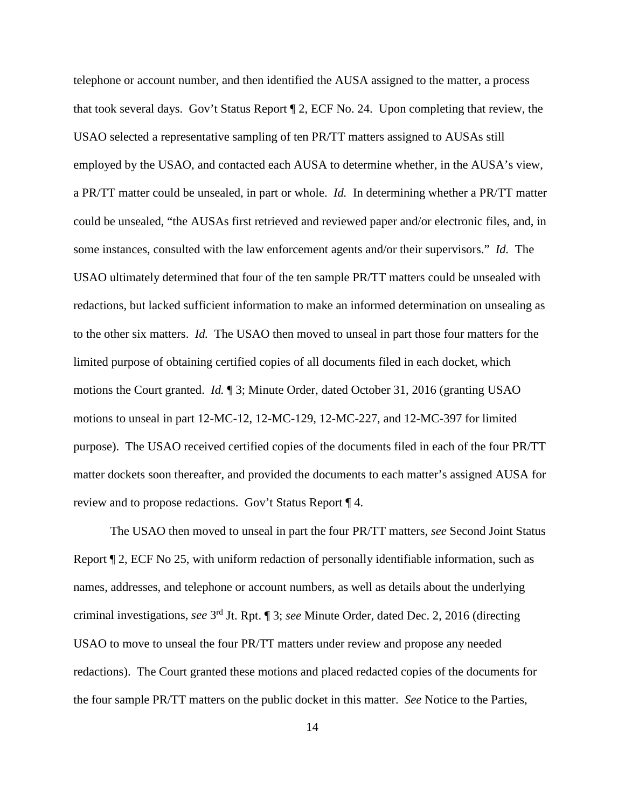telephone or account number, and then identified the AUSA assigned to the matter, a process that took several days. Gov't Status Report ¶ 2, ECF No. 24. Upon completing that review, the USAO selected a representative sampling of ten PR/TT matters assigned to AUSAs still employed by the USAO, and contacted each AUSA to determine whether, in the AUSA's view, a PR/TT matter could be unsealed, in part or whole. *Id.* In determining whether a PR/TT matter could be unsealed, "the AUSAs first retrieved and reviewed paper and/or electronic files, and, in some instances, consulted with the law enforcement agents and/or their supervisors." *Id.* The USAO ultimately determined that four of the ten sample PR/TT matters could be unsealed with redactions, but lacked sufficient information to make an informed determination on unsealing as to the other six matters. *Id.* The USAO then moved to unseal in part those four matters for the limited purpose of obtaining certified copies of all documents filed in each docket, which motions the Court granted. *Id.* ¶ 3; Minute Order, dated October 31, 2016 (granting USAO motions to unseal in part 12-MC-12, 12-MC-129, 12-MC-227, and 12-MC-397 for limited purpose). The USAO received certified copies of the documents filed in each of the four PR/TT matter dockets soon thereafter, and provided the documents to each matter's assigned AUSA for review and to propose redactions. Gov't Status Report ¶ 4.

The USAO then moved to unseal in part the four PR/TT matters, *see* Second Joint Status Report ¶ 2, ECF No 25, with uniform redaction of personally identifiable information, such as names, addresses, and telephone or account numbers, as well as details about the underlying criminal investigations, *see* 3rd Jt. Rpt. ¶ 3; *see* Minute Order, dated Dec. 2, 2016 (directing USAO to move to unseal the four PR/TT matters under review and propose any needed redactions). The Court granted these motions and placed redacted copies of the documents for the four sample PR/TT matters on the public docket in this matter. *See* Notice to the Parties,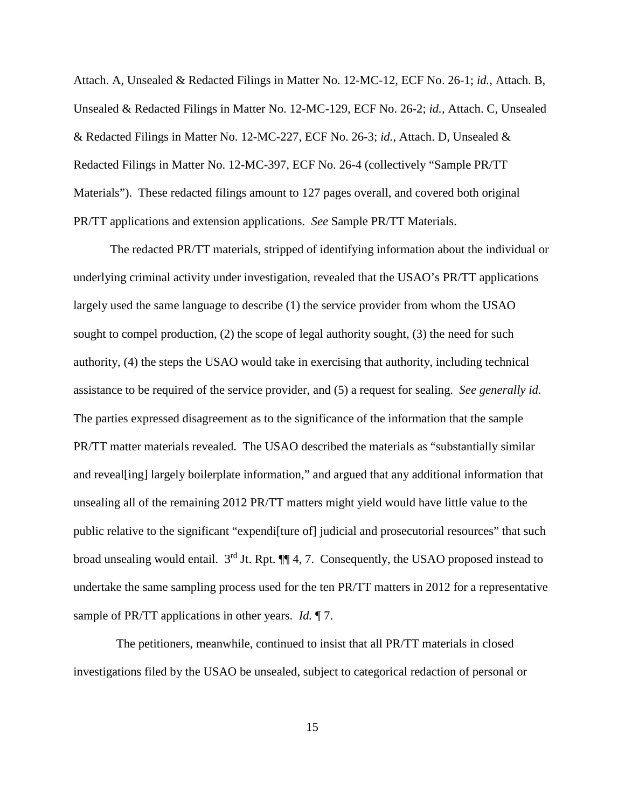Attach. A, Unsealed & Redacted Filings in Matter No. 12-MC-12, ECF No. 26-1; *id.*, Attach. B, Unsealed & Redacted Filings in Matter No. 12-MC-129, ECF No. 26-2; *id.*, Attach. C, Unsealed & Redacted Filings in Matter No. 12-MC-227, ECF No. 26-3; *id.*, Attach. D, Unsealed & Redacted Filings in Matter No. 12-MC-397, ECF No. 26-4 (collectively "Sample PR/TT Materials"). These redacted filings amount to 127 pages overall, and covered both original PR/TT applications and extension applications. *See* Sample PR/TT Materials.

The redacted PR/TT materials, stripped of identifying information about the individual or underlying criminal activity under investigation, revealed that the USAO's PR/TT applications largely used the same language to describe (1) the service provider from whom the USAO sought to compel production, (2) the scope of legal authority sought, (3) the need for such authority, (4) the steps the USAO would take in exercising that authority, including technical assistance to be required of the service provider, and (5) a request for sealing. *See generally id.* The parties expressed disagreement as to the significance of the information that the sample PR/TT matter materials revealed. The USAO described the materials as "substantially similar and reveal[ing] largely boilerplate information," and argued that any additional information that unsealing all of the remaining 2012 PR/TT matters might yield would have little value to the public relative to the significant "expendi[ture of] judicial and prosecutorial resources" that such broad unsealing would entail. 3<sup>rd</sup> Jt. Rpt.  $\P\P$ 4, 7. Consequently, the USAO proposed instead to undertake the same sampling process used for the ten PR/TT matters in 2012 for a representative sample of PR/TT applications in other years. *Id.* ¶ 7.

 The petitioners, meanwhile, continued to insist that all PR/TT materials in closed investigations filed by the USAO be unsealed, subject to categorical redaction of personal or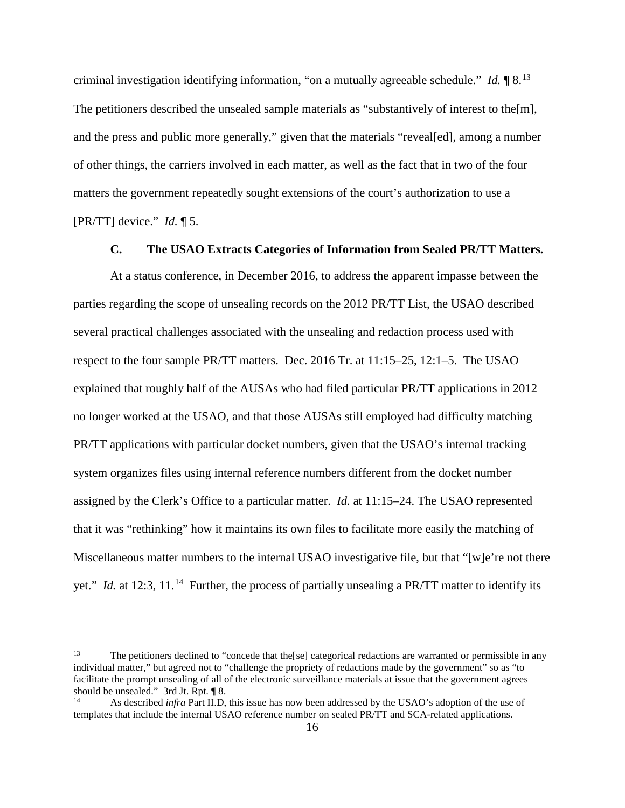criminal investigation identifying information, "on a mutually agreeable schedule." *Id.* ¶ 8.[13](#page-15-0)  The petitioners described the unsealed sample materials as "substantively of interest to the[m], and the press and public more generally," given that the materials "reveal[ed], among a number of other things, the carriers involved in each matter, as well as the fact that in two of the four matters the government repeatedly sought extensions of the court's authorization to use a [PR/TT] device." *Id.* ¶ 5.

## **C. The USAO Extracts Categories of Information from Sealed PR/TT Matters.**

At a status conference, in December 2016, to address the apparent impasse between the parties regarding the scope of unsealing records on the 2012 PR/TT List, the USAO described several practical challenges associated with the unsealing and redaction process used with respect to the four sample PR/TT matters. Dec. 2016 Tr. at 11:15–25, 12:1–5. The USAO explained that roughly half of the AUSAs who had filed particular PR/TT applications in 2012 no longer worked at the USAO, and that those AUSAs still employed had difficulty matching PR/TT applications with particular docket numbers, given that the USAO's internal tracking system organizes files using internal reference numbers different from the docket number assigned by the Clerk's Office to a particular matter. *Id.* at 11:15–24. The USAO represented that it was "rethinking" how it maintains its own files to facilitate more easily the matching of Miscellaneous matter numbers to the internal USAO investigative file, but that "[w]e're not there yet." *Id.* at 12:3, 11.<sup>[14](#page-15-1)</sup> Further, the process of partially unsealing a PR/TT matter to identify its

<span id="page-15-0"></span><sup>&</sup>lt;sup>13</sup> The petitioners declined to "concede that the[se] categorical redactions are warranted or permissible in any individual matter," but agreed not to "challenge the propriety of redactions made by the government" so as "to facilitate the prompt unsealing of all of the electronic surveillance materials at issue that the government agrees should be unsealed." 3rd Jt. Rpt. ¶ 8.

<span id="page-15-1"></span><sup>14</sup> As described *infra* Part II.D, this issue has now been addressed by the USAO's adoption of the use of templates that include the internal USAO reference number on sealed PR/TT and SCA-related applications.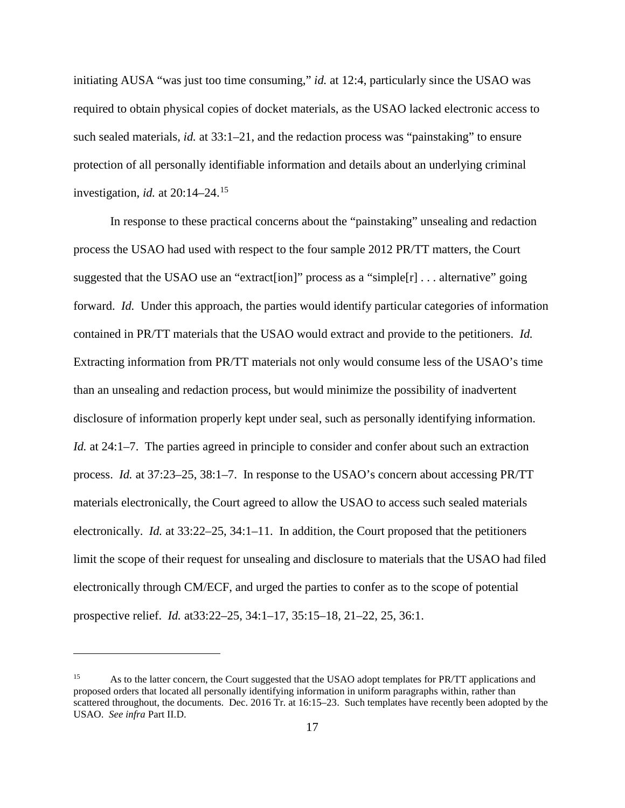initiating AUSA "was just too time consuming," *id.* at 12:4, particularly since the USAO was required to obtain physical copies of docket materials, as the USAO lacked electronic access to such sealed materials, *id.* at 33:1–21, and the redaction process was "painstaking" to ensure protection of all personally identifiable information and details about an underlying criminal investigation, *id.* at 20:14–24. [15](#page-16-0) 

In response to these practical concerns about the "painstaking" unsealing and redaction process the USAO had used with respect to the four sample 2012 PR/TT matters, the Court suggested that the USAO use an "extract[ion]" process as a "simple[r] . . . alternative" going forward. *Id.* Under this approach, the parties would identify particular categories of information contained in PR/TT materials that the USAO would extract and provide to the petitioners. *Id.* Extracting information from PR/TT materials not only would consume less of the USAO's time than an unsealing and redaction process, but would minimize the possibility of inadvertent disclosure of information properly kept under seal, such as personally identifying information. *Id.* at 24:1–7. The parties agreed in principle to consider and confer about such an extraction process. *Id.* at 37:23–25, 38:1–7. In response to the USAO's concern about accessing PR/TT materials electronically, the Court agreed to allow the USAO to access such sealed materials electronically. *Id.* at 33:22–25, 34:1–11. In addition, the Court proposed that the petitioners limit the scope of their request for unsealing and disclosure to materials that the USAO had filed electronically through CM/ECF, and urged the parties to confer as to the scope of potential prospective relief. *Id.* at33:22–25, 34:1–17, 35:15–18, 21–22, 25, 36:1.

<span id="page-16-0"></span><sup>&</sup>lt;sup>15</sup> As to the latter concern, the Court suggested that the USAO adopt templates for PR/TT applications and proposed orders that located all personally identifying information in uniform paragraphs within, rather than scattered throughout, the documents. Dec. 2016 Tr. at 16:15–23. Such templates have recently been adopted by the USAO. *See infra* Part II.D.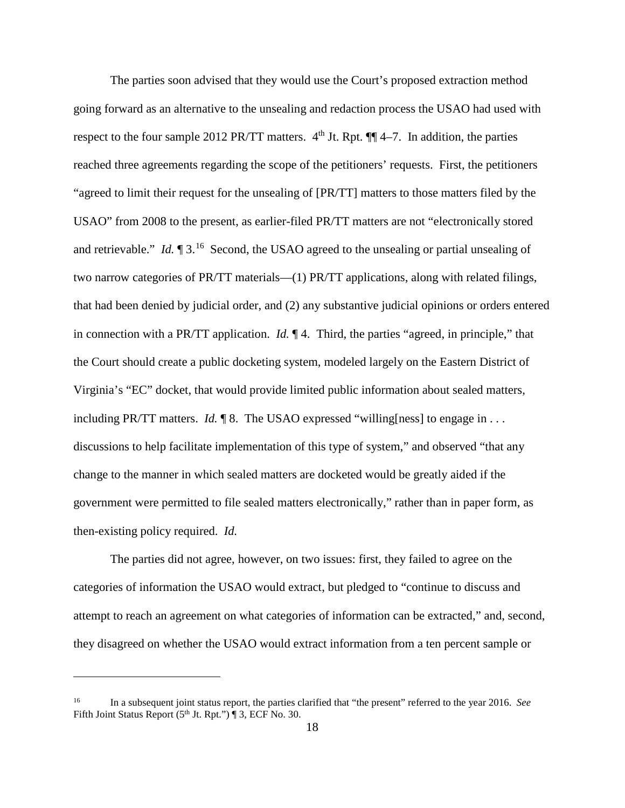The parties soon advised that they would use the Court's proposed extraction method going forward as an alternative to the unsealing and redaction process the USAO had used with respect to the four sample 2012 PR/TT matters.  $4<sup>th</sup>$  Jt. Rpt.  $\P$  $\P$  $4-7$ . In addition, the parties reached three agreements regarding the scope of the petitioners' requests. First, the petitioners "agreed to limit their request for the unsealing of [PR/TT] matters to those matters filed by the USAO" from 2008 to the present, as earlier-filed PR/TT matters are not "electronically stored and retrievable." *Id.* ¶ 3.[16](#page-17-0) Second, the USAO agreed to the unsealing or partial unsealing of two narrow categories of PR/TT materials—(1) PR/TT applications, along with related filings, that had been denied by judicial order, and (2) any substantive judicial opinions or orders entered in connection with a PR/TT application. *Id.* ¶ 4. Third, the parties "agreed, in principle," that the Court should create a public docketing system, modeled largely on the Eastern District of Virginia's "EC" docket, that would provide limited public information about sealed matters, including PR/TT matters. *Id.* ¶ 8. The USAO expressed "willing[ness] to engage in . . . discussions to help facilitate implementation of this type of system," and observed "that any change to the manner in which sealed matters are docketed would be greatly aided if the government were permitted to file sealed matters electronically," rather than in paper form, as then-existing policy required. *Id.*

The parties did not agree, however, on two issues: first, they failed to agree on the categories of information the USAO would extract, but pledged to "continue to discuss and attempt to reach an agreement on what categories of information can be extracted," and, second, they disagreed on whether the USAO would extract information from a ten percent sample or

<span id="page-17-0"></span><sup>16</sup> In a subsequent joint status report, the parties clarified that "the present" referred to the year 2016. *See* Fifth Joint Status Report  $(5<sup>th</sup>$  Jt. Rpt.") ¶ 3, ECF No. 30.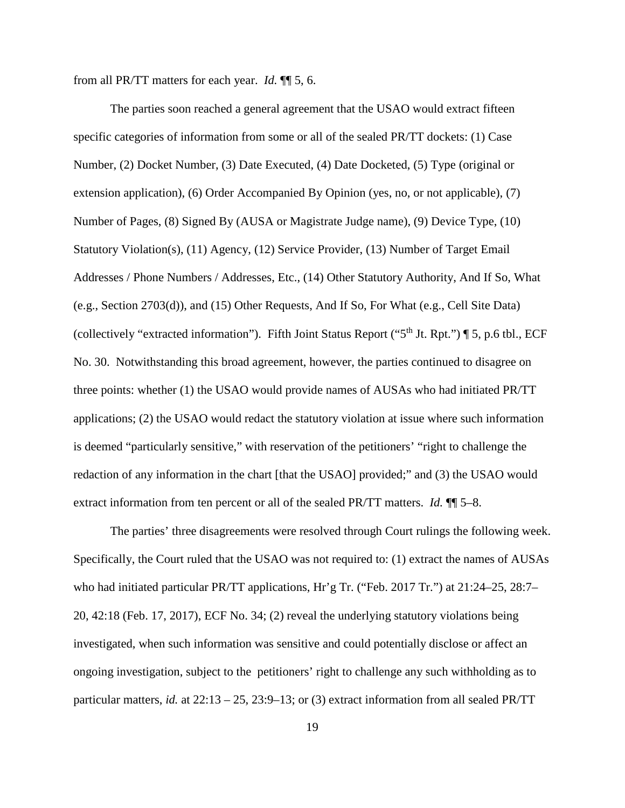from all PR/TT matters for each year. *Id.* ¶¶ 5, 6.

The parties soon reached a general agreement that the USAO would extract fifteen specific categories of information from some or all of the sealed PR/TT dockets: (1) Case Number, (2) Docket Number, (3) Date Executed, (4) Date Docketed, (5) Type (original or extension application), (6) Order Accompanied By Opinion (yes, no, or not applicable), (7) Number of Pages, (8) Signed By (AUSA or Magistrate Judge name), (9) Device Type, (10) Statutory Violation(s), (11) Agency, (12) Service Provider, (13) Number of Target Email Addresses / Phone Numbers / Addresses, Etc., (14) Other Statutory Authority, And If So, What (e.g., Section 2703(d)), and (15) Other Requests, And If So, For What (e.g., Cell Site Data) (collectively "extracted information"). Fifth Joint Status Report ("5th Jt. Rpt.") ¶ 5, p.6 tbl., ECF No. 30. Notwithstanding this broad agreement, however, the parties continued to disagree on three points: whether (1) the USAO would provide names of AUSAs who had initiated PR/TT applications; (2) the USAO would redact the statutory violation at issue where such information is deemed "particularly sensitive," with reservation of the petitioners' "right to challenge the redaction of any information in the chart [that the USAO] provided;" and (3) the USAO would extract information from ten percent or all of the sealed PR/TT matters. *Id.* ¶¶ 5–8.

The parties' three disagreements were resolved through Court rulings the following week. Specifically, the Court ruled that the USAO was not required to: (1) extract the names of AUSAs who had initiated particular PR/TT applications, Hr'g Tr. ("Feb. 2017 Tr.") at 21:24–25, 28:7– 20, 42:18 (Feb. 17, 2017), ECF No. 34; (2) reveal the underlying statutory violations being investigated, when such information was sensitive and could potentially disclose or affect an ongoing investigation, subject to the petitioners' right to challenge any such withholding as to particular matters, *id.* at 22:13 – 25, 23:9–13; or (3) extract information from all sealed PR/TT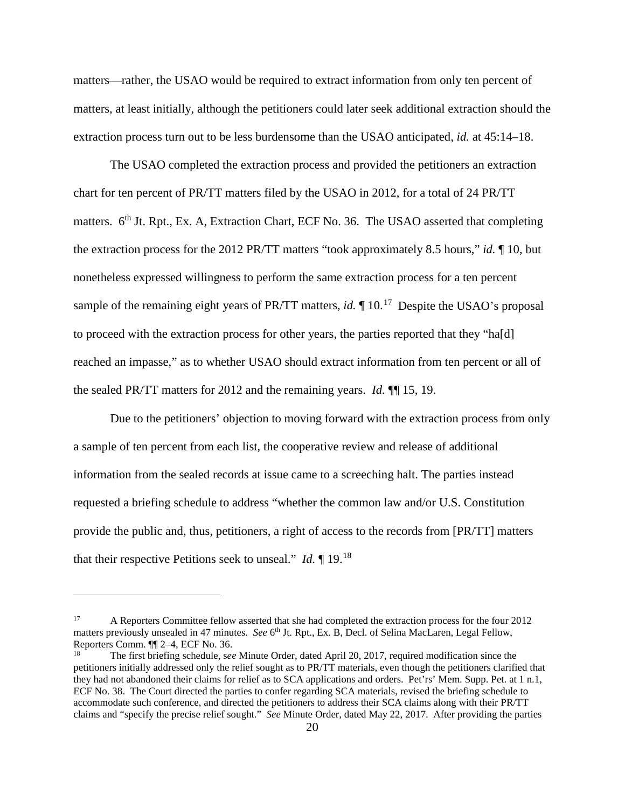matters—rather, the USAO would be required to extract information from only ten percent of matters, at least initially, although the petitioners could later seek additional extraction should the extraction process turn out to be less burdensome than the USAO anticipated, *id.* at 45:14–18.

The USAO completed the extraction process and provided the petitioners an extraction chart for ten percent of PR/TT matters filed by the USAO in 2012, for a total of 24 PR/TT matters.  $6<sup>th</sup>$  Jt. Rpt., Ex. A, Extraction Chart, ECF No. 36. The USAO asserted that completing the extraction process for the 2012 PR/TT matters "took approximately 8.5 hours," *id.* ¶ 10, but nonetheless expressed willingness to perform the same extraction process for a ten percent sample of the remaining eight years of PR/TT matters, *id*. *[*] 10.<sup>[17](#page-19-0)</sup> Despite the USAO's proposal to proceed with the extraction process for other years, the parties reported that they "ha[d] reached an impasse," as to whether USAO should extract information from ten percent or all of the sealed PR/TT matters for 2012 and the remaining years. *Id.* ¶¶ 15, 19.

Due to the petitioners' objection to moving forward with the extraction process from only a sample of ten percent from each list, the cooperative review and release of additional information from the sealed records at issue came to a screeching halt. The parties instead requested a briefing schedule to address "whether the common law and/or U.S. Constitution provide the public and, thus, petitioners, a right of access to the records from [PR/TT] matters that their respective Petitions seek to unseal." *Id.* ¶ 19.[18](#page-19-1)

<span id="page-19-0"></span><sup>17</sup> A Reporters Committee fellow asserted that she had completed the extraction process for the four 2012 matters previously unsealed in 47 minutes. *See* 6<sup>th</sup> Jt. Rpt., Ex. B, Decl. of Selina MacLaren, Legal Fellow, Reporters Comm.  $\P$  2–4, ECF No. 36.<br><sup>18</sup> The first briefing schedule asset

<span id="page-19-1"></span><sup>18</sup> The first briefing schedule, s*ee* Minute Order, dated April 20, 2017, required modification since the petitioners initially addressed only the relief sought as to PR/TT materials, even though the petitioners clarified that they had not abandoned their claims for relief as to SCA applications and orders. Pet'rs' Mem. Supp. Pet. at 1 n.1, ECF No. 38. The Court directed the parties to confer regarding SCA materials, revised the briefing schedule to accommodate such conference, and directed the petitioners to address their SCA claims along with their PR/TT claims and "specify the precise relief sought." *See* Minute Order, dated May 22, 2017. After providing the parties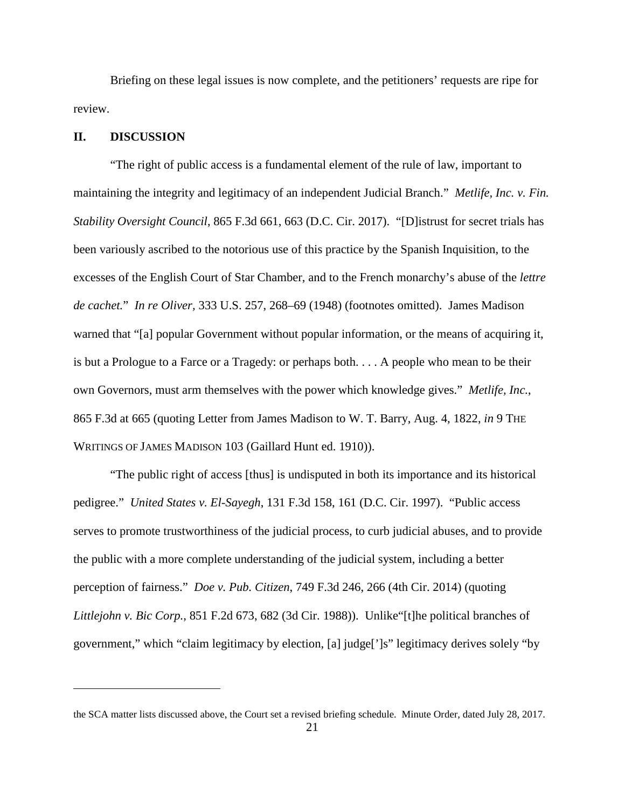Briefing on these legal issues is now complete, and the petitioners' requests are ripe for review.

## **II. DISCUSSION**

 $\overline{a}$ 

"The right of public access is a fundamental element of the rule of law, important to maintaining the integrity and legitimacy of an independent Judicial Branch." *Metlife, Inc. v. Fin. Stability Oversight Council*, 865 F.3d 661, 663 (D.C. Cir. 2017). "[D]istrust for secret trials has been variously ascribed to the notorious use of this practice by the Spanish Inquisition, to the excesses of the English Court of Star Chamber, and to the French monarchy's abuse of the *lettre de cachet.*" *In re Oliver,* 333 U.S. 257, 268–69 (1948) (footnotes omitted). James Madison warned that "[a] popular Government without popular information, or the means of acquiring it, is but a Prologue to a Farce or a Tragedy: or perhaps both. . . . A people who mean to be their own Governors, must arm themselves with the power which knowledge gives." *Metlife, Inc.*, 865 F.3d at 665 (quoting Letter from James Madison to W. T. Barry, Aug. 4, 1822, *in* 9 THE WRITINGS OF JAMES MADISON 103 (Gaillard Hunt ed. 1910)).

"The public right of access [thus] is undisputed in both its importance and its historical pedigree." *United States v. El-Sayegh*, 131 F.3d 158, 161 (D.C. Cir. 1997). "Public access serves to promote trustworthiness of the judicial process, to curb judicial abuses, and to provide the public with a more complete understanding of the judicial system, including a better perception of fairness." *Doe v. Pub. Citizen*, 749 F.3d 246, 266 (4th Cir. 2014) (quoting *Littlejohn v. Bic Corp.*, 851 F.2d 673, 682 (3d Cir. 1988)). Unlike"[t]he political branches of government," which "claim legitimacy by election, [a] judge[']s" legitimacy derives solely "by

the SCA matter lists discussed above, the Court set a revised briefing schedule. Minute Order, dated July 28, 2017.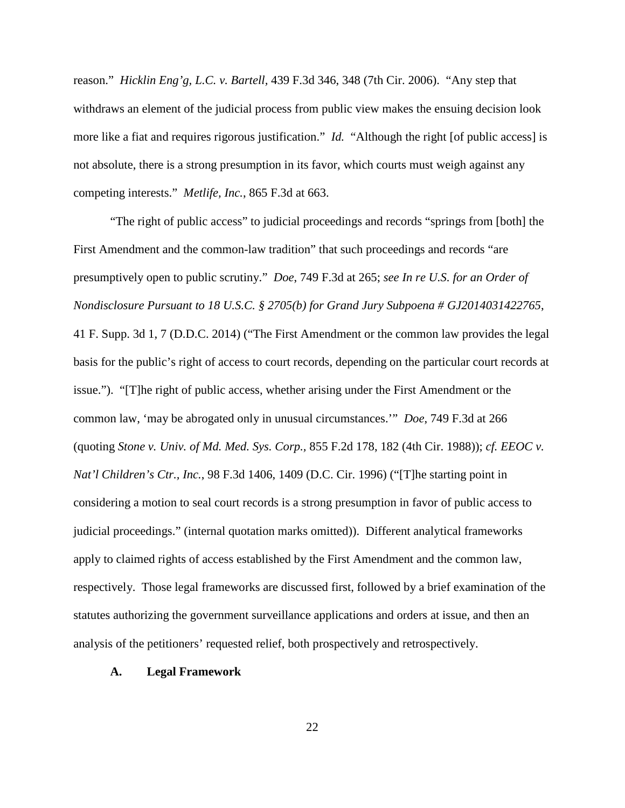reason." *Hicklin Eng'g, L.C. v. Bartell,* 439 F.3d 346, 348 (7th Cir. 2006). "Any step that withdraws an element of the judicial process from public view makes the ensuing decision look more like a fiat and requires rigorous justification." *Id.* "Although the right [of public access] is not absolute, there is a strong presumption in its favor, which courts must weigh against any competing interests." *Metlife, Inc.*, 865 F.3d at 663.

"The right of public access" to judicial proceedings and records "springs from [both] the First Amendment and the common-law tradition" that such proceedings and records "are presumptively open to public scrutiny." *Doe*, 749 F.3d at 265; *see In re U.S. for an Order of Nondisclosure Pursuant to 18 U.S.C. § 2705(b) for Grand Jury Subpoena # GJ2014031422765*, 41 F. Supp. 3d 1, 7 (D.D.C. 2014) ("The First Amendment or the common law provides the legal basis for the public's right of access to court records, depending on the particular court records at issue."). "[T]he right of public access, whether arising under the First Amendment or the common law, 'may be abrogated only in unusual circumstances.'" *Doe*, 749 F.3d at 266 (quoting *Stone v. Univ. of Md. Med. Sys. Corp.,* 855 F.2d 178, 182 (4th Cir. 1988)); *cf. EEOC v. Nat'l Children's Ctr., Inc.*, 98 F.3d 1406, 1409 (D.C. Cir. 1996) ("[T]he starting point in considering a motion to seal court records is a strong presumption in favor of public access to judicial proceedings." (internal quotation marks omitted)). Different analytical frameworks apply to claimed rights of access established by the First Amendment and the common law, respectively. Those legal frameworks are discussed first, followed by a brief examination of the statutes authorizing the government surveillance applications and orders at issue, and then an analysis of the petitioners' requested relief, both prospectively and retrospectively.

#### **A. Legal Framework**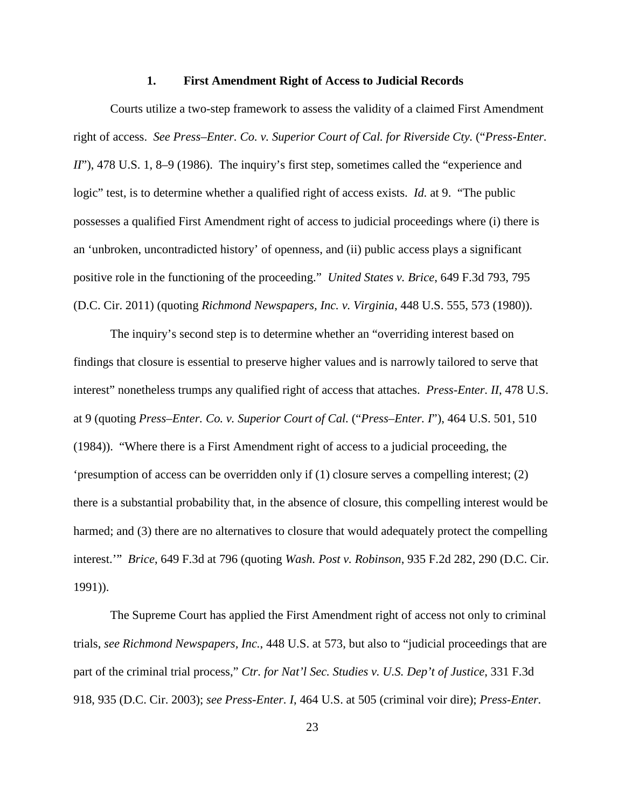#### **1. First Amendment Right of Access to Judicial Records**

Courts utilize a two-step framework to assess the validity of a claimed First Amendment right of access. *See Press–Enter. Co. v. Superior Court of Cal. for Riverside Cty.* ("*Press-Enter. II*"), 478 U.S. 1, 8–9 (1986). The inquiry's first step, sometimes called the "experience and logic" test, is to determine whether a qualified right of access exists. *Id.* at 9. "The public possesses a qualified First Amendment right of access to judicial proceedings where (i) there is an 'unbroken, uncontradicted history' of openness, and (ii) public access plays a significant positive role in the functioning of the proceeding." *United States v. Brice*, 649 F.3d 793, 795 (D.C. Cir. 2011) (quoting *Richmond Newspapers, Inc. v. Virginia*, 448 U.S. 555, 573 (1980)).

The inquiry's second step is to determine whether an "overriding interest based on findings that closure is essential to preserve higher values and is narrowly tailored to serve that interest" nonetheless trumps any qualified right of access that attaches. *Press-Enter. II*, 478 U.S. at 9 (quoting *Press–Enter. Co. v. Superior Court of Cal.* ("*Press–Enter. I*"), 464 U.S. 501, 510 (1984)). "Where there is a First Amendment right of access to a judicial proceeding, the 'presumption of access can be overridden only if (1) closure serves a compelling interest; (2) there is a substantial probability that, in the absence of closure, this compelling interest would be harmed; and (3) there are no alternatives to closure that would adequately protect the compelling interest.'" *Brice*, 649 F.3d at 796 (quoting *Wash. Post v. Robinson*, 935 F.2d 282, 290 (D.C. Cir. 1991)).

The Supreme Court has applied the First Amendment right of access not only to criminal trials, *see Richmond Newspapers, Inc.*, 448 U.S. at 573, but also to "judicial proceedings that are part of the criminal trial process," *Ctr. for Nat'l Sec. Studies v. U.S. Dep't of Justice*, 331 F.3d 918, 935 (D.C. Cir. 2003); *see Press-Enter. I*, 464 U.S. at 505 (criminal voir dire); *Press-Enter.*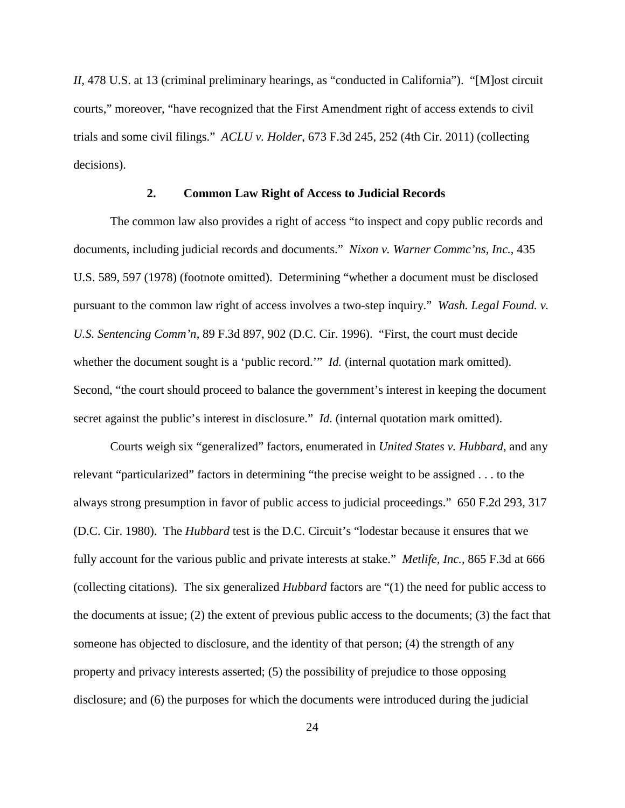*II*, 478 U.S. at 13 (criminal preliminary hearings, as "conducted in California")."[M]ost circuit courts," moreover, "have recognized that the First Amendment right of access extends to civil trials and some civil filings." *ACLU v. Holder*, 673 F.3d 245, 252 (4th Cir. 2011) (collecting decisions).

# **2. Common Law Right of Access to Judicial Records**

The common law also provides a right of access "to inspect and copy public records and documents, including judicial records and documents." *Nixon v. Warner Commc'ns, Inc.*, 435 U.S. 589, 597 (1978) (footnote omitted). Determining "whether a document must be disclosed pursuant to the common law right of access involves a two-step inquiry." *Wash. Legal Found. v. U.S. Sentencing Comm'n*, 89 F.3d 897, 902 (D.C. Cir. 1996). "First, the court must decide whether the document sought is a 'public record.'" *Id.* (internal quotation mark omitted). Second, "the court should proceed to balance the government's interest in keeping the document secret against the public's interest in disclosure." *Id.* (internal quotation mark omitted).

Courts weigh six "generalized" factors, enumerated in *United States v. Hubbard*, and any relevant "particularized" factors in determining "the precise weight to be assigned . . . to the always strong presumption in favor of public access to judicial proceedings." 650 F.2d 293, 317 (D.C. Cir. 1980). The *Hubbard* test is the D.C. Circuit's "lodestar because it ensures that we fully account for the various public and private interests at stake." *Metlife, Inc.*, 865 F.3d at 666 (collecting citations). The six generalized *Hubbard* factors are "(1) the need for public access to the documents at issue; (2) the extent of previous public access to the documents; (3) the fact that someone has objected to disclosure, and the identity of that person; (4) the strength of any property and privacy interests asserted; (5) the possibility of prejudice to those opposing disclosure; and (6) the purposes for which the documents were introduced during the judicial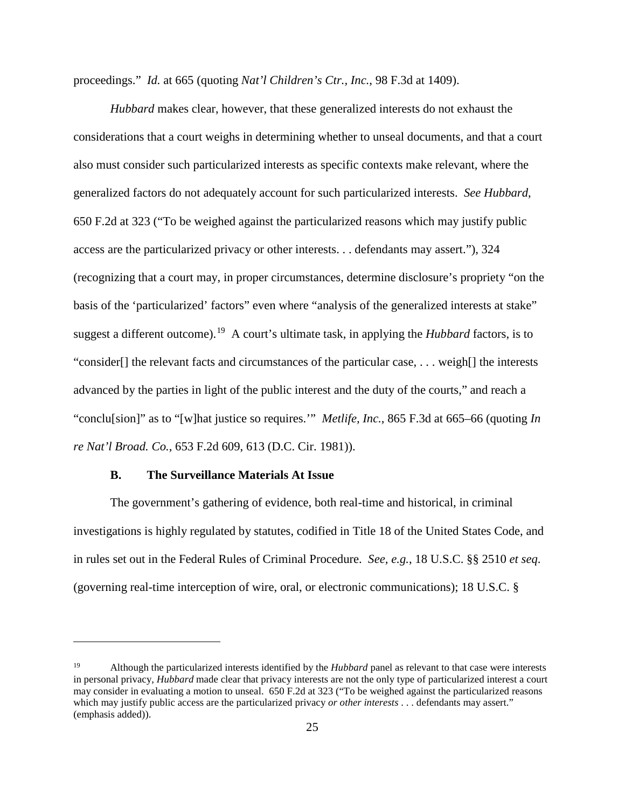proceedings." *Id.* at 665 (quoting *Nat'l Children's Ctr., Inc.*, 98 F.3d at 1409).

*Hubbard* makes clear, however, that these generalized interests do not exhaust the considerations that a court weighs in determining whether to unseal documents, and that a court also must consider such particularized interests as specific contexts make relevant, where the generalized factors do not adequately account for such particularized interests. *See Hubbard*, 650 F.2d at 323 ("To be weighed against the particularized reasons which may justify public access are the particularized privacy or other interests. . . defendants may assert."), 324 (recognizing that a court may, in proper circumstances, determine disclosure's propriety "on the basis of the 'particularized' factors" even where "analysis of the generalized interests at stake" suggest a different outcome).[19](#page-24-0) A court's ultimate task, in applying the *Hubbard* factors, is to "consider[] the relevant facts and circumstances of the particular case, . . . weigh[] the interests advanced by the parties in light of the public interest and the duty of the courts," and reach a "conclu[sion]" as to "[w]hat justice so requires.'" *Metlife, Inc.*, 865 F.3d at 665–66 (quoting *In re Nat'l Broad. Co.*, 653 F.2d 609, 613 (D.C. Cir. 1981)).

### **B. The Surveillance Materials At Issue**

 $\overline{a}$ 

The government's gathering of evidence, both real-time and historical, in criminal investigations is highly regulated by statutes, codified in Title 18 of the United States Code, and in rules set out in the Federal Rules of Criminal Procedure. *See, e.g.*, 18 U.S.C. §§ 2510 *et seq*. (governing real-time interception of wire, oral, or electronic communications); 18 U.S.C. §

<span id="page-24-0"></span><sup>19</sup> Although the particularized interests identified by the *Hubbard* panel as relevant to that case were interests in personal privacy, *Hubbard* made clear that privacy interests are not the only type of particularized interest a court may consider in evaluating a motion to unseal. 650 F.2d at 323 ("To be weighed against the particularized reasons which may justify public access are the particularized privacy *or other interests* . . . defendants may assert." (emphasis added)).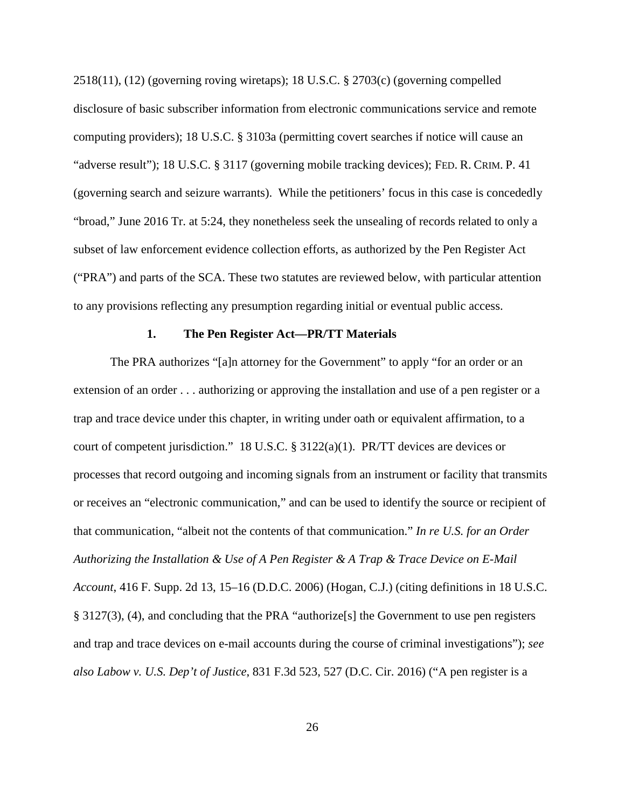2518(11), (12) (governing roving wiretaps); 18 U.S.C. § 2703(c) (governing compelled disclosure of basic subscriber information from electronic communications service and remote computing providers); 18 U.S.C. § 3103a (permitting covert searches if notice will cause an "adverse result"); 18 U.S.C. § 3117 (governing mobile tracking devices); FED. R. CRIM. P. 41 (governing search and seizure warrants). While the petitioners' focus in this case is concededly "broad," June 2016 Tr. at 5:24, they nonetheless seek the unsealing of records related to only a subset of law enforcement evidence collection efforts, as authorized by the Pen Register Act ("PRA") and parts of the SCA. These two statutes are reviewed below, with particular attention to any provisions reflecting any presumption regarding initial or eventual public access.

## **1. The Pen Register Act—PR/TT Materials**

The PRA authorizes "[a]n attorney for the Government" to apply "for an order or an extension of an order . . . authorizing or approving the installation and use of a pen register or a trap and trace device under this chapter, in writing under oath or equivalent affirmation, to a court of competent jurisdiction." 18 U.S.C. § 3122(a)(1). PR/TT devices are devices or processes that record outgoing and incoming signals from an instrument or facility that transmits or receives an "electronic communication," and can be used to identify the source or recipient of that communication, "albeit not the contents of that communication." *In re U.S. for an Order Authorizing the Installation & Use of A Pen Register & A Trap & Trace Device on E-Mail Account*, 416 F. Supp. 2d 13, 15–16 (D.D.C. 2006) (Hogan, C.J.) (citing definitions in 18 U.S.C. § 3127(3), (4), and concluding that the PRA "authorize[s] the Government to use pen registers and trap and trace devices on e-mail accounts during the course of criminal investigations"); *see also Labow v. U.S. Dep't of Justice*, 831 F.3d 523, 527 (D.C. Cir. 2016) ("A pen register is a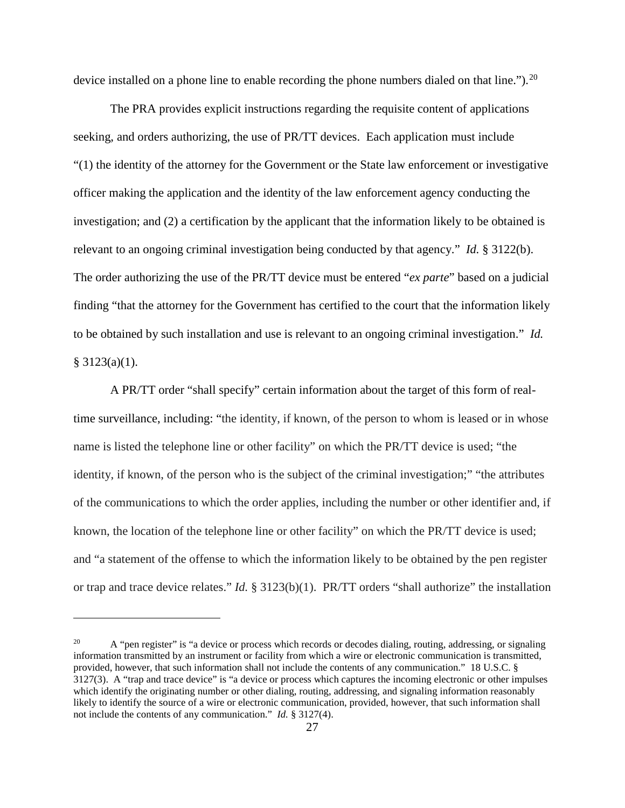device installed on a phone line to enable recording the phone numbers dialed on that line.").<sup>[20](#page-26-0)</sup>

The PRA provides explicit instructions regarding the requisite content of applications seeking, and orders authorizing, the use of PR/TT devices. Each application must include "(1) the identity of the attorney for the Government or the State law enforcement or investigative officer making the application and the identity of the law enforcement agency conducting the investigation; and (2) a certification by the applicant that the information likely to be obtained is relevant to an ongoing criminal investigation being conducted by that agency." *Id.* § 3122(b). The order authorizing the use of the PR/TT device must be entered "*ex parte*" based on a judicial finding "that the attorney for the Government has certified to the court that the information likely to be obtained by such installation and use is relevant to an ongoing criminal investigation." *Id.*  $§ 3123(a)(1).$ 

A PR/TT order "shall specify" certain information about the target of this form of realtime surveillance, including: "the identity, if known, of the person to whom is leased or in whose name is listed the telephone line or other facility" on which the PR/TT device is used; "the identity, if known, of the person who is the subject of the criminal investigation;" "the attributes of the communications to which the order applies, including the number or other identifier and, if known, the location of the telephone line or other facility" on which the PR/TT device is used; and "a statement of the offense to which the information likely to be obtained by the pen register or trap and trace device relates." *Id.* § 3123(b)(1). PR/TT orders "shall authorize" the installation

<span id="page-26-0"></span><sup>&</sup>lt;sup>20</sup> A "pen register" is "a device or process which records or decodes dialing, routing, addressing, or signaling information transmitted by an instrument or facility from which a wire or electronic communication is transmitted, provided, however, that such information shall not include the contents of any communication." 18 U.S.C. § 3127(3). A "trap and trace device" is "a device or process which captures the incoming electronic or other impulses which identify the originating number or other dialing, routing, addressing, and signaling information reasonably likely to identify the source of a wire or electronic communication, provided, however, that such information shall not include the contents of any communication." *Id.* § 3127(4).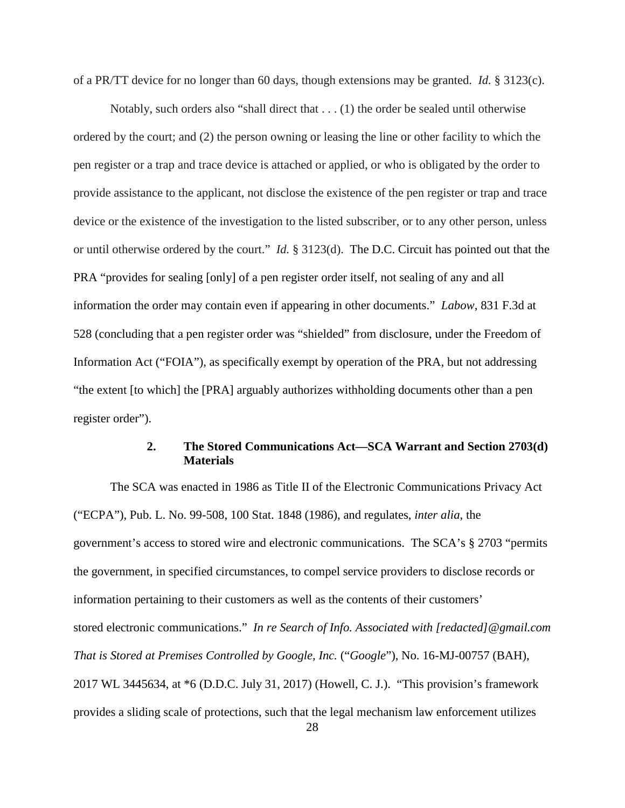of a PR/TT device for no longer than 60 days, though extensions may be granted. *Id.* § 3123(c).

Notably, such orders also "shall direct that . . . (1) the order be sealed until otherwise ordered by the court; and (2) the person owning or leasing the line or other facility to which the pen register or a trap and trace device is attached or applied, or who is obligated by the order to provide assistance to the applicant, not disclose the existence of the pen register or trap and trace device or the existence of the investigation to the listed subscriber, or to any other person, unless or until otherwise ordered by the court." *Id.* § 3123(d). The D.C. Circuit has pointed out that the PRA "provides for sealing [only] of a pen register order itself, not sealing of any and all information the order may contain even if appearing in other documents." *Labow*, 831 F.3d at 528 (concluding that a pen register order was "shielded" from disclosure, under the Freedom of Information Act ("FOIA"), as specifically exempt by operation of the PRA, but not addressing "the extent [to which] the [PRA] arguably authorizes withholding documents other than a pen register order").

# **2. The Stored Communications Act—SCA Warrant and Section 2703(d) Materials**

The SCA was enacted in 1986 as Title II of the Electronic Communications Privacy Act ("ECPA"), Pub. L. No. 99-508, 100 Stat. 1848 (1986), and regulates, *inter alia*, the government's access to stored wire and electronic communications. The SCA's § 2703 "permits the government, in specified circumstances, to compel service providers to disclose records or information pertaining to their customers as well as the contents of their customers' stored electronic communications." *In re Search of Info. Associated with [redacted]@gmail.com That is Stored at Premises Controlled by Google, Inc.* ("*Google*"), No. 16-MJ-00757 (BAH), 2017 WL 3445634, at \*6 (D.D.C. July 31, 2017) (Howell, C. J.). "This provision's framework provides a sliding scale of protections, such that the legal mechanism law enforcement utilizes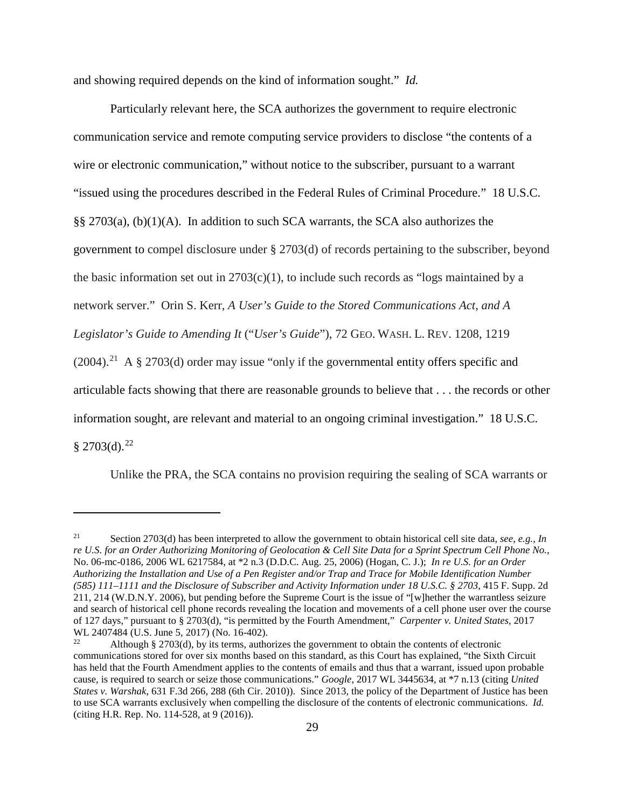and showing required depends on the kind of information sought." *Id.*

Particularly relevant here, the SCA authorizes the government to require electronic communication service and remote computing service providers to disclose "the contents of a wire or electronic communication," without notice to the subscriber, pursuant to a warrant "issued using the procedures described in the Federal Rules of Criminal Procedure." 18 U.S.C. §§ 2703(a), (b)(1)(A). In addition to such SCA warrants, the SCA also authorizes the government to compel disclosure under § 2703(d) of records pertaining to the subscriber, beyond the basic information set out in  $2703(c)(1)$ , to include such records as "logs maintained by a network server." Orin S. Kerr, *A User's Guide to the Stored Communications Act, and A Legislator's Guide to Amending It* ("*User's Guide*"), 72 GEO. WASH. L. REV. 1208, 1219  $(2004)$ .<sup>21</sup> A § 2703(d) order may issue "only if the governmental entity offers specific and articulable facts showing that there are reasonable grounds to believe that . . . the records or other information sought, are relevant and material to an ongoing criminal investigation." 18 U.S.C.  $§$  2703(d).<sup>[22](#page-28-1)</sup>

Unlike the PRA, the SCA contains no provision requiring the sealing of SCA warrants or

<span id="page-28-0"></span><sup>21</sup> Section 2703(d) has been interpreted to allow the government to obtain historical cell site data, *see, e.g.*, *In re U.S. for an Order Authorizing Monitoring of Geolocation & Cell Site Data for a Sprint Spectrum Cell Phone No.*, No. 06-mc-0186, 2006 WL 6217584, at \*2 n.3 (D.D.C. Aug. 25, 2006) (Hogan, C. J.); *In re U.S. for an Order Authorizing the Installation and Use of a Pen Register and/or Trap and Trace for Mobile Identification Number (585) 111–1111 and the Disclosure of Subscriber and Activity Information under 18 U.S.C. § 2703*, 415 F. Supp. 2d 211, 214 (W.D.N.Y. 2006), but pending before the Supreme Court is the issue of "[w]hether the warrantless seizure and search of historical cell phone records revealing the location and movements of a cell phone user over the course of 127 days," pursuant to § 2703(d), "is permitted by the Fourth Amendment," *Carpenter v. United States*, 2017 WL 2407484 (U.S. June 5, 2017) (No. 16-402).<br><sup>22</sup> Although 8.2703(d) by its terms, outbo

<span id="page-28-1"></span><sup>22</sup> Although § 2703(d), by its terms, authorizes the government to obtain the contents of electronic communications stored for over six months based on this standard, as this Court has explained, "the Sixth Circuit has held that the Fourth Amendment applies to the contents of emails and thus that a warrant, issued upon probable cause, is required to search or seize those communications." *Google*, 2017 WL 3445634, at \*7 n.13 (citing *United States v. Warshak*, 631 F.3d 266, 288 (6th Cir. 2010)). Since 2013, the policy of the Department of Justice has been to use SCA warrants exclusively when compelling the disclosure of the contents of electronic communications. *Id.* (citing H.R. Rep. No. 114-528, at 9 (2016)).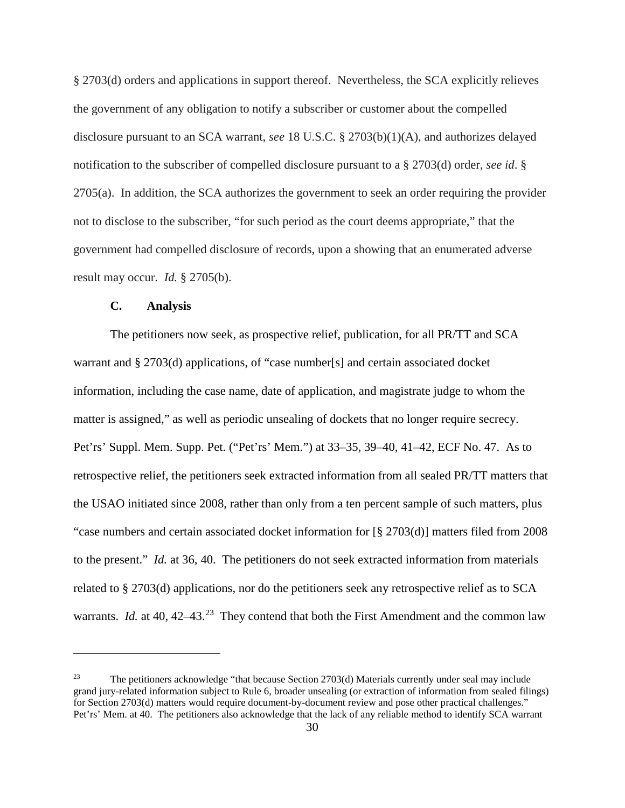§ 2703(d) orders and applications in support thereof. Nevertheless, the SCA explicitly relieves the government of any obligation to notify a subscriber or customer about the compelled disclosure pursuant to an SCA warrant, *see* 18 U.S.C. § 2703(b)(1)(A), and authorizes delayed notification to the subscriber of compelled disclosure pursuant to a § 2703(d) order, *see id*. § 2705(a). In addition, the SCA authorizes the government to seek an order requiring the provider not to disclose to the subscriber, "for such period as the court deems appropriate," that the government had compelled disclosure of records, upon a showing that an enumerated adverse result may occur. *Id.* § 2705(b).

#### **C. Analysis**

 $\overline{a}$ 

The petitioners now seek, as prospective relief, publication, for all PR/TT and SCA warrant and § 2703(d) applications, of "case number[s] and certain associated docket information, including the case name, date of application, and magistrate judge to whom the matter is assigned," as well as periodic unsealing of dockets that no longer require secrecy. Pet'rs' Suppl. Mem. Supp. Pet. ("Pet'rs' Mem.") at 33–35, 39–40, 41–42, ECF No. 47. As to retrospective relief, the petitioners seek extracted information from all sealed PR/TT matters that the USAO initiated since 2008, rather than only from a ten percent sample of such matters, plus "case numbers and certain associated docket information for [§ 2703(d)] matters filed from 2008 to the present." *Id.* at 36, 40. The petitioners do not seek extracted information from materials related to § 2703(d) applications, nor do the petitioners seek any retrospective relief as to SCA warrants. *Id.* at 40,  $42-43.^{23}$  They contend that both the First Amendment and the common law

<span id="page-29-0"></span><sup>&</sup>lt;sup>23</sup> The petitioners acknowledge "that because Section  $2703(d)$  Materials currently under seal may include grand jury-related information subject to Rule 6, broader unsealing (or extraction of information from sealed filings) for Section 2703(d) matters would require document-by-document review and pose other practical challenges." Pet'rs' Mem. at 40. The petitioners also acknowledge that the lack of any reliable method to identify SCA warrant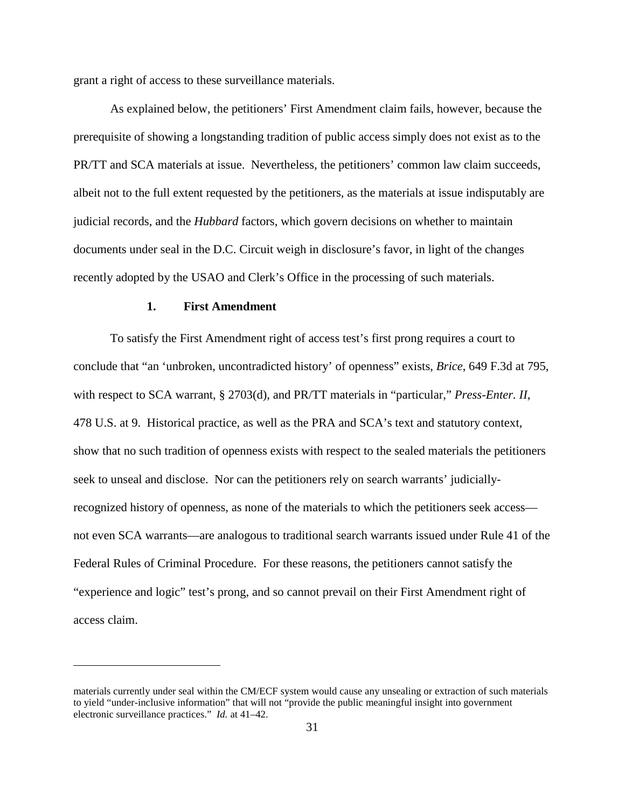grant a right of access to these surveillance materials.

As explained below, the petitioners' First Amendment claim fails, however, because the prerequisite of showing a longstanding tradition of public access simply does not exist as to the PR/TT and SCA materials at issue. Nevertheless, the petitioners' common law claim succeeds, albeit not to the full extent requested by the petitioners, as the materials at issue indisputably are judicial records, and the *Hubbard* factors, which govern decisions on whether to maintain documents under seal in the D.C. Circuit weigh in disclosure's favor, in light of the changes recently adopted by the USAO and Clerk's Office in the processing of such materials.

#### **1. First Amendment**

 $\overline{a}$ 

To satisfy the First Amendment right of access test's first prong requires a court to conclude that "an 'unbroken, uncontradicted history' of openness" exists, *Brice*, 649 F.3d at 795, with respect to SCA warrant, § 2703(d), and PR/TT materials in "particular," *Press-Enter. II*, 478 U.S. at 9. Historical practice, as well as the PRA and SCA's text and statutory context, show that no such tradition of openness exists with respect to the sealed materials the petitioners seek to unseal and disclose. Nor can the petitioners rely on search warrants' judiciallyrecognized history of openness, as none of the materials to which the petitioners seek access not even SCA warrants—are analogous to traditional search warrants issued under Rule 41 of the Federal Rules of Criminal Procedure. For these reasons, the petitioners cannot satisfy the "experience and logic" test's prong, and so cannot prevail on their First Amendment right of access claim.

materials currently under seal within the CM/ECF system would cause any unsealing or extraction of such materials to yield "under-inclusive information" that will not "provide the public meaningful insight into government electronic surveillance practices." *Id.* at 41–42.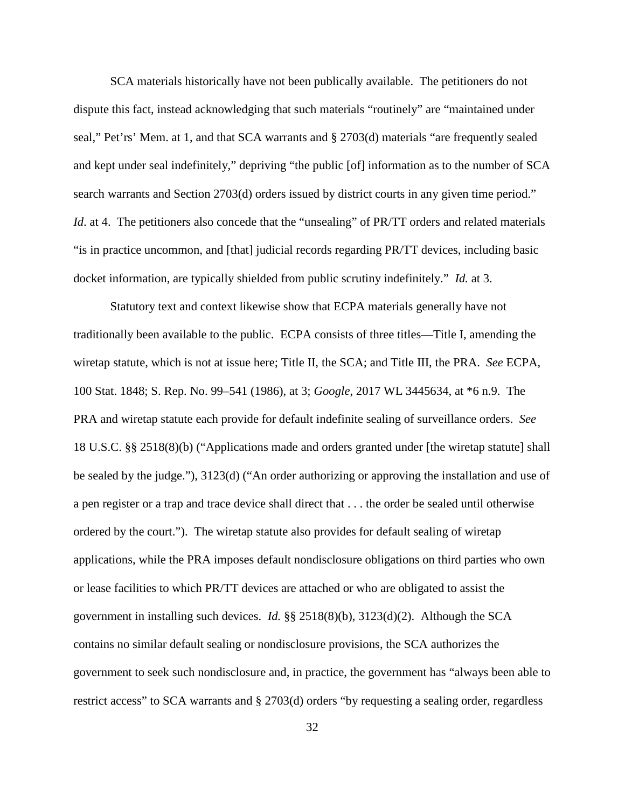SCA materials historically have not been publically available. The petitioners do not dispute this fact, instead acknowledging that such materials "routinely" are "maintained under seal," Pet'rs' Mem. at 1, and that SCA warrants and § 2703(d) materials "are frequently sealed and kept under seal indefinitely," depriving "the public [of] information as to the number of SCA search warrants and Section 2703(d) orders issued by district courts in any given time period." *Id.* at 4. The petitioners also concede that the "unsealing" of PR/TT orders and related materials "is in practice uncommon, and [that] judicial records regarding PR/TT devices, including basic docket information, are typically shielded from public scrutiny indefinitely." *Id.* at 3.

Statutory text and context likewise show that ECPA materials generally have not traditionally been available to the public. ECPA consists of three titles—Title I, amending the wiretap statute, which is not at issue here; Title II, the SCA; and Title III, the PRA. *See* ECPA, 100 Stat. 1848; S. Rep. No. 99–541 (1986), at 3; *Google*, 2017 WL 3445634, at \*6 n.9. The PRA and wiretap statute each provide for default indefinite sealing of surveillance orders. *See* 18 U.S.C. §§ 2518(8)(b) ("Applications made and orders granted under [the wiretap statute] shall be sealed by the judge."), 3123(d) ("An order authorizing or approving the installation and use of a pen register or a trap and trace device shall direct that . . . the order be sealed until otherwise ordered by the court."). The wiretap statute also provides for default sealing of wiretap applications, while the PRA imposes default nondisclosure obligations on third parties who own or lease facilities to which PR/TT devices are attached or who are obligated to assist the government in installing such devices. *Id.* §§ 2518(8)(b), 3123(d)(2). Although the SCA contains no similar default sealing or nondisclosure provisions, the SCA authorizes the government to seek such nondisclosure and, in practice, the government has "always been able to restrict access" to SCA warrants and § 2703(d) orders "by requesting a sealing order, regardless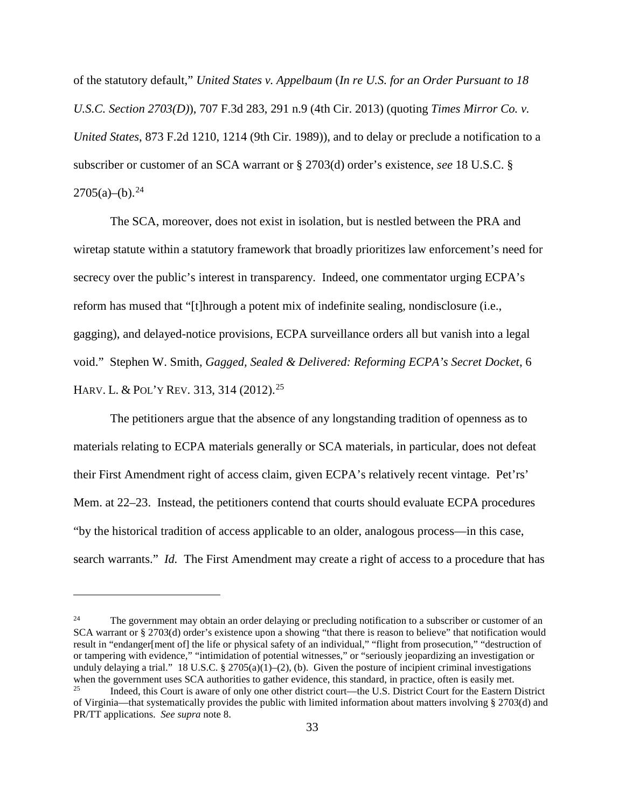of the statutory default," *United States v. Appelbaum* (*In re U.S. for an Order Pursuant to 18 U.S.C. Section 2703(D)*), 707 F.3d 283, 291 n.9 (4th Cir. 2013) (quoting *Times Mirror Co. v. United States*, 873 F.2d 1210, 1214 (9th Cir. 1989)), and to delay or preclude a notification to a subscriber or customer of an SCA warrant or § 2703(d) order's existence, *see* 18 U.S.C. §  $2705(a)$ –(b).<sup>[24](#page-32-0)</sup>

The SCA, moreover, does not exist in isolation, but is nestled between the PRA and wiretap statute within a statutory framework that broadly prioritizes law enforcement's need for secrecy over the public's interest in transparency. Indeed, one commentator urging ECPA's reform has mused that "[t]hrough a potent mix of indefinite sealing, nondisclosure (i.e., gagging), and delayed-notice provisions, ECPA surveillance orders all but vanish into a legal void." Stephen W. Smith, *Gagged, Sealed & Delivered: Reforming ECPA's Secret Docket*, 6 HARV. L. & POL'Y REV. 313, 314 (2012).<sup>[25](#page-32-1)</sup>

The petitioners argue that the absence of any longstanding tradition of openness as to materials relating to ECPA materials generally or SCA materials, in particular, does not defeat their First Amendment right of access claim, given ECPA's relatively recent vintage. Pet'rs' Mem. at 22–23. Instead, the petitioners contend that courts should evaluate ECPA procedures "by the historical tradition of access applicable to an older, analogous process—in this case, search warrants." *Id.* The First Amendment may create a right of access to a procedure that has

<span id="page-32-0"></span><sup>&</sup>lt;sup>24</sup> The government may obtain an order delaying or precluding notification to a subscriber or customer of an SCA warrant or § 2703(d) order's existence upon a showing "that there is reason to believe" that notification would result in "endanger[ment of] the life or physical safety of an individual," "flight from prosecution," "destruction of or tampering with evidence," "intimidation of potential witnesses," or "seriously jeopardizing an investigation or unduly delaying a trial." 18 U.S.C.  $\S 2705(a)(1)$ –(2), (b). Given the posture of incipient criminal investigations when the government uses SCA authorities to gather evidence, this standard, in practice, often is easily met.<br>25 Indeed, this Court is aware of only one other district court, the U.S. District Court for the Eastern l <sup>25</sup> Indeed, this Court is aware of only one other district court—the U.S. District Court for the Eastern District

<span id="page-32-1"></span>of Virginia—that systematically provides the public with limited information about matters involving § 2703(d) and PR/TT applications. *See supra* note 8.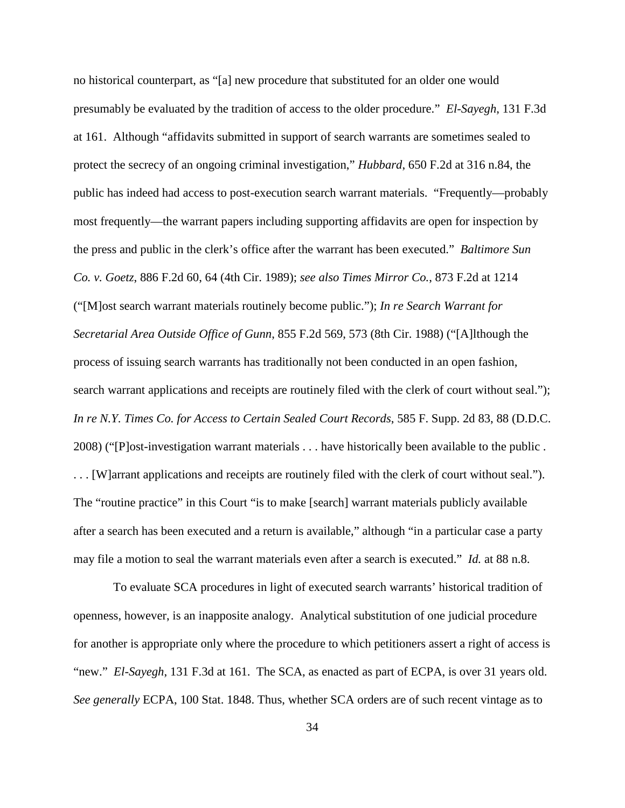no historical counterpart, as "[a] new procedure that substituted for an older one would presumably be evaluated by the tradition of access to the older procedure." *El-Sayegh*, 131 F.3d at 161. Although "affidavits submitted in support of search warrants are sometimes sealed to protect the secrecy of an ongoing criminal investigation," *Hubbard*, 650 F.2d at 316 n.84, the public has indeed had access to post-execution search warrant materials. "Frequently—probably most frequently—the warrant papers including supporting affidavits are open for inspection by the press and public in the clerk's office after the warrant has been executed." *Baltimore Sun Co. v. Goetz*, 886 F.2d 60, 64 (4th Cir. 1989); *see also Times Mirror Co.*, 873 F.2d at 1214 ("[M]ost search warrant materials routinely become public."); *In re Search Warrant for Secretarial Area Outside Office of Gunn*, 855 F.2d 569, 573 (8th Cir. 1988) ("[A]lthough the process of issuing search warrants has traditionally not been conducted in an open fashion, search warrant applications and receipts are routinely filed with the clerk of court without seal."); *In re N.Y. Times Co. for Access to Certain Sealed Court Records*, 585 F. Supp. 2d 83, 88 (D.D.C. 2008) ("[P]ost-investigation warrant materials . . . have historically been available to the public . . . . [W]arrant applications and receipts are routinely filed with the clerk of court without seal."). The "routine practice" in this Court "is to make [search] warrant materials publicly available after a search has been executed and a return is available," although "in a particular case a party may file a motion to seal the warrant materials even after a search is executed." *Id.* at 88 n.8.

To evaluate SCA procedures in light of executed search warrants' historical tradition of openness, however, is an inapposite analogy. Analytical substitution of one judicial procedure for another is appropriate only where the procedure to which petitioners assert a right of access is "new." *El-Sayegh*, 131 F.3d at 161. The SCA, as enacted as part of ECPA, is over 31 years old. *See generally* ECPA, 100 Stat. 1848. Thus, whether SCA orders are of such recent vintage as to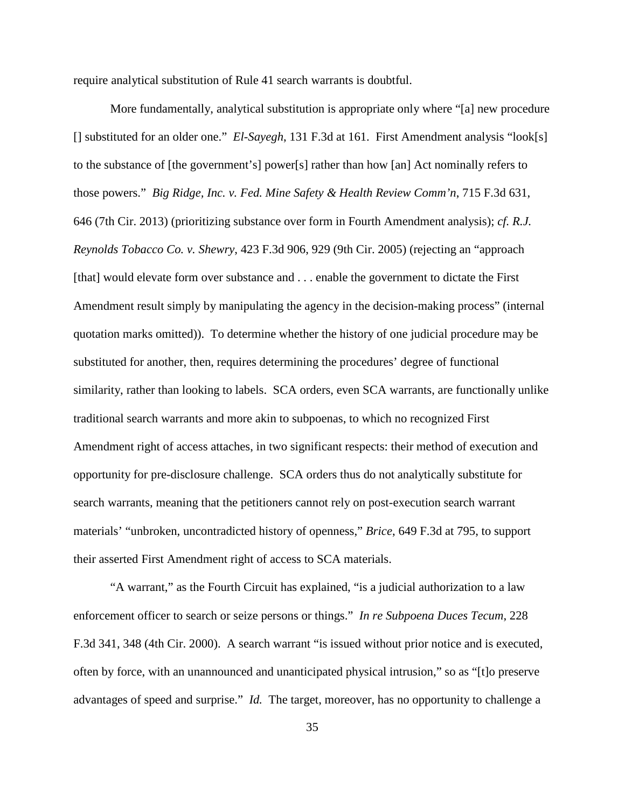require analytical substitution of Rule 41 search warrants is doubtful.

More fundamentally, analytical substitution is appropriate only where "[a] new procedure [] substituted for an older one." *El-Sayegh*, 131 F.3d at 161. First Amendment analysis "look[s] to the substance of [the government's] power[s] rather than how [an] Act nominally refers to those powers." *Big Ridge, Inc. v. Fed. Mine Safety & Health Review Comm'n*, 715 F.3d 631, 646 (7th Cir. 2013) (prioritizing substance over form in Fourth Amendment analysis); *cf. R.J. Reynolds Tobacco Co. v. Shewry*, 423 F.3d 906, 929 (9th Cir. 2005) (rejecting an "approach [that] would elevate form over substance and . . . enable the government to dictate the First Amendment result simply by manipulating the agency in the decision-making process" (internal quotation marks omitted)). To determine whether the history of one judicial procedure may be substituted for another, then, requires determining the procedures' degree of functional similarity, rather than looking to labels. SCA orders, even SCA warrants, are functionally unlike traditional search warrants and more akin to subpoenas, to which no recognized First Amendment right of access attaches, in two significant respects: their method of execution and opportunity for pre-disclosure challenge. SCA orders thus do not analytically substitute for search warrants, meaning that the petitioners cannot rely on post-execution search warrant materials' "unbroken, uncontradicted history of openness," *Brice*, 649 F.3d at 795, to support their asserted First Amendment right of access to SCA materials.

"A warrant," as the Fourth Circuit has explained, "is a judicial authorization to a law enforcement officer to search or seize persons or things." *In re Subpoena Duces Tecum*, 228 F.3d 341, 348 (4th Cir. 2000). A search warrant "is issued without prior notice and is executed, often by force, with an unannounced and unanticipated physical intrusion," so as "[t]o preserve advantages of speed and surprise." *Id.* The target, moreover, has no opportunity to challenge a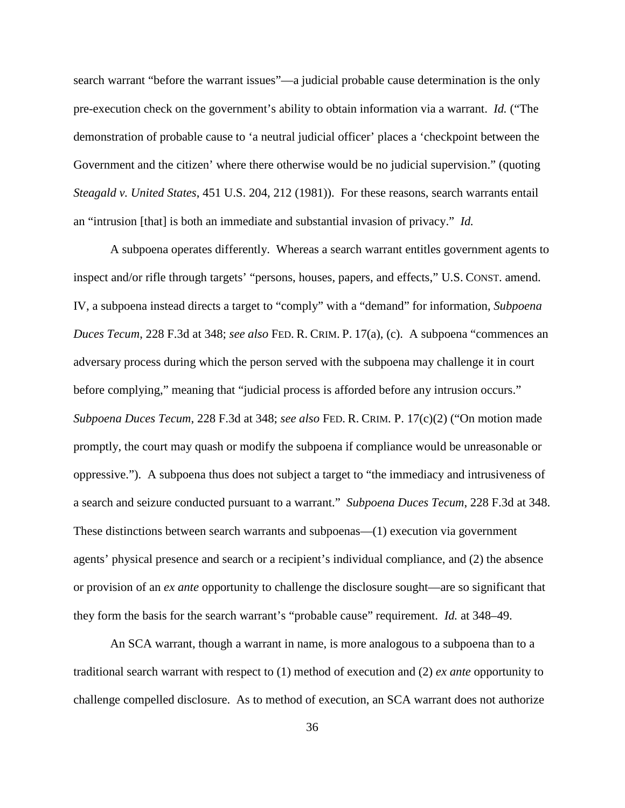search warrant "before the warrant issues"—a judicial probable cause determination is the only pre-execution check on the government's ability to obtain information via a warrant. *Id.* ("The demonstration of probable cause to 'a neutral judicial officer' places a 'checkpoint between the Government and the citizen' where there otherwise would be no judicial supervision." (quoting *Steagald v. United States*, 451 U.S. 204, 212 (1981)). For these reasons, search warrants entail an "intrusion [that] is both an immediate and substantial invasion of privacy." *Id.*

A subpoena operates differently. Whereas a search warrant entitles government agents to inspect and/or rifle through targets' "persons, houses, papers, and effects," U.S. CONST. amend. IV, a subpoena instead directs a target to "comply" with a "demand" for information, *Subpoena Duces Tecum*, 228 F.3d at 348; *see also* FED. R. CRIM. P. 17(a), (c). A subpoena "commences an adversary process during which the person served with the subpoena may challenge it in court before complying," meaning that "judicial process is afforded before any intrusion occurs." *Subpoena Duces Tecum*, 228 F.3d at 348; *see also* FED. R. CRIM. P. 17(c)(2) ("On motion made promptly, the court may quash or modify the subpoena if compliance would be unreasonable or oppressive."). A subpoena thus does not subject a target to "the immediacy and intrusiveness of a search and seizure conducted pursuant to a warrant." *Subpoena Duces Tecum*, 228 F.3d at 348. These distinctions between search warrants and subpoenas—(1) execution via government agents' physical presence and search or a recipient's individual compliance, and (2) the absence or provision of an *ex ante* opportunity to challenge the disclosure sought—are so significant that they form the basis for the search warrant's "probable cause" requirement. *Id.* at 348–49.

An SCA warrant, though a warrant in name, is more analogous to a subpoena than to a traditional search warrant with respect to (1) method of execution and (2) *ex ante* opportunity to challenge compelled disclosure. As to method of execution, an SCA warrant does not authorize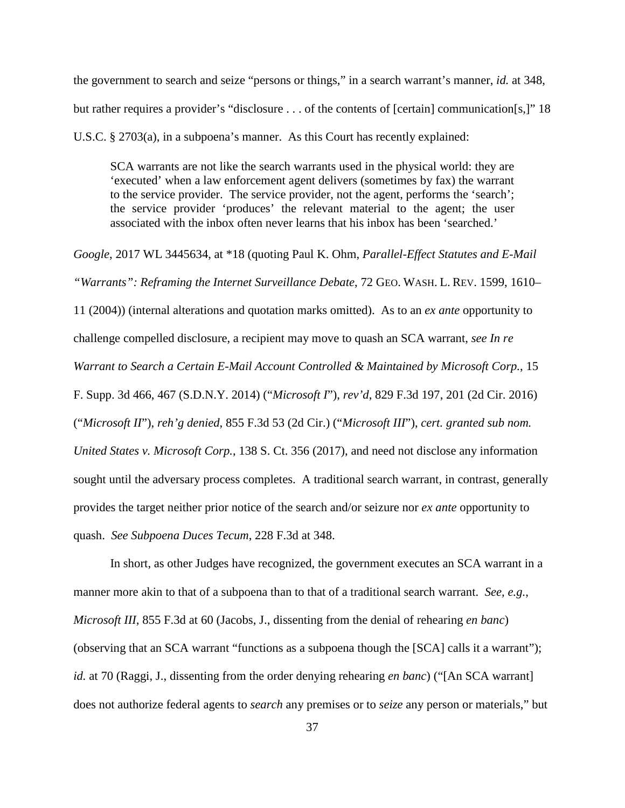the government to search and seize "persons or things," in a search warrant's manner, *id.* at 348, but rather requires a provider's "disclosure . . . of the contents of [certain] communication[s,]" 18 U.S.C. § 2703(a), in a subpoena's manner. As this Court has recently explained:

SCA warrants are not like the search warrants used in the physical world: they are 'executed' when a law enforcement agent delivers (sometimes by fax) the warrant to the service provider. The service provider, not the agent, performs the 'search'; the service provider 'produces' the relevant material to the agent; the user associated with the inbox often never learns that his inbox has been 'searched.'

*Google*, 2017 WL 3445634, at \*18 (quoting Paul K. Ohm, *Parallel-Effect Statutes and E-Mail "Warrants": Reframing the Internet Surveillance Debate*, 72 GEO. WASH. L. REV. 1599, 1610– 11 (2004)) (internal alterations and quotation marks omitted). As to an *ex ante* opportunity to challenge compelled disclosure, a recipient may move to quash an SCA warrant, *see In re Warrant to Search a Certain E-Mail Account Controlled & Maintained by Microsoft Corp.*, 15 F. Supp. 3d 466, 467 (S.D.N.Y. 2014) ("*Microsoft I*"), *rev'd*, 829 F.3d 197, 201 (2d Cir. 2016) ("*Microsoft II*"), *reh'g denied*, 855 F.3d 53 (2d Cir.) ("*Microsoft III*"), *cert. granted sub nom. United States v. Microsoft Corp.*, 138 S. Ct. 356 (2017), and need not disclose any information sought until the adversary process completes. A traditional search warrant, in contrast, generally provides the target neither prior notice of the search and/or seizure nor *ex ante* opportunity to quash. *See Subpoena Duces Tecum*, 228 F.3d at 348.

In short, as other Judges have recognized, the government executes an SCA warrant in a manner more akin to that of a subpoena than to that of a traditional search warrant. *See, e.g.*, *Microsoft III*, 855 F.3d at 60 (Jacobs, J., dissenting from the denial of rehearing *en banc*) (observing that an SCA warrant "functions as a subpoena though the [SCA] calls it a warrant"); *id.* at 70 (Raggi, J., dissenting from the order denying rehearing *en banc*) ("[An SCA warrant] does not authorize federal agents to *search* any premises or to *seize* any person or materials," but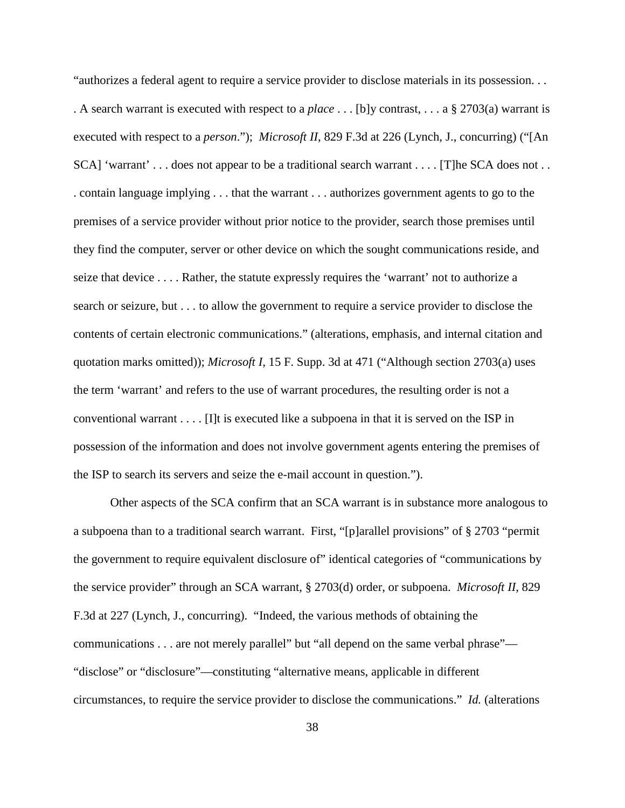"authorizes a federal agent to require a service provider to disclose materials in its possession. . . . A search warrant is executed with respect to a *place* . . . [b]y contrast, . . . a § 2703(a) warrant is executed with respect to a *person*."); *Microsoft II*, 829 F.3d at 226 (Lynch, J., concurring) ("[An SCA] 'warrant' . . . does not appear to be a traditional search warrant . . . . [T]he SCA does not . . . contain language implying . . . that the warrant . . . authorizes government agents to go to the premises of a service provider without prior notice to the provider, search those premises until they find the computer, server or other device on which the sought communications reside, and seize that device . . . . Rather, the statute expressly requires the 'warrant' not to authorize a search or seizure, but . . . to allow the government to require a service provider to disclose the contents of certain electronic communications." (alterations, emphasis, and internal citation and quotation marks omitted)); *Microsoft I*, 15 F. Supp. 3d at 471 ("Although section 2703(a) uses the term 'warrant' and refers to the use of warrant procedures, the resulting order is not a conventional warrant . . . . [I]t is executed like a subpoena in that it is served on the ISP in possession of the information and does not involve government agents entering the premises of the ISP to search its servers and seize the e-mail account in question.").

Other aspects of the SCA confirm that an SCA warrant is in substance more analogous to a subpoena than to a traditional search warrant. First, "[p]arallel provisions" of § 2703 "permit the government to require equivalent disclosure of" identical categories of "communications by the service provider" through an SCA warrant, § 2703(d) order, or subpoena. *Microsoft II*, 829 F.3d at 227 (Lynch, J., concurring). "Indeed, the various methods of obtaining the communications . . . are not merely parallel" but "all depend on the same verbal phrase"— "disclose" or "disclosure"—constituting "alternative means, applicable in different circumstances, to require the service provider to disclose the communications." *Id.* (alterations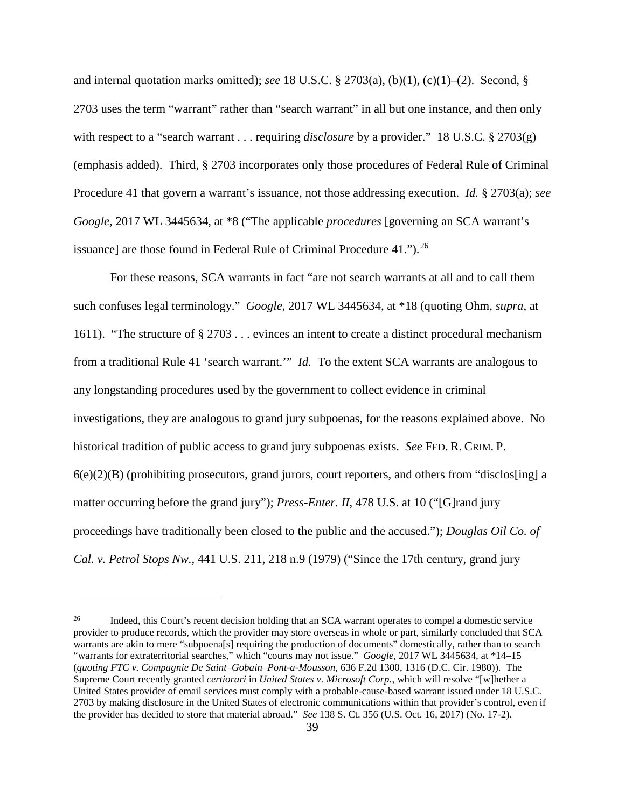and internal quotation marks omitted); *see* 18 U.S.C. § 2703(a), (b)(1), (c)(1)–(2). Second, § 2703 uses the term "warrant" rather than "search warrant" in all but one instance, and then only with respect to a "search warrant . . . requiring *disclosure* by a provider." 18 U.S.C. § 2703(g) (emphasis added). Third, § 2703 incorporates only those procedures of Federal Rule of Criminal Procedure 41 that govern a warrant's issuance, not those addressing execution. *Id.* § 2703(a); *see Google*, 2017 WL 3445634, at \*8 ("The applicable *procedures* [governing an SCA warrant's issuance] are those found in Federal Rule of Criminal Procedure 41.").<sup>[26](#page-38-0)</sup>

For these reasons, SCA warrants in fact "are not search warrants at all and to call them such confuses legal terminology." *Google*, 2017 WL 3445634, at \*18 (quoting Ohm, *supra*, at 1611). "The structure of § 2703 . . . evinces an intent to create a distinct procedural mechanism from a traditional Rule 41 'search warrant.'" *Id.* To the extent SCA warrants are analogous to any longstanding procedures used by the government to collect evidence in criminal investigations, they are analogous to grand jury subpoenas, for the reasons explained above. No historical tradition of public access to grand jury subpoenas exists. *See* FED. R. CRIM. P. 6(e)(2)(B) (prohibiting prosecutors, grand jurors, court reporters, and others from "disclos[ing] a matter occurring before the grand jury"); *Press-Enter. II*, 478 U.S. at 10 ("[G]rand jury proceedings have traditionally been closed to the public and the accused."); *Douglas Oil Co. of Cal. v. Petrol Stops Nw.*, 441 U.S. 211, 218 n.9 (1979) ("Since the 17th century, grand jury

<span id="page-38-0"></span><sup>&</sup>lt;sup>26</sup> Indeed, this Court's recent decision holding that an SCA warrant operates to compel a domestic service provider to produce records, which the provider may store overseas in whole or part, similarly concluded that SCA warrants are akin to mere "subpoena[s] requiring the production of documents" domestically, rather than to search "warrants for extraterritorial searches," which "courts may not issue." *Google*, 2017 WL 3445634, at \*14–15 (*quoting FTC v. Compagnie De Saint–Gobain–Pont-a-Mousson*, 636 F.2d 1300, 1316 (D.C. Cir. 1980)). The Supreme Court recently granted *certiorari* in *United States v. Microsoft Corp.*, which will resolve "[w]hether a United States provider of email services must comply with a probable-cause-based warrant issued under 18 U.S.C. 2703 by making disclosure in the United States of electronic communications within that provider's control, even if the provider has decided to store that material abroad." *See* 138 S. Ct. 356 (U.S. Oct. 16, 2017) (No. 17-2).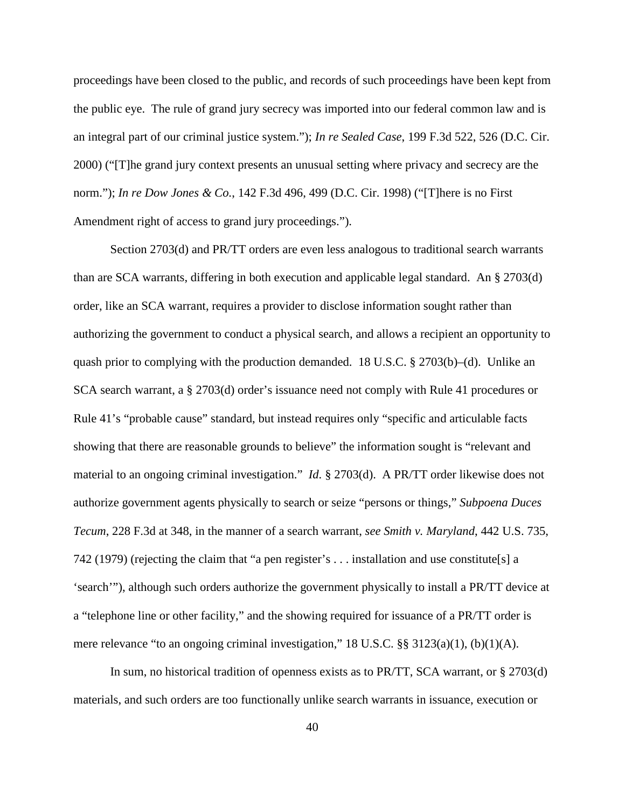proceedings have been closed to the public, and records of such proceedings have been kept from the public eye. The rule of grand jury secrecy was imported into our federal common law and is an integral part of our criminal justice system."); *In re Sealed Case*, 199 F.3d 522, 526 (D.C. Cir. 2000) ("[T]he grand jury context presents an unusual setting where privacy and secrecy are the norm."); *In re Dow Jones & Co.*, 142 F.3d 496, 499 (D.C. Cir. 1998) ("[T]here is no First Amendment right of access to grand jury proceedings.").

Section 2703(d) and PR/TT orders are even less analogous to traditional search warrants than are SCA warrants, differing in both execution and applicable legal standard. An § 2703(d) order, like an SCA warrant, requires a provider to disclose information sought rather than authorizing the government to conduct a physical search, and allows a recipient an opportunity to quash prior to complying with the production demanded. 18 U.S.C. § 2703(b)–(d). Unlike an SCA search warrant, a § 2703(d) order's issuance need not comply with Rule 41 procedures or Rule 41's "probable cause" standard, but instead requires only "specific and articulable facts showing that there are reasonable grounds to believe" the information sought is "relevant and material to an ongoing criminal investigation." *Id.* § 2703(d). A PR/TT order likewise does not authorize government agents physically to search or seize "persons or things," *Subpoena Duces Tecum*, 228 F.3d at 348, in the manner of a search warrant, *see Smith v. Maryland*, 442 U.S. 735, 742 (1979) (rejecting the claim that "a pen register's . . . installation and use constitute[s] a 'search'"), although such orders authorize the government physically to install a PR/TT device at a "telephone line or other facility," and the showing required for issuance of a PR/TT order is mere relevance "to an ongoing criminal investigation," 18 U.S.C.  $\S$  3123(a)(1), (b)(1)(A).

In sum, no historical tradition of openness exists as to PR/TT, SCA warrant, or § 2703(d) materials, and such orders are too functionally unlike search warrants in issuance, execution or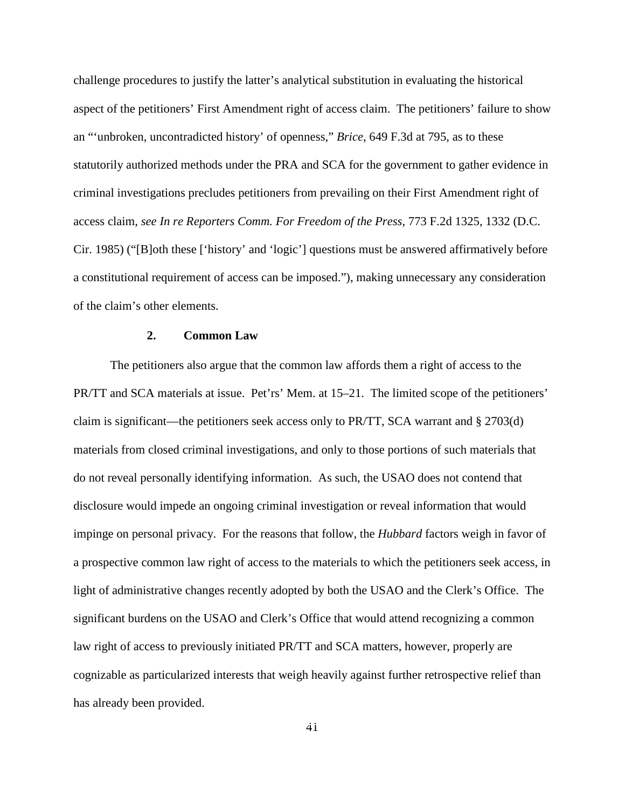challenge procedures to justify the latter's analytical substitution in evaluating the historical aspect of the petitioners' First Amendment right of access claim. The petitioners' failure to show an "'unbroken, uncontradicted history' of openness," *Brice*, 649 F.3d at 795, as to these statutorily authorized methods under the PRA and SCA for the government to gather evidence in criminal investigations precludes petitioners from prevailing on their First Amendment right of access claim, *see In re Reporters Comm. For Freedom of the Press*, 773 F.2d 1325, 1332 (D.C. Cir. 1985) ("[B]oth these ['history' and 'logic'] questions must be answered affirmatively before a constitutional requirement of access can be imposed."), making unnecessary any consideration of the claim's other elements.

### **2. Common Law**

The petitioners also argue that the common law affords them a right of access to the PR/TT and SCA materials at issue. Pet'rs' Mem. at 15–21. The limited scope of the petitioners' claim is significant—the petitioners seek access only to PR/TT, SCA warrant and § 2703(d) materials from closed criminal investigations, and only to those portions of such materials that do not reveal personally identifying information. As such, the USAO does not contend that disclosure would impede an ongoing criminal investigation or reveal information that would impinge on personal privacy. For the reasons that follow, the *Hubbard* factors weigh in favor of a prospective common law right of access to the materials to which the petitioners seek access, in light of administrative changes recently adopted by both the USAO and the Clerk's Office. The significant burdens on the USAO and Clerk's Office that would attend recognizing a common law right of access to previously initiated PR/TT and SCA matters, however, properly are cognizable as particularized interests that weigh heavily against further retrospective relief than has already been provided.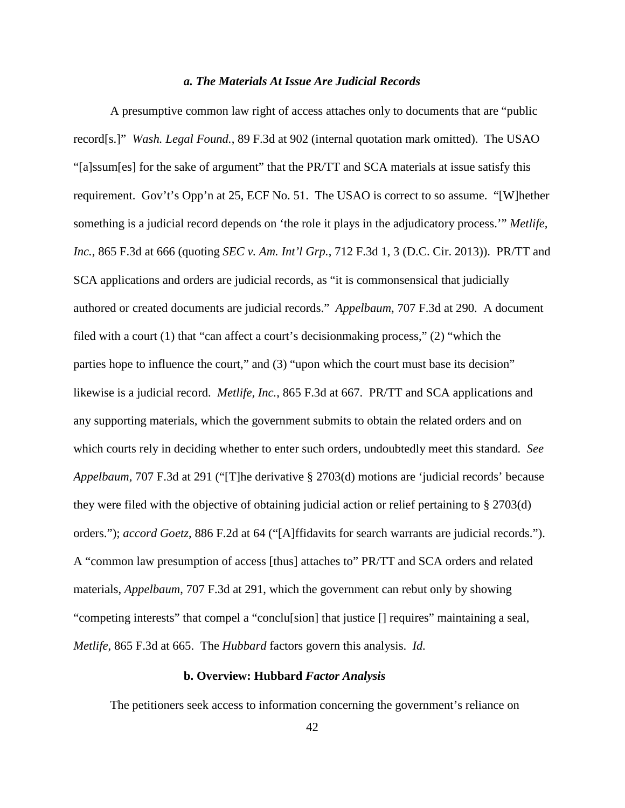#### *a. The Materials At Issue Are Judicial Records*

A presumptive common law right of access attaches only to documents that are "public record[s.]" *Wash. Legal Found.*, 89 F.3d at 902 (internal quotation mark omitted). The USAO "[a]ssum[es] for the sake of argument" that the PR/TT and SCA materials at issue satisfy this requirement. Gov't's Opp'n at 25, ECF No. 51. The USAO is correct to so assume. "[W]hether something is a judicial record depends on 'the role it plays in the adjudicatory process.'" *Metlife, Inc.*, 865 F.3d at 666 (quoting *SEC v. Am. Int'l Grp.*, 712 F.3d 1, 3 (D.C. Cir. 2013)). PR/TT and SCA applications and orders are judicial records, as "it is commonsensical that judicially authored or created documents are judicial records." *Appelbaum*, 707 F.3d at 290. A document filed with a court (1) that "can affect a court's decisionmaking process," (2) "which the parties hope to influence the court," and (3) "upon which the court must base its decision" likewise is a judicial record. *Metlife, Inc.*, 865 F.3d at 667. PR/TT and SCA applications and any supporting materials, which the government submits to obtain the related orders and on which courts rely in deciding whether to enter such orders, undoubtedly meet this standard. *See Appelbaum*, 707 F.3d at 291 ("[T]he derivative § 2703(d) motions are 'judicial records' because they were filed with the objective of obtaining judicial action or relief pertaining to § 2703(d) orders."); *accord Goetz*, 886 F.2d at 64 ("[A]ffidavits for search warrants are judicial records."). A "common law presumption of access [thus] attaches to" PR/TT and SCA orders and related materials, *Appelbaum*, 707 F.3d at 291, which the government can rebut only by showing "competing interests" that compel a "conclu[sion] that justice [] requires" maintaining a seal, *Metlife*, 865 F.3d at 665. The *Hubbard* factors govern this analysis. *Id.*

### **b. Overview: Hubbard** *Factor Analysis*

The petitioners seek access to information concerning the government's reliance on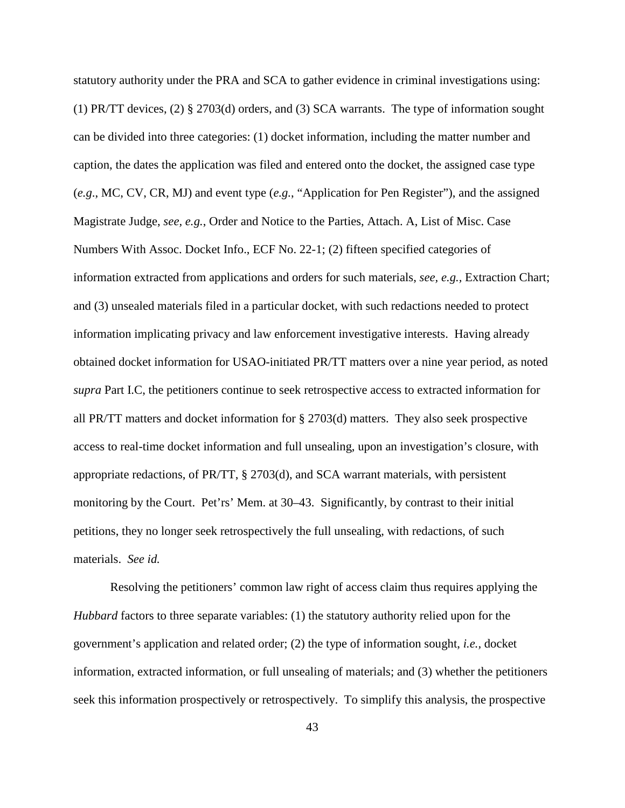statutory authority under the PRA and SCA to gather evidence in criminal investigations using: (1) PR/TT devices, (2) § 2703(d) orders, and (3) SCA warrants. The type of information sought can be divided into three categories: (1) docket information, including the matter number and caption, the dates the application was filed and entered onto the docket, the assigned case type (*e.g*., MC, CV, CR, MJ) and event type (*e.g.*, "Application for Pen Register"), and the assigned Magistrate Judge, *see, e.g.*, Order and Notice to the Parties, Attach. A, List of Misc. Case Numbers With Assoc. Docket Info., ECF No. 22-1; (2) fifteen specified categories of information extracted from applications and orders for such materials, *see, e.g.,* Extraction Chart; and (3) unsealed materials filed in a particular docket, with such redactions needed to protect information implicating privacy and law enforcement investigative interests. Having already obtained docket information for USAO-initiated PR/TT matters over a nine year period, as noted *supra* Part I.C, the petitioners continue to seek retrospective access to extracted information for all PR/TT matters and docket information for § 2703(d) matters. They also seek prospective access to real-time docket information and full unsealing, upon an investigation's closure, with appropriate redactions, of PR/TT, § 2703(d), and SCA warrant materials, with persistent monitoring by the Court. Pet'rs' Mem. at 30–43. Significantly, by contrast to their initial petitions, they no longer seek retrospectively the full unsealing, with redactions, of such materials. *See id.*

Resolving the petitioners' common law right of access claim thus requires applying the *Hubbard* factors to three separate variables: (1) the statutory authority relied upon for the government's application and related order; (2) the type of information sought, *i.e.,* docket information, extracted information, or full unsealing of materials; and (3) whether the petitioners seek this information prospectively or retrospectively. To simplify this analysis, the prospective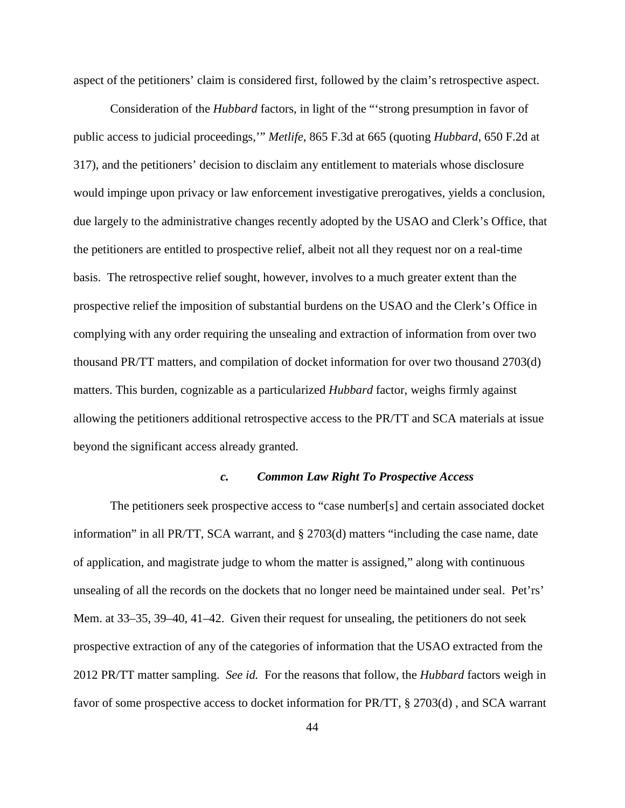aspect of the petitioners' claim is considered first, followed by the claim's retrospective aspect.

Consideration of the *Hubbard* factors, in light of the "'strong presumption in favor of public access to judicial proceedings,'" *Metlife*, 865 F.3d at 665 (quoting *Hubbard*, 650 F.2d at 317), and the petitioners' decision to disclaim any entitlement to materials whose disclosure would impinge upon privacy or law enforcement investigative prerogatives, yields a conclusion, due largely to the administrative changes recently adopted by the USAO and Clerk's Office, that the petitioners are entitled to prospective relief, albeit not all they request nor on a real-time basis. The retrospective relief sought, however, involves to a much greater extent than the prospective relief the imposition of substantial burdens on the USAO and the Clerk's Office in complying with any order requiring the unsealing and extraction of information from over two thousand PR/TT matters, and compilation of docket information for over two thousand 2703(d) matters. This burden, cognizable as a particularized *Hubbard* factor, weighs firmly against allowing the petitioners additional retrospective access to the PR/TT and SCA materials at issue beyond the significant access already granted.

## *c. Common Law Right To Prospective Access*

The petitioners seek prospective access to "case number[s] and certain associated docket information" in all PR/TT, SCA warrant, and § 2703(d) matters "including the case name, date of application, and magistrate judge to whom the matter is assigned," along with continuous unsealing of all the records on the dockets that no longer need be maintained under seal. Pet'rs' Mem. at 33–35, 39–40, 41–42. Given their request for unsealing, the petitioners do not seek prospective extraction of any of the categories of information that the USAO extracted from the 2012 PR/TT matter sampling. *See id.* For the reasons that follow, the *Hubbard* factors weigh in favor of some prospective access to docket information for PR/TT, § 2703(d) , and SCA warrant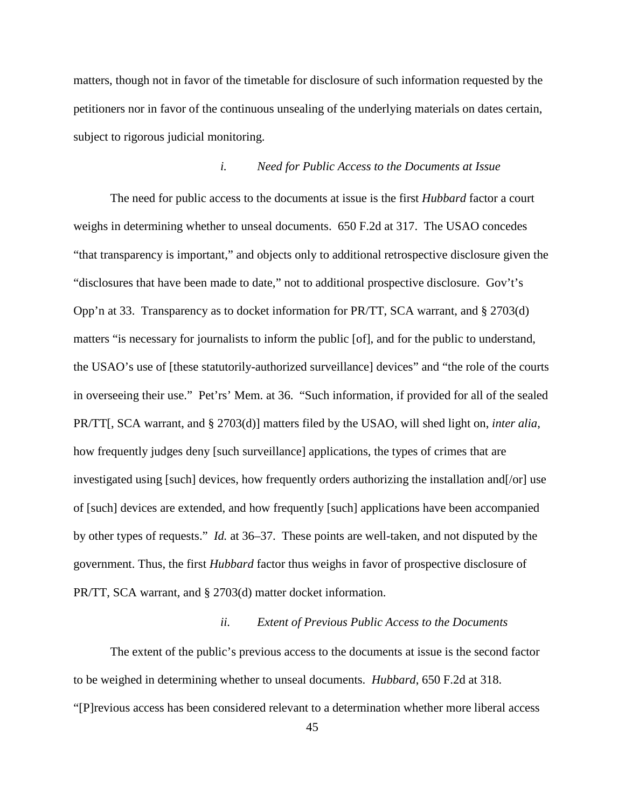matters, though not in favor of the timetable for disclosure of such information requested by the petitioners nor in favor of the continuous unsealing of the underlying materials on dates certain, subject to rigorous judicial monitoring.

## *i. Need for Public Access to the Documents at Issue*

The need for public access to the documents at issue is the first *Hubbard* factor a court weighs in determining whether to unseal documents. 650 F.2d at 317. The USAO concedes "that transparency is important," and objects only to additional retrospective disclosure given the "disclosures that have been made to date," not to additional prospective disclosure. Gov't's Opp'n at 33. Transparency as to docket information for PR/TT, SCA warrant, and § 2703(d) matters "is necessary for journalists to inform the public [of], and for the public to understand, the USAO's use of [these statutorily-authorized surveillance] devices" and "the role of the courts in overseeing their use." Pet'rs' Mem. at 36. "Such information, if provided for all of the sealed PR/TT[, SCA warrant, and § 2703(d)] matters filed by the USAO, will shed light on, *inter alia*, how frequently judges deny [such surveillance] applications, the types of crimes that are investigated using [such] devices, how frequently orders authorizing the installation and [/or] use of [such] devices are extended, and how frequently [such] applications have been accompanied by other types of requests." *Id.* at 36–37. These points are well-taken, and not disputed by the government. Thus, the first *Hubbard* factor thus weighs in favor of prospective disclosure of PR/TT, SCA warrant, and § 2703(d) matter docket information.

## *ii. Extent of Previous Public Access to the Documents*

The extent of the public's previous access to the documents at issue is the second factor to be weighed in determining whether to unseal documents. *Hubbard*, 650 F.2d at 318.

"[P]revious access has been considered relevant to a determination whether more liberal access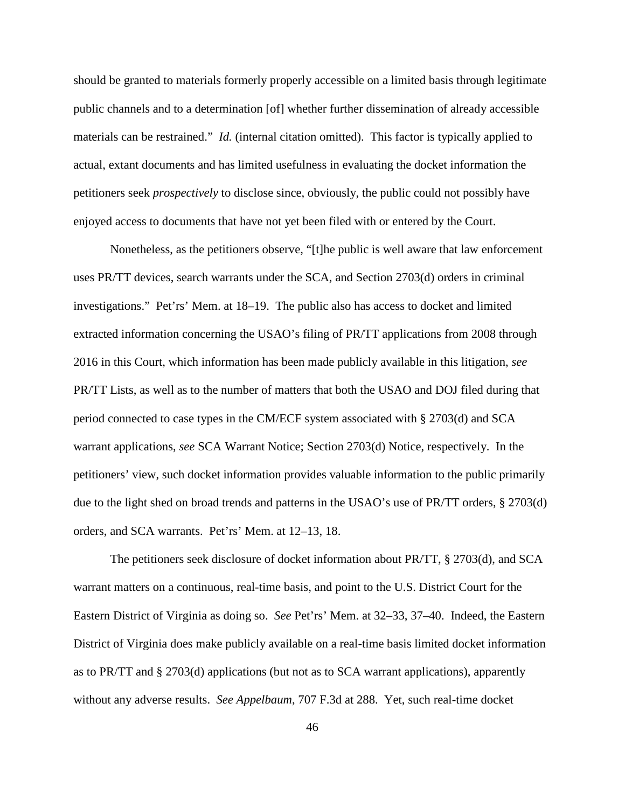should be granted to materials formerly properly accessible on a limited basis through legitimate public channels and to a determination [of] whether further dissemination of already accessible materials can be restrained." *Id.* (internal citation omitted). This factor is typically applied to actual, extant documents and has limited usefulness in evaluating the docket information the petitioners seek *prospectively* to disclose since, obviously, the public could not possibly have enjoyed access to documents that have not yet been filed with or entered by the Court.

Nonetheless, as the petitioners observe, "[t]he public is well aware that law enforcement uses PR/TT devices, search warrants under the SCA, and Section 2703(d) orders in criminal investigations." Pet'rs' Mem. at 18–19. The public also has access to docket and limited extracted information concerning the USAO's filing of PR/TT applications from 2008 through 2016 in this Court, which information has been made publicly available in this litigation, *see* PR/TT Lists, as well as to the number of matters that both the USAO and DOJ filed during that period connected to case types in the CM/ECF system associated with § 2703(d) and SCA warrant applications, *see* SCA Warrant Notice; Section 2703(d) Notice, respectively. In the petitioners' view, such docket information provides valuable information to the public primarily due to the light shed on broad trends and patterns in the USAO's use of PR/TT orders, § 2703(d) orders, and SCA warrants. Pet'rs' Mem. at 12–13, 18.

The petitioners seek disclosure of docket information about PR/TT, § 2703(d), and SCA warrant matters on a continuous, real-time basis, and point to the U.S. District Court for the Eastern District of Virginia as doing so. *See* Pet'rs' Mem. at 32–33, 37–40. Indeed, the Eastern District of Virginia does make publicly available on a real-time basis limited docket information as to PR/TT and § 2703(d) applications (but not as to SCA warrant applications), apparently without any adverse results. *See Appelbaum*, 707 F.3d at 288. Yet, such real-time docket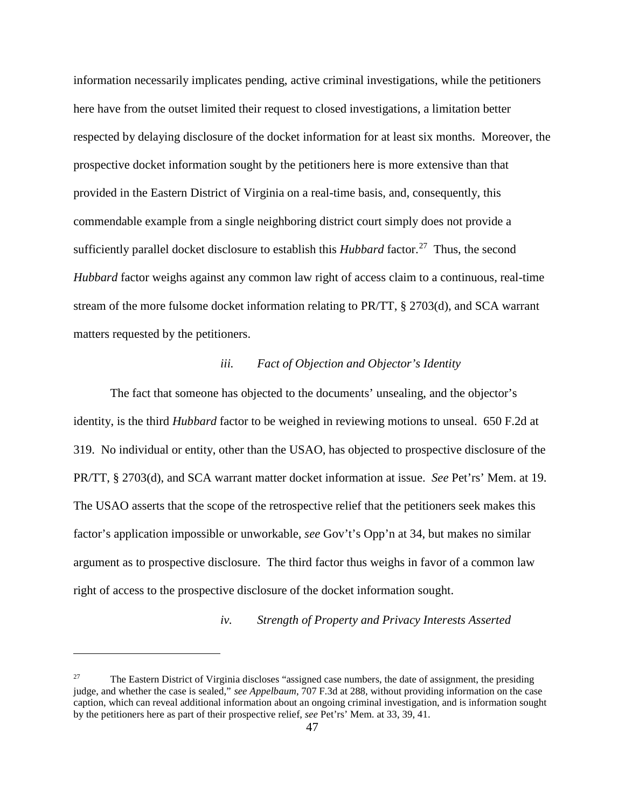information necessarily implicates pending, active criminal investigations, while the petitioners here have from the outset limited their request to closed investigations, a limitation better respected by delaying disclosure of the docket information for at least six months. Moreover, the prospective docket information sought by the petitioners here is more extensive than that provided in the Eastern District of Virginia on a real-time basis, and, consequently, this commendable example from a single neighboring district court simply does not provide a sufficiently parallel docket disclosure to establish this *Hubbard* factor.<sup>[27](#page-46-0)</sup> Thus, the second *Hubbard* factor weighs against any common law right of access claim to a continuous, real-time stream of the more fulsome docket information relating to PR/TT, § 2703(d), and SCA warrant matters requested by the petitioners.

#### *iii. Fact of Objection and Objector's Identity*

The fact that someone has objected to the documents' unsealing, and the objector's identity, is the third *Hubbard* factor to be weighed in reviewing motions to unseal. 650 F.2d at 319. No individual or entity, other than the USAO, has objected to prospective disclosure of the PR/TT, § 2703(d), and SCA warrant matter docket information at issue. *See* Pet'rs' Mem. at 19. The USAO asserts that the scope of the retrospective relief that the petitioners seek makes this factor's application impossible or unworkable, *see* Gov't's Opp'n at 34, but makes no similar argument as to prospective disclosure. The third factor thus weighs in favor of a common law right of access to the prospective disclosure of the docket information sought.

## *iv. Strength of Property and Privacy Interests Asserted*

<span id="page-46-0"></span><sup>&</sup>lt;sup>27</sup> The Eastern District of Virginia discloses "assigned case numbers, the date of assignment, the presiding judge, and whether the case is sealed," *see Appelbaum*, 707 F.3d at 288, without providing information on the case caption, which can reveal additional information about an ongoing criminal investigation, and is information sought by the petitioners here as part of their prospective relief, *see* Pet'rs' Mem. at 33, 39, 41.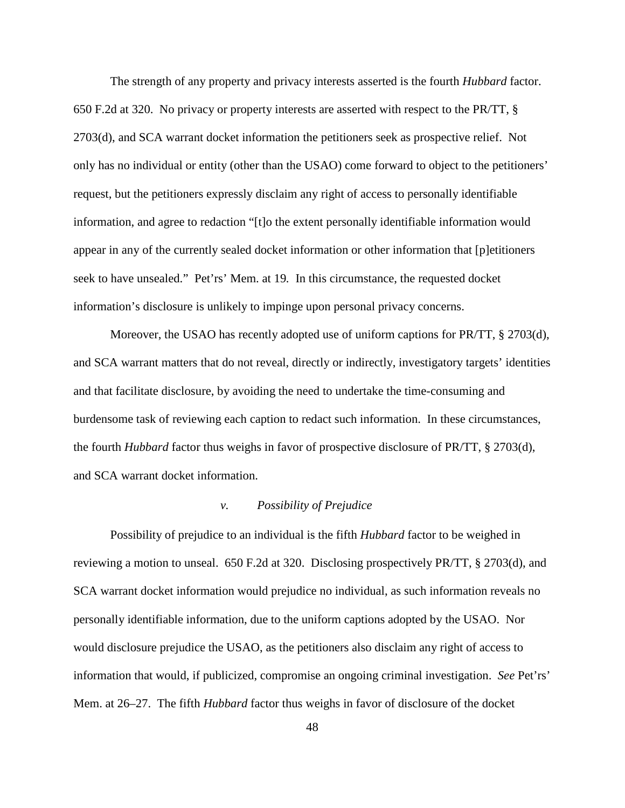The strength of any property and privacy interests asserted is the fourth *Hubbard* factor. 650 F.2d at 320. No privacy or property interests are asserted with respect to the PR/TT, § 2703(d), and SCA warrant docket information the petitioners seek as prospective relief. Not only has no individual or entity (other than the USAO) come forward to object to the petitioners' request, but the petitioners expressly disclaim any right of access to personally identifiable information, and agree to redaction "[t]o the extent personally identifiable information would appear in any of the currently sealed docket information or other information that [p]etitioners seek to have unsealed." Pet'rs' Mem. at 19*.* In this circumstance, the requested docket information's disclosure is unlikely to impinge upon personal privacy concerns.

Moreover, the USAO has recently adopted use of uniform captions for PR/TT, § 2703(d), and SCA warrant matters that do not reveal, directly or indirectly, investigatory targets' identities and that facilitate disclosure, by avoiding the need to undertake the time-consuming and burdensome task of reviewing each caption to redact such information. In these circumstances, the fourth *Hubbard* factor thus weighs in favor of prospective disclosure of PR/TT, § 2703(d), and SCA warrant docket information.

## *v. Possibility of Prejudice*

Possibility of prejudice to an individual is the fifth *Hubbard* factor to be weighed in reviewing a motion to unseal. 650 F.2d at 320. Disclosing prospectively PR/TT, § 2703(d), and SCA warrant docket information would prejudice no individual, as such information reveals no personally identifiable information, due to the uniform captions adopted by the USAO. Nor would disclosure prejudice the USAO, as the petitioners also disclaim any right of access to information that would, if publicized, compromise an ongoing criminal investigation. *See* Pet'rs' Mem. at 26–27. The fifth *Hubbard* factor thus weighs in favor of disclosure of the docket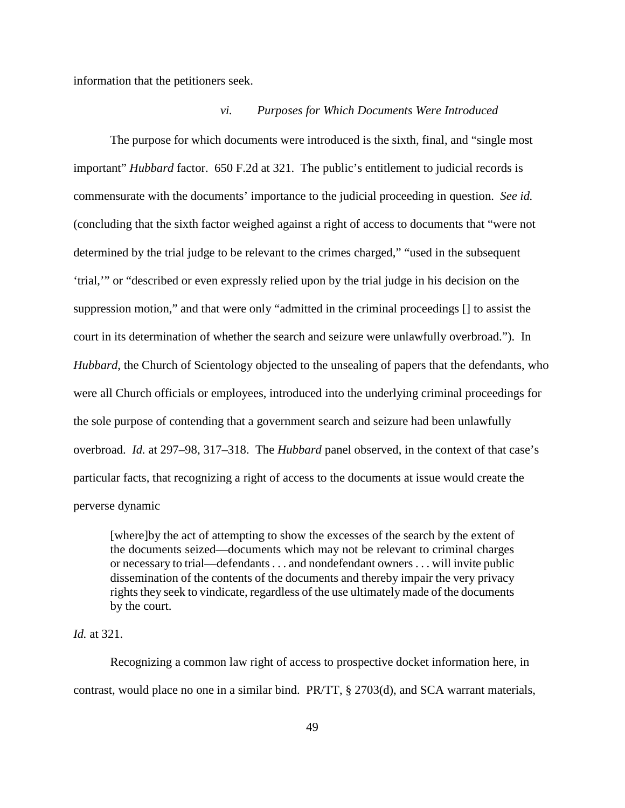information that the petitioners seek.

#### *vi. Purposes for Which Documents Were Introduced*

The purpose for which documents were introduced is the sixth, final, and "single most important" *Hubbard* factor. 650 F.2d at 321. The public's entitlement to judicial records is commensurate with the documents' importance to the judicial proceeding in question. *See id.* (concluding that the sixth factor weighed against a right of access to documents that "were not determined by the trial judge to be relevant to the crimes charged," "used in the subsequent 'trial,'" or "described or even expressly relied upon by the trial judge in his decision on the suppression motion," and that were only "admitted in the criminal proceedings [] to assist the court in its determination of whether the search and seizure were unlawfully overbroad."). In *Hubbard*, the Church of Scientology objected to the unsealing of papers that the defendants, who were all Church officials or employees, introduced into the underlying criminal proceedings for the sole purpose of contending that a government search and seizure had been unlawfully overbroad. *Id.* at 297–98, 317–318. The *Hubbard* panel observed, in the context of that case's particular facts, that recognizing a right of access to the documents at issue would create the perverse dynamic

[where]by the act of attempting to show the excesses of the search by the extent of the documents seized—documents which may not be relevant to criminal charges or necessary to trial—defendants . . . and nondefendant owners . . . will invite public dissemination of the contents of the documents and thereby impair the very privacy rights they seek to vindicate, regardless of the use ultimately made of the documents by the court.

## *Id.* at 321.

Recognizing a common law right of access to prospective docket information here, in contrast, would place no one in a similar bind. PR/TT, § 2703(d), and SCA warrant materials,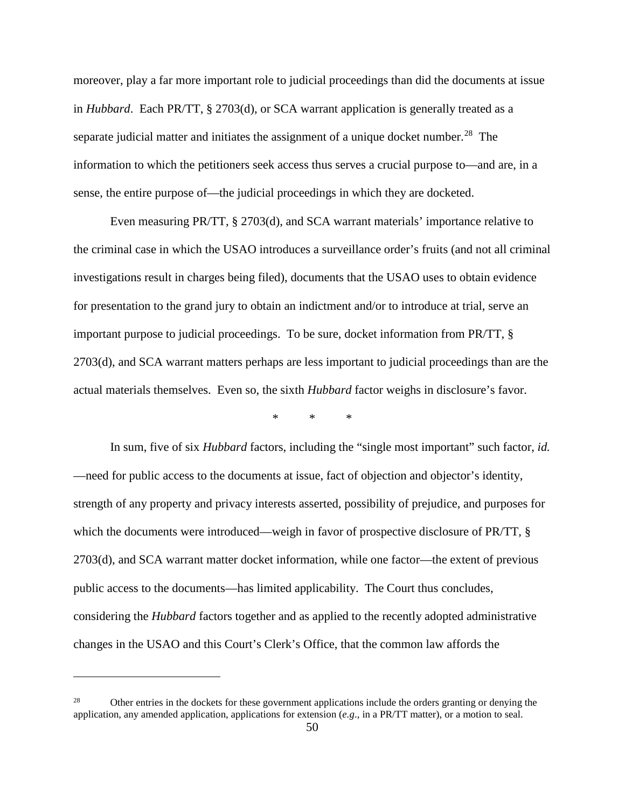moreover, play a far more important role to judicial proceedings than did the documents at issue in *Hubbard*. Each PR/TT, § 2703(d), or SCA warrant application is generally treated as a separate judicial matter and initiates the assignment of a unique docket number.<sup>[28](#page-49-0)</sup> The information to which the petitioners seek access thus serves a crucial purpose to—and are, in a sense, the entire purpose of—the judicial proceedings in which they are docketed.

Even measuring PR/TT, § 2703(d), and SCA warrant materials' importance relative to the criminal case in which the USAO introduces a surveillance order's fruits (and not all criminal investigations result in charges being filed), documents that the USAO uses to obtain evidence for presentation to the grand jury to obtain an indictment and/or to introduce at trial, serve an important purpose to judicial proceedings. To be sure, docket information from PR/TT, § 2703(d), and SCA warrant matters perhaps are less important to judicial proceedings than are the actual materials themselves. Even so, the sixth *Hubbard* factor weighs in disclosure's favor.

\* \* \*

In sum, five of six *Hubbard* factors, including the "single most important" such factor, *id.* —need for public access to the documents at issue, fact of objection and objector's identity, strength of any property and privacy interests asserted, possibility of prejudice, and purposes for which the documents were introduced—weigh in favor of prospective disclosure of PR/TT,  $\S$ 2703(d), and SCA warrant matter docket information, while one factor—the extent of previous public access to the documents—has limited applicability. The Court thus concludes, considering the *Hubbard* factors together and as applied to the recently adopted administrative changes in the USAO and this Court's Clerk's Office, that the common law affords the

<span id="page-49-0"></span><sup>&</sup>lt;sup>28</sup> Other entries in the dockets for these government applications include the orders granting or denying the application, any amended application, applications for extension (*e.g*., in a PR/TT matter), or a motion to seal.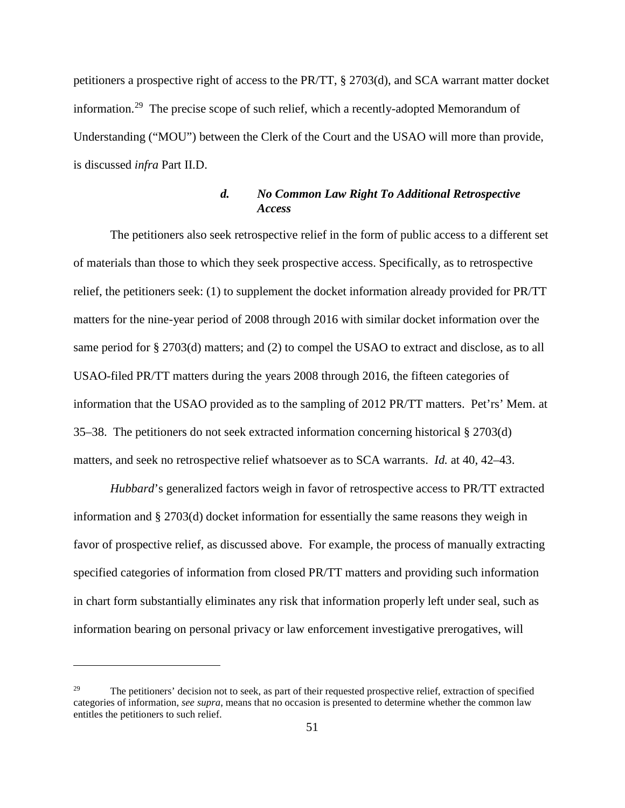petitioners a prospective right of access to the PR/TT, § 2703(d), and SCA warrant matter docket information.<sup>[29](#page-50-0)</sup> The precise scope of such relief, which a recently-adopted Memorandum of Understanding ("MOU") between the Clerk of the Court and the USAO will more than provide, is discussed *infra* Part II.D.

## *d. No Common Law Right To Additional Retrospective Access*

The petitioners also seek retrospective relief in the form of public access to a different set of materials than those to which they seek prospective access. Specifically, as to retrospective relief, the petitioners seek: (1) to supplement the docket information already provided for PR/TT matters for the nine-year period of 2008 through 2016 with similar docket information over the same period for § 2703(d) matters; and (2) to compel the USAO to extract and disclose, as to all USAO-filed PR/TT matters during the years 2008 through 2016, the fifteen categories of information that the USAO provided as to the sampling of 2012 PR/TT matters. Pet'rs' Mem. at 35–38. The petitioners do not seek extracted information concerning historical § 2703(d) matters, and seek no retrospective relief whatsoever as to SCA warrants. *Id.* at 40, 42–43.

*Hubbard*'s generalized factors weigh in favor of retrospective access to PR/TT extracted information and § 2703(d) docket information for essentially the same reasons they weigh in favor of prospective relief, as discussed above. For example*,* the process of manually extracting specified categories of information from closed PR/TT matters and providing such information in chart form substantially eliminates any risk that information properly left under seal, such as information bearing on personal privacy or law enforcement investigative prerogatives, will

<span id="page-50-0"></span><sup>29</sup> The petitioners' decision not to seek, as part of their requested prospective relief, extraction of specified categories of information, *see supra*, means that no occasion is presented to determine whether the common law entitles the petitioners to such relief.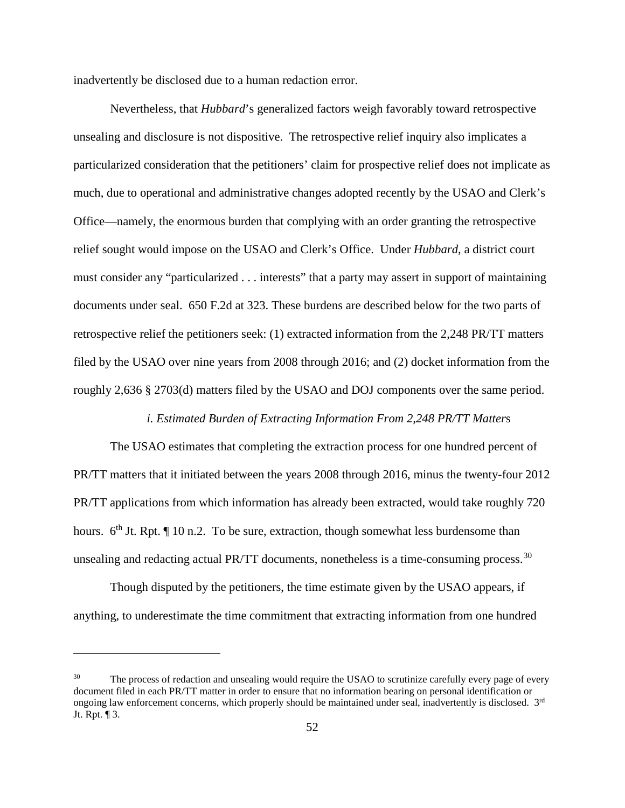inadvertently be disclosed due to a human redaction error.

Nevertheless, that *Hubbard*'s generalized factors weigh favorably toward retrospective unsealing and disclosure is not dispositive. The retrospective relief inquiry also implicates a particularized consideration that the petitioners' claim for prospective relief does not implicate as much, due to operational and administrative changes adopted recently by the USAO and Clerk's Office—namely, the enormous burden that complying with an order granting the retrospective relief sought would impose on the USAO and Clerk's Office. Under *Hubbard*, a district court must consider any "particularized . . . interests" that a party may assert in support of maintaining documents under seal. 650 F.2d at 323. These burdens are described below for the two parts of retrospective relief the petitioners seek: (1) extracted information from the 2,248 PR/TT matters filed by the USAO over nine years from 2008 through 2016; and (2) docket information from the roughly 2,636 § 2703(d) matters filed by the USAO and DOJ components over the same period.

#### *i. Estimated Burden of Extracting Information From 2,248 PR/TT Matter*s

The USAO estimates that completing the extraction process for one hundred percent of PR/TT matters that it initiated between the years 2008 through 2016, minus the twenty-four 2012 PR/TT applications from which information has already been extracted, would take roughly 720 hours.  $6<sup>th</sup>$  Jt. Rpt.  $\parallel$  10 n.2. To be sure, extraction, though somewhat less burdensome than unsealing and redacting actual PR/TT documents, nonetheless is a time-consuming process.<sup>[30](#page-51-0)</sup>

Though disputed by the petitioners, the time estimate given by the USAO appears, if anything, to underestimate the time commitment that extracting information from one hundred

<span id="page-51-0"></span><sup>&</sup>lt;sup>30</sup> The process of redaction and unsealing would require the USAO to scrutinize carefully every page of every document filed in each PR/TT matter in order to ensure that no information bearing on personal identification or ongoing law enforcement concerns, which properly should be maintained under seal, inadvertently is disclosed. 3rd Jt. Rpt. ¶ 3.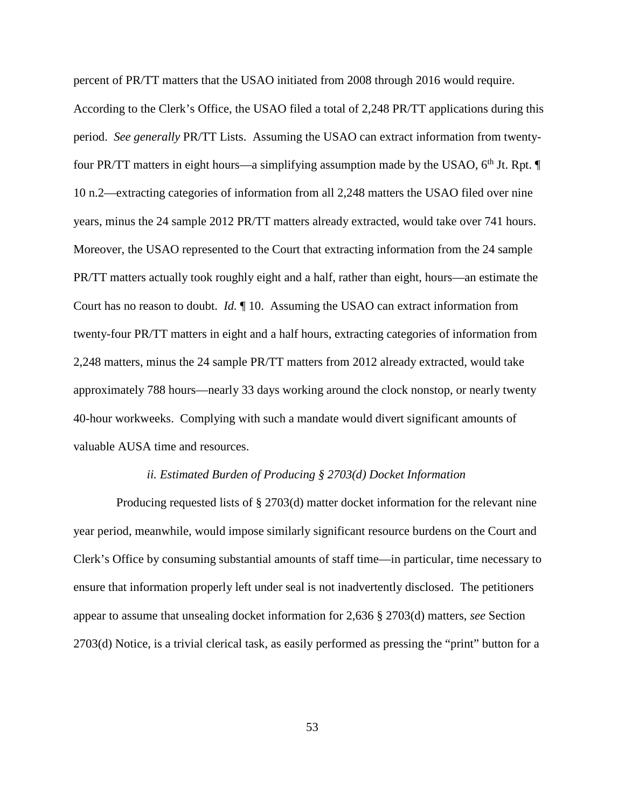percent of PR/TT matters that the USAO initiated from 2008 through 2016 would require.

According to the Clerk's Office, the USAO filed a total of 2,248 PR/TT applications during this period. *See generally* PR/TT Lists. Assuming the USAO can extract information from twentyfour PR/TT matters in eight hours—a simplifying assumption made by the USAO,  $6<sup>th</sup>$  Jt. Rpt.  $\P$ 10 n.2—extracting categories of information from all 2,248 matters the USAO filed over nine years, minus the 24 sample 2012 PR/TT matters already extracted, would take over 741 hours. Moreover, the USAO represented to the Court that extracting information from the 24 sample PR/TT matters actually took roughly eight and a half, rather than eight, hours—an estimate the Court has no reason to doubt. *Id.* ¶ 10. Assuming the USAO can extract information from twenty-four PR/TT matters in eight and a half hours, extracting categories of information from 2,248 matters, minus the 24 sample PR/TT matters from 2012 already extracted, would take approximately 788 hours—nearly 33 days working around the clock nonstop, or nearly twenty 40-hour workweeks. Complying with such a mandate would divert significant amounts of valuable AUSA time and resources.

#### *ii. Estimated Burden of Producing § 2703(d) Docket Information*

 Producing requested lists of § 2703(d) matter docket information for the relevant nine year period, meanwhile, would impose similarly significant resource burdens on the Court and Clerk's Office by consuming substantial amounts of staff time—in particular, time necessary to ensure that information properly left under seal is not inadvertently disclosed. The petitioners appear to assume that unsealing docket information for 2,636 § 2703(d) matters, *see* Section 2703(d) Notice, is a trivial clerical task, as easily performed as pressing the "print" button for a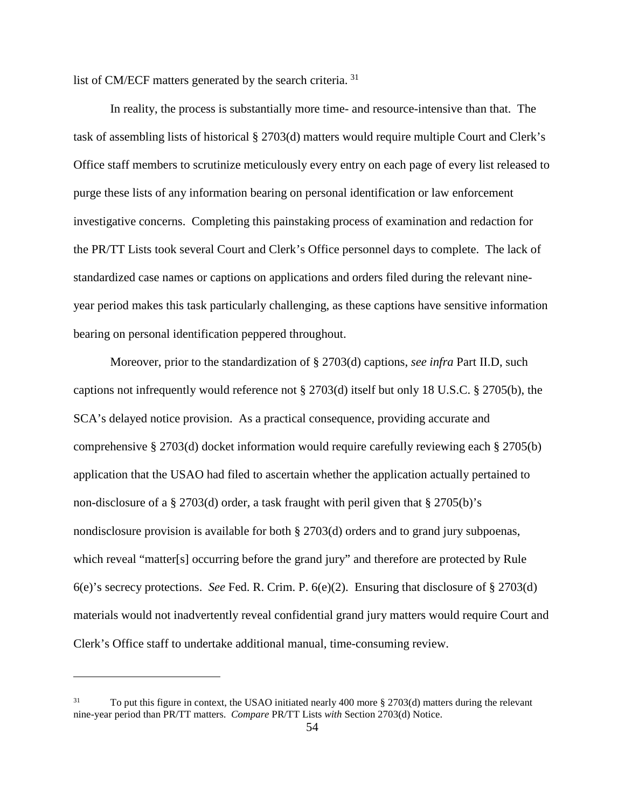list of CM/ECF matters generated by the search criteria. [31](#page-53-0)

In reality, the process is substantially more time- and resource-intensive than that. The task of assembling lists of historical § 2703(d) matters would require multiple Court and Clerk's Office staff members to scrutinize meticulously every entry on each page of every list released to purge these lists of any information bearing on personal identification or law enforcement investigative concerns. Completing this painstaking process of examination and redaction for the PR/TT Lists took several Court and Clerk's Office personnel days to complete. The lack of standardized case names or captions on applications and orders filed during the relevant nineyear period makes this task particularly challenging, as these captions have sensitive information bearing on personal identification peppered throughout.

Moreover, prior to the standardization of § 2703(d) captions, *see infra* Part II.D, such captions not infrequently would reference not § 2703(d) itself but only 18 U.S.C. § 2705(b), the SCA's delayed notice provision. As a practical consequence, providing accurate and comprehensive § 2703(d) docket information would require carefully reviewing each § 2705(b) application that the USAO had filed to ascertain whether the application actually pertained to non-disclosure of a § 2703(d) order, a task fraught with peril given that § 2705(b)'s nondisclosure provision is available for both § 2703(d) orders and to grand jury subpoenas, which reveal "matter[s] occurring before the grand jury" and therefore are protected by Rule 6(e)'s secrecy protections. *See* Fed. R. Crim. P. 6(e)(2). Ensuring that disclosure of § 2703(d) materials would not inadvertently reveal confidential grand jury matters would require Court and Clerk's Office staff to undertake additional manual, time-consuming review.

<span id="page-53-0"></span><sup>&</sup>lt;sup>31</sup> To put this figure in context, the USAO initiated nearly 400 more § 2703(d) matters during the relevant nine-year period than PR/TT matters. *Compare* PR/TT Lists *with* Section 2703(d) Notice.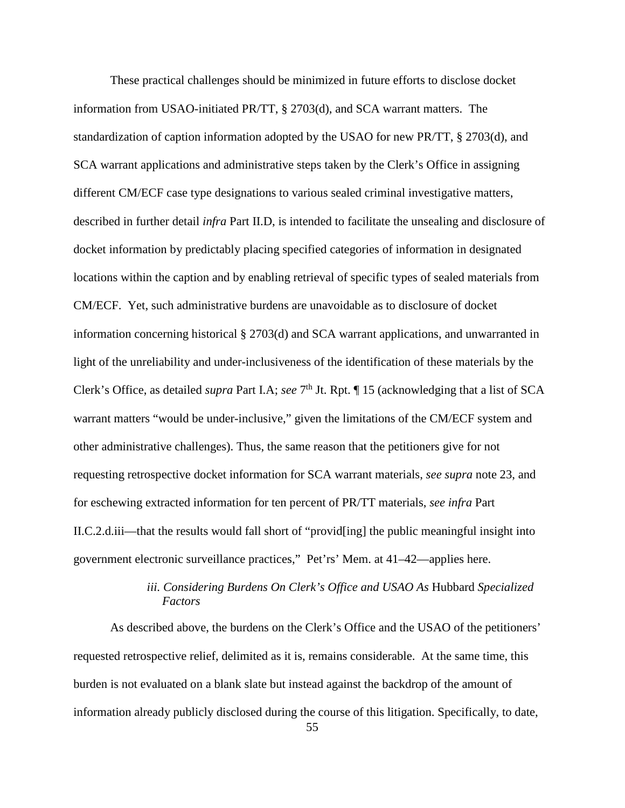These practical challenges should be minimized in future efforts to disclose docket information from USAO-initiated PR/TT, § 2703(d), and SCA warrant matters. The standardization of caption information adopted by the USAO for new PR/TT, § 2703(d), and SCA warrant applications and administrative steps taken by the Clerk's Office in assigning different CM/ECF case type designations to various sealed criminal investigative matters, described in further detail *infra* Part II.D, is intended to facilitate the unsealing and disclosure of docket information by predictably placing specified categories of information in designated locations within the caption and by enabling retrieval of specific types of sealed materials from CM/ECF. Yet, such administrative burdens are unavoidable as to disclosure of docket information concerning historical § 2703(d) and SCA warrant applications, and unwarranted in light of the unreliability and under-inclusiveness of the identification of these materials by the Clerk's Office, as detailed *supra* Part I.A; *see* 7<sup>th</sup> Jt. Rpt.  $\P$  15 (acknowledging that a list of SCA warrant matters "would be under-inclusive," given the limitations of the CM/ECF system and other administrative challenges). Thus, the same reason that the petitioners give for not requesting retrospective docket information for SCA warrant materials, *see supra* note 23, and for eschewing extracted information for ten percent of PR/TT materials, *see infra* Part II.C.2.d.iii—that the results would fall short of "provid[ing] the public meaningful insight into government electronic surveillance practices," Pet'rs' Mem. at 41–42—applies here.

# *iii. Considering Burdens On Clerk's Office and USAO As* Hubbard *Specialized Factors*

As described above, the burdens on the Clerk's Office and the USAO of the petitioners' requested retrospective relief, delimited as it is, remains considerable. At the same time, this burden is not evaluated on a blank slate but instead against the backdrop of the amount of information already publicly disclosed during the course of this litigation. Specifically, to date,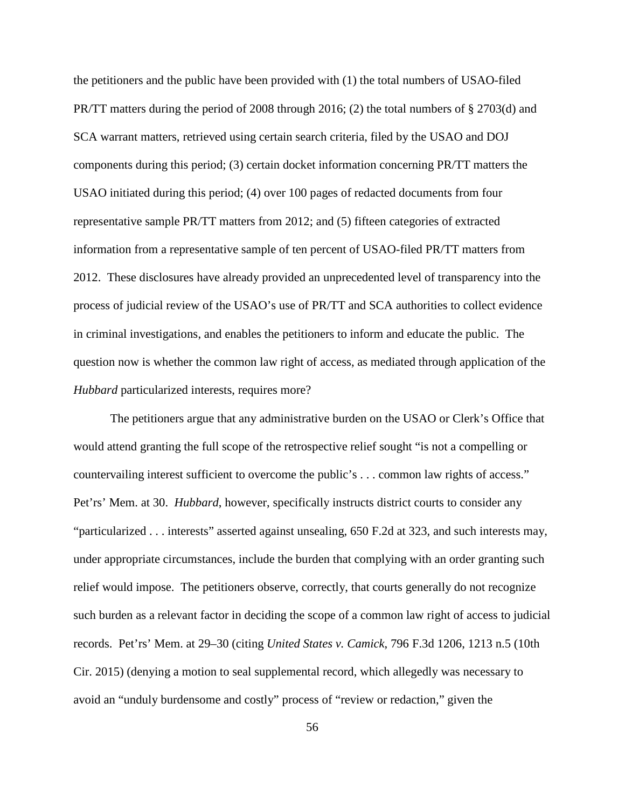the petitioners and the public have been provided with (1) the total numbers of USAO-filed PR/TT matters during the period of 2008 through 2016; (2) the total numbers of § 2703(d) and SCA warrant matters, retrieved using certain search criteria, filed by the USAO and DOJ components during this period; (3) certain docket information concerning PR/TT matters the USAO initiated during this period; (4) over 100 pages of redacted documents from four representative sample PR/TT matters from 2012; and (5) fifteen categories of extracted information from a representative sample of ten percent of USAO-filed PR/TT matters from 2012. These disclosures have already provided an unprecedented level of transparency into the process of judicial review of the USAO's use of PR/TT and SCA authorities to collect evidence in criminal investigations, and enables the petitioners to inform and educate the public. The question now is whether the common law right of access, as mediated through application of the *Hubbard* particularized interests, requires more?

The petitioners argue that any administrative burden on the USAO or Clerk's Office that would attend granting the full scope of the retrospective relief sought "is not a compelling or countervailing interest sufficient to overcome the public's . . . common law rights of access." Pet'rs' Mem. at 30. *Hubbard*, however, specifically instructs district courts to consider any "particularized . . . interests" asserted against unsealing, 650 F.2d at 323, and such interests may, under appropriate circumstances, include the burden that complying with an order granting such relief would impose. The petitioners observe, correctly, that courts generally do not recognize such burden as a relevant factor in deciding the scope of a common law right of access to judicial records. Pet'rs' Mem. at 29–30 (citing *United States v. Camick*, 796 F.3d 1206, 1213 n.5 (10th Cir. 2015) (denying a motion to seal supplemental record, which allegedly was necessary to avoid an "unduly burdensome and costly" process of "review or redaction," given the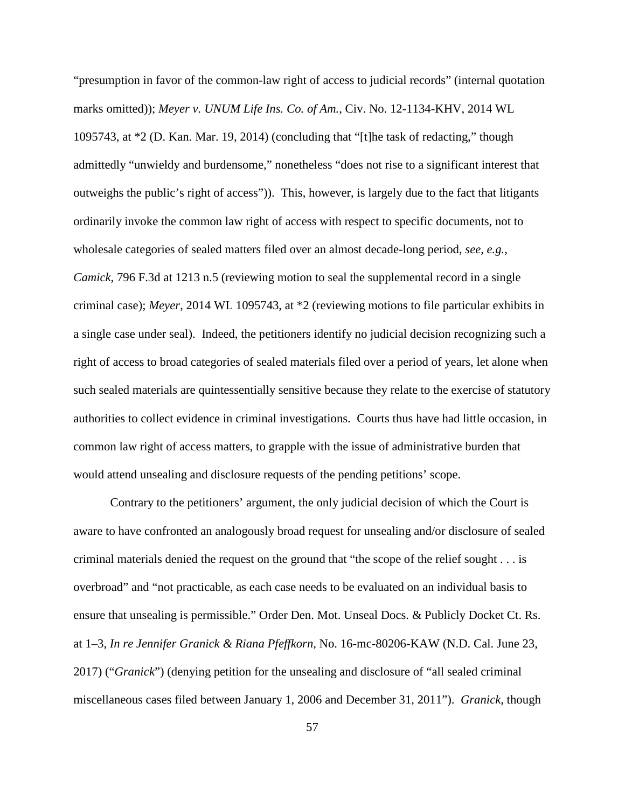"presumption in favor of the common-law right of access to judicial records" (internal quotation marks omitted)); *Meyer v. UNUM Life Ins. Co. of Am.*, Civ. No. 12-1134-KHV, 2014 WL 1095743, at \*2 (D. Kan. Mar. 19, 2014) (concluding that "[t]he task of redacting," though admittedly "unwieldy and burdensome," nonetheless "does not rise to a significant interest that outweighs the public's right of access")). This, however, is largely due to the fact that litigants ordinarily invoke the common law right of access with respect to specific documents, not to wholesale categories of sealed matters filed over an almost decade-long period, *see, e.g.*, *Camick*, 796 F.3d at 1213 n.5 (reviewing motion to seal the supplemental record in a single criminal case); *Meyer*, 2014 WL 1095743, at \*2 (reviewing motions to file particular exhibits in a single case under seal). Indeed, the petitioners identify no judicial decision recognizing such a right of access to broad categories of sealed materials filed over a period of years, let alone when such sealed materials are quintessentially sensitive because they relate to the exercise of statutory authorities to collect evidence in criminal investigations. Courts thus have had little occasion, in common law right of access matters, to grapple with the issue of administrative burden that would attend unsealing and disclosure requests of the pending petitions' scope.

Contrary to the petitioners' argument, the only judicial decision of which the Court is aware to have confronted an analogously broad request for unsealing and/or disclosure of sealed criminal materials denied the request on the ground that "the scope of the relief sought . . . is overbroad" and "not practicable, as each case needs to be evaluated on an individual basis to ensure that unsealing is permissible." Order Den. Mot. Unseal Docs. & Publicly Docket Ct. Rs. at 1–3, *In re Jennifer Granick & Riana Pfeffkorn*, No. 16-mc-80206-KAW (N.D. Cal. June 23, 2017) ("*Granick*") (denying petition for the unsealing and disclosure of "all sealed criminal miscellaneous cases filed between January 1, 2006 and December 31, 2011"). *Granick*, though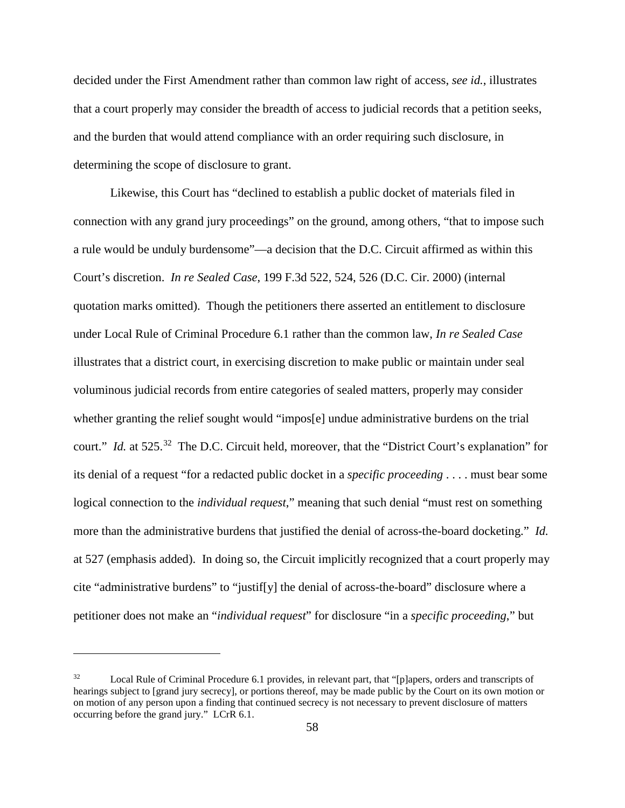decided under the First Amendment rather than common law right of access, *see id.*, illustrates that a court properly may consider the breadth of access to judicial records that a petition seeks, and the burden that would attend compliance with an order requiring such disclosure, in determining the scope of disclosure to grant.

Likewise, this Court has "declined to establish a public docket of materials filed in connection with any grand jury proceedings" on the ground, among others, "that to impose such a rule would be unduly burdensome"—a decision that the D.C. Circuit affirmed as within this Court's discretion. *In re Sealed Case*, 199 F.3d 522, 524, 526 (D.C. Cir. 2000) (internal quotation marks omitted). Though the petitioners there asserted an entitlement to disclosure under Local Rule of Criminal Procedure 6.1 rather than the common law, *In re Sealed Case* illustrates that a district court, in exercising discretion to make public or maintain under seal voluminous judicial records from entire categories of sealed matters, properly may consider whether granting the relief sought would "impos[e] undue administrative burdens on the trial court." *Id.* at 525.<sup>[32](#page-57-0)</sup> The D.C. Circuit held, moreover, that the "District Court's explanation" for its denial of a request "for a redacted public docket in a *specific proceeding* . . . . must bear some logical connection to the *individual request*," meaning that such denial "must rest on something more than the administrative burdens that justified the denial of across-the-board docketing." *Id.* at 527 (emphasis added). In doing so, the Circuit implicitly recognized that a court properly may cite "administrative burdens" to "justif[y] the denial of across-the-board" disclosure where a petitioner does not make an "*individual request*" for disclosure "in a *specific proceeding*," but

<span id="page-57-0"></span><sup>&</sup>lt;sup>32</sup> Local Rule of Criminal Procedure 6.1 provides, in relevant part, that "[p]apers, orders and transcripts of hearings subject to [grand jury secrecy], or portions thereof, may be made public by the Court on its own motion or on motion of any person upon a finding that continued secrecy is not necessary to prevent disclosure of matters occurring before the grand jury." LCrR 6.1.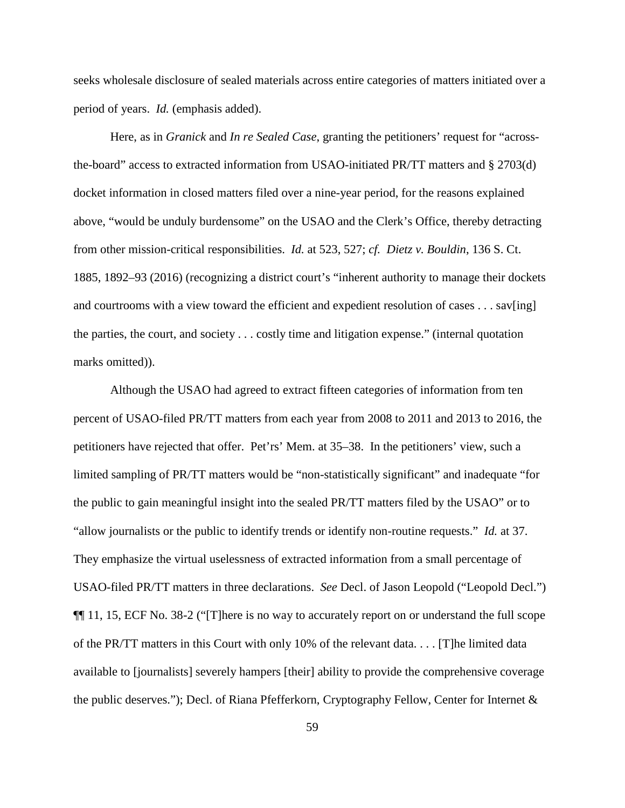seeks wholesale disclosure of sealed materials across entire categories of matters initiated over a period of years. *Id.* (emphasis added).

Here, as in *Granick* and *In re Sealed Case*, granting the petitioners' request for "acrossthe-board" access to extracted information from USAO-initiated PR/TT matters and § 2703(d) docket information in closed matters filed over a nine-year period, for the reasons explained above, "would be unduly burdensome" on the USAO and the Clerk's Office, thereby detracting from other mission-critical responsibilities. *Id.* at 523, 527; *cf. Dietz v. Bouldin*, 136 S. Ct. 1885, 1892–93 (2016) (recognizing a district court's "inherent authority to manage their dockets and courtrooms with a view toward the efficient and expedient resolution of cases . . . sav[ing] the parties, the court, and society . . . costly time and litigation expense." (internal quotation marks omitted)).

Although the USAO had agreed to extract fifteen categories of information from ten percent of USAO-filed PR/TT matters from each year from 2008 to 2011 and 2013 to 2016, the petitioners have rejected that offer. Pet'rs' Mem. at 35–38. In the petitioners' view, such a limited sampling of PR/TT matters would be "non-statistically significant" and inadequate "for the public to gain meaningful insight into the sealed PR/TT matters filed by the USAO" or to "allow journalists or the public to identify trends or identify non-routine requests." *Id.* at 37. They emphasize the virtual uselessness of extracted information from a small percentage of USAO-filed PR/TT matters in three declarations. *See* Decl. of Jason Leopold ("Leopold Decl.") ¶¶ 11, 15, ECF No. 38-2 ("[T]here is no way to accurately report on or understand the full scope of the PR/TT matters in this Court with only 10% of the relevant data. . . . [T]he limited data available to [journalists] severely hampers [their] ability to provide the comprehensive coverage the public deserves."); Decl. of Riana Pfefferkorn, Cryptography Fellow, Center for Internet &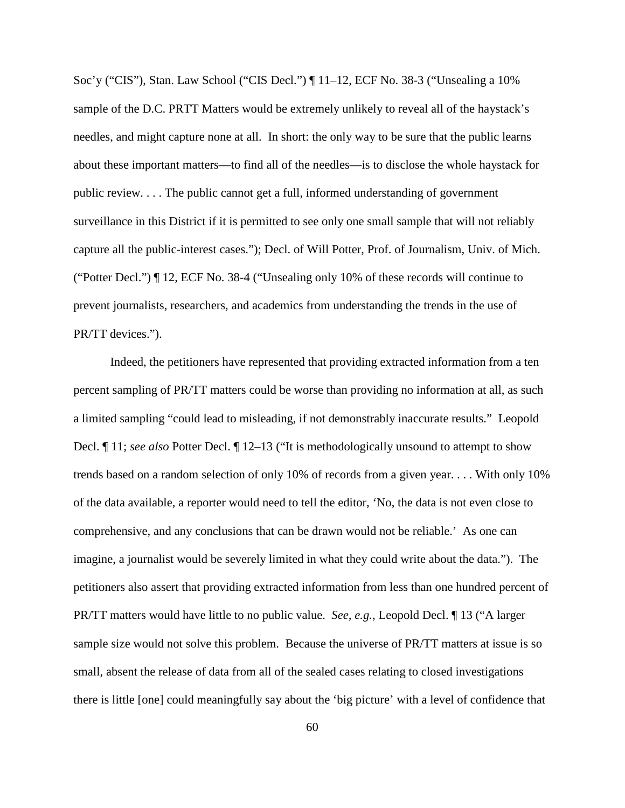Soc'y ("CIS"), Stan. Law School ("CIS Decl.") ¶ 11–12, ECF No. 38-3 ("Unsealing a 10% sample of the D.C. PRTT Matters would be extremely unlikely to reveal all of the haystack's needles, and might capture none at all. In short: the only way to be sure that the public learns about these important matters—to find all of the needles—is to disclose the whole haystack for public review. . . . The public cannot get a full, informed understanding of government surveillance in this District if it is permitted to see only one small sample that will not reliably capture all the public-interest cases."); Decl. of Will Potter, Prof. of Journalism, Univ. of Mich. ("Potter Decl.") ¶ 12, ECF No. 38-4 ("Unsealing only 10% of these records will continue to prevent journalists, researchers, and academics from understanding the trends in the use of PR/TT devices.").

Indeed, the petitioners have represented that providing extracted information from a ten percent sampling of PR/TT matters could be worse than providing no information at all, as such a limited sampling "could lead to misleading, if not demonstrably inaccurate results." Leopold Decl. ¶ 11; *see also* Potter Decl. ¶ 12–13 ("It is methodologically unsound to attempt to show trends based on a random selection of only 10% of records from a given year. . . . With only 10% of the data available, a reporter would need to tell the editor, 'No, the data is not even close to comprehensive, and any conclusions that can be drawn would not be reliable.' As one can imagine, a journalist would be severely limited in what they could write about the data."). The petitioners also assert that providing extracted information from less than one hundred percent of PR/TT matters would have little to no public value. *See, e.g.*, Leopold Decl. ¶ 13 ("A larger sample size would not solve this problem. Because the universe of PR/TT matters at issue is so small, absent the release of data from all of the sealed cases relating to closed investigations there is little [one] could meaningfully say about the 'big picture' with a level of confidence that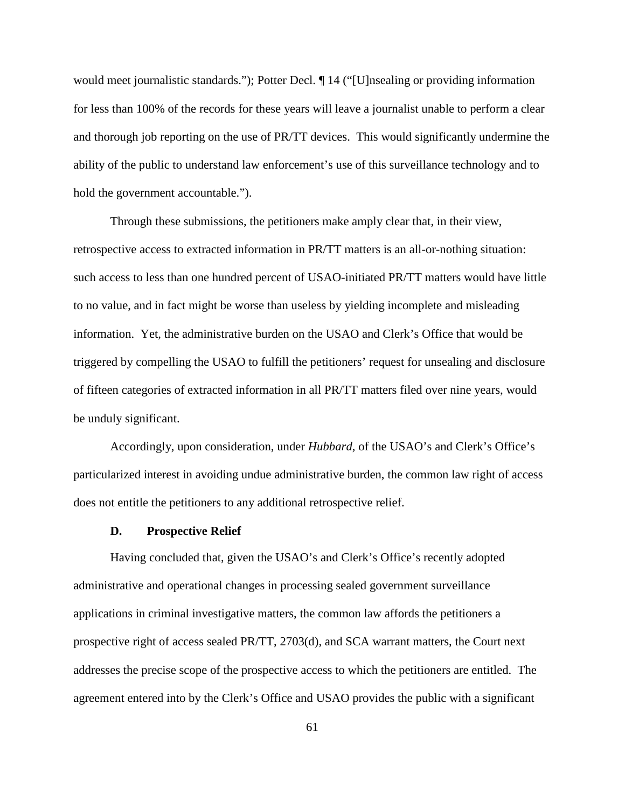would meet journalistic standards."); Potter Decl. ¶ 14 ("[U]nsealing or providing information for less than 100% of the records for these years will leave a journalist unable to perform a clear and thorough job reporting on the use of PR/TT devices. This would significantly undermine the ability of the public to understand law enforcement's use of this surveillance technology and to hold the government accountable.").

Through these submissions, the petitioners make amply clear that, in their view, retrospective access to extracted information in PR/TT matters is an all-or-nothing situation: such access to less than one hundred percent of USAO-initiated PR/TT matters would have little to no value, and in fact might be worse than useless by yielding incomplete and misleading information. Yet, the administrative burden on the USAO and Clerk's Office that would be triggered by compelling the USAO to fulfill the petitioners' request for unsealing and disclosure of fifteen categories of extracted information in all PR/TT matters filed over nine years, would be unduly significant.

Accordingly, upon consideration, under *Hubbard*, of the USAO's and Clerk's Office's particularized interest in avoiding undue administrative burden, the common law right of access does not entitle the petitioners to any additional retrospective relief.

#### **D. Prospective Relief**

Having concluded that, given the USAO's and Clerk's Office's recently adopted administrative and operational changes in processing sealed government surveillance applications in criminal investigative matters, the common law affords the petitioners a prospective right of access sealed PR/TT, 2703(d), and SCA warrant matters, the Court next addresses the precise scope of the prospective access to which the petitioners are entitled. The agreement entered into by the Clerk's Office and USAO provides the public with a significant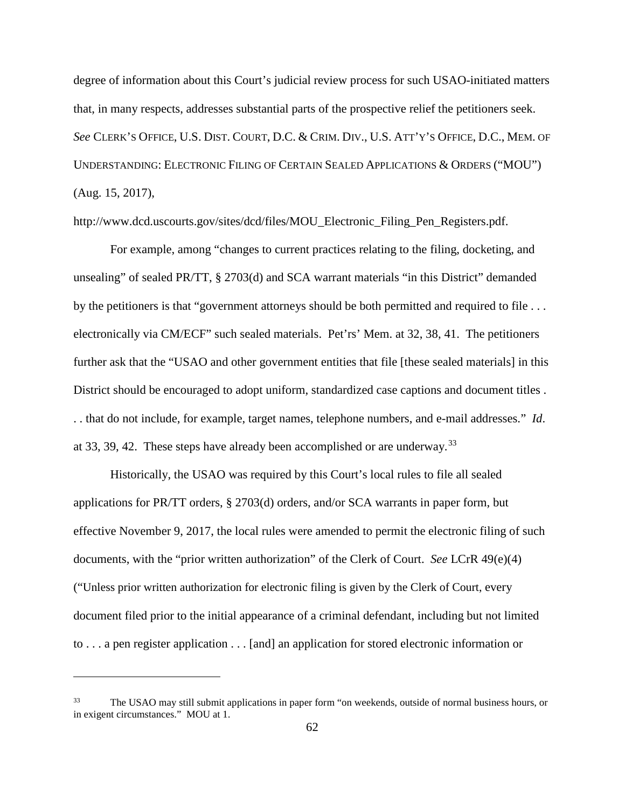degree of information about this Court's judicial review process for such USAO-initiated matters that, in many respects, addresses substantial parts of the prospective relief the petitioners seek. *See* CLERK'S OFFICE, U.S. DIST. COURT, D.C. & CRIM. DIV., U.S. ATT'Y'S OFFICE, D.C., MEM. OF UNDERSTANDING: ELECTRONIC FILING OF CERTAIN SEALED APPLICATIONS & ORDERS ("MOU") (Aug. 15, 2017),

http://www.dcd.uscourts.gov/sites/dcd/files/MOU\_Electronic\_Filing\_Pen\_Registers.pdf.

For example, among "changes to current practices relating to the filing, docketing, and unsealing" of sealed PR/TT, § 2703(d) and SCA warrant materials "in this District" demanded by the petitioners is that "government attorneys should be both permitted and required to file . . . electronically via CM/ECF" such sealed materials. Pet'rs' Mem. at 32, 38, 41. The petitioners further ask that the "USAO and other government entities that file [these sealed materials] in this District should be encouraged to adopt uniform, standardized case captions and document titles . . . that do not include, for example, target names, telephone numbers, and e-mail addresses." *Id*. at [33](#page-61-0), 39, 42. These steps have already been accomplished or are underway.<sup>33</sup>

Historically, the USAO was required by this Court's local rules to file all sealed applications for PR/TT orders, § 2703(d) orders, and/or SCA warrants in paper form, but effective November 9, 2017, the local rules were amended to permit the electronic filing of such documents, with the "prior written authorization" of the Clerk of Court. *See* LCrR 49(e)(4) ("Unless prior written authorization for electronic filing is given by the Clerk of Court, every document filed prior to the initial appearance of a criminal defendant, including but not limited to . . . a pen register application . . . [and] an application for stored electronic information or

<span id="page-61-0"></span>The USAO may still submit applications in paper form "on weekends, outside of normal business hours, or in exigent circumstances." MOU at 1.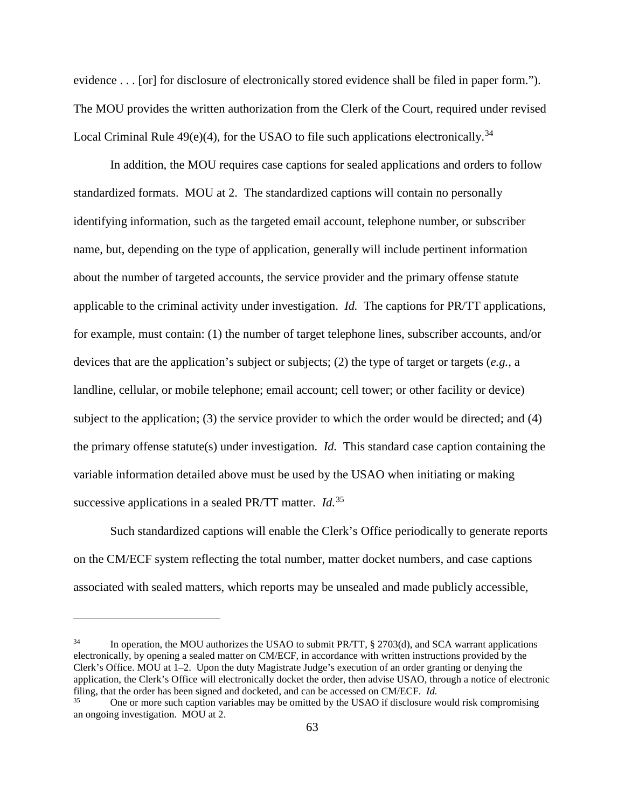evidence . . . [or] for disclosure of electronically stored evidence shall be filed in paper form."). The MOU provides the written authorization from the Clerk of the Court, required under revised Local Criminal Rule  $49(e)(4)$ , for the USAO to file such applications electronically.<sup>[34](#page-62-0)</sup>

In addition, the MOU requires case captions for sealed applications and orders to follow standardized formats. MOU at 2. The standardized captions will contain no personally identifying information, such as the targeted email account, telephone number, or subscriber name, but, depending on the type of application, generally will include pertinent information about the number of targeted accounts, the service provider and the primary offense statute applicable to the criminal activity under investigation. *Id.* The captions for PR/TT applications, for example, must contain: (1) the number of target telephone lines, subscriber accounts, and/or devices that are the application's subject or subjects; (2) the type of target or targets (*e.g.*, a landline, cellular, or mobile telephone; email account; cell tower; or other facility or device) subject to the application; (3) the service provider to which the order would be directed; and (4) the primary offense statute(s) under investigation. *Id.* This standard case caption containing the variable information detailed above must be used by the USAO when initiating or making successive applications in a sealed PR/TT matter. *Id.*[35](#page-62-1)

Such standardized captions will enable the Clerk's Office periodically to generate reports on the CM/ECF system reflecting the total number, matter docket numbers, and case captions associated with sealed matters, which reports may be unsealed and made publicly accessible,

<span id="page-62-0"></span><sup>&</sup>lt;sup>34</sup> In operation, the MOU authorizes the USAO to submit PR/TT, § 2703(d), and SCA warrant applications electronically, by opening a sealed matter on CM/ECF, in accordance with written instructions provided by the Clerk's Office. MOU at 1–2. Upon the duty Magistrate Judge's execution of an order granting or denying the application, the Clerk's Office will electronically docket the order, then advise USAO, through a notice of electronic filing, that the order has been signed and docketed, and can be accessed on CM/ECF. *Id.*

<span id="page-62-1"></span><sup>35</sup> One or more such caption variables may be omitted by the USAO if disclosure would risk compromising an ongoing investigation. MOU at 2.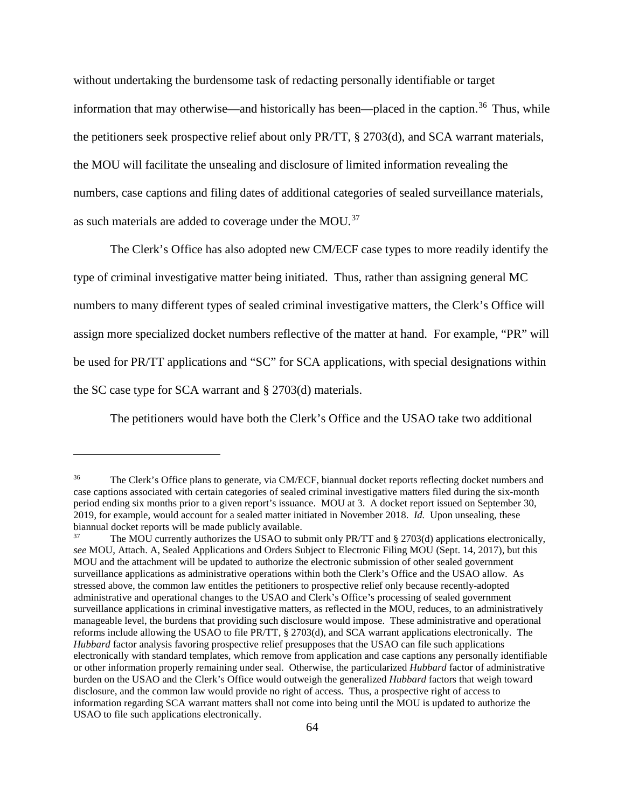without undertaking the burdensome task of redacting personally identifiable or target information that may otherwise—and historically has been—placed in the caption.<sup>[36](#page-63-0)</sup> Thus, while the petitioners seek prospective relief about only PR/TT, § 2703(d), and SCA warrant materials, the MOU will facilitate the unsealing and disclosure of limited information revealing the numbers, case captions and filing dates of additional categories of sealed surveillance materials, as such materials are added to coverage under the MOU.<sup>[37](#page-63-1)</sup>

The Clerk's Office has also adopted new CM/ECF case types to more readily identify the type of criminal investigative matter being initiated. Thus, rather than assigning general MC numbers to many different types of sealed criminal investigative matters, the Clerk's Office will assign more specialized docket numbers reflective of the matter at hand. For example, "PR" will be used for PR/TT applications and "SC" for SCA applications, with special designations within the SC case type for SCA warrant and § 2703(d) materials.

The petitioners would have both the Clerk's Office and the USAO take two additional

<span id="page-63-0"></span><sup>&</sup>lt;sup>36</sup> The Clerk's Office plans to generate, via CM/ECF, biannual docket reports reflecting docket numbers and case captions associated with certain categories of sealed criminal investigative matters filed during the six-month period ending six months prior to a given report's issuance. MOU at 3.A docket report issued on September 30, 2019, for example, would account for a sealed matter initiated in November 2018. *Id.* Upon unsealing, these biannual docket reports will be made publicly available.<br> $^{37}$  The MOU currently authorized the USAO to sul

<span id="page-63-1"></span>The MOU currently authorizes the USAO to submit only PR/TT and § 2703(d) applications electronically, *see* MOU, Attach. A, Sealed Applications and Orders Subject to Electronic Filing MOU (Sept. 14, 2017), but this MOU and the attachment will be updated to authorize the electronic submission of other sealed government surveillance applications as administrative operations within both the Clerk's Office and the USAO allow. As stressed above, the common law entitles the petitioners to prospective relief only because recently-adopted administrative and operational changes to the USAO and Clerk's Office's processing of sealed government surveillance applications in criminal investigative matters, as reflected in the MOU, reduces, to an administratively manageable level, the burdens that providing such disclosure would impose. These administrative and operational reforms include allowing the USAO to file PR/TT, § 2703(d), and SCA warrant applications electronically. The *Hubbard* factor analysis favoring prospective relief presupposes that the USAO can file such applications electronically with standard templates, which remove from application and case captions any personally identifiable or other information properly remaining under seal. Otherwise, the particularized *Hubbard* factor of administrative burden on the USAO and the Clerk's Office would outweigh the generalized *Hubbard* factors that weigh toward disclosure, and the common law would provide no right of access. Thus, a prospective right of access to information regarding SCA warrant matters shall not come into being until the MOU is updated to authorize the USAO to file such applications electronically.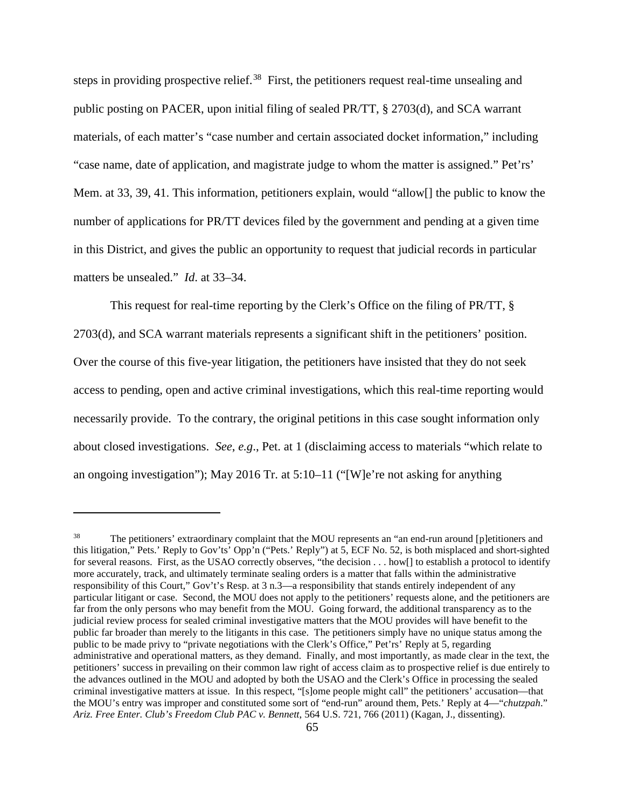steps in providing prospective relief.<sup>[38](#page-64-0)</sup> First, the petitioners request real-time unsealing and public posting on PACER, upon initial filing of sealed PR/TT, § 2703(d), and SCA warrant materials, of each matter's "case number and certain associated docket information," including "case name, date of application, and magistrate judge to whom the matter is assigned." Pet'rs' Mem. at 33, 39, 41. This information, petitioners explain, would "allow[] the public to know the number of applications for PR/TT devices filed by the government and pending at a given time in this District, and gives the public an opportunity to request that judicial records in particular matters be unsealed." *Id*. at 33–34.

This request for real-time reporting by the Clerk's Office on the filing of PR/TT, § 2703(d), and SCA warrant materials represents a significant shift in the petitioners' position. Over the course of this five-year litigation, the petitioners have insisted that they do not seek access to pending, open and active criminal investigations, which this real-time reporting would necessarily provide. To the contrary, the original petitions in this case sought information only about closed investigations. *See*, *e.g*., Pet. at 1 (disclaiming access to materials "which relate to an ongoing investigation"); May 2016 Tr. at 5:10–11 ("[W]e're not asking for anything

<span id="page-64-0"></span><sup>&</sup>lt;sup>38</sup> The petitioners' extraordinary complaint that the MOU represents an "an end-run around [p]etitioners and this litigation," Pets.' Reply to Gov'ts' Opp'n ("Pets.' Reply") at 5, ECF No. 52, is both misplaced and short-sighted for several reasons. First, as the USAO correctly observes, "the decision . . . how[] to establish a protocol to identify more accurately, track, and ultimately terminate sealing orders is a matter that falls within the administrative responsibility of this Court," Gov't's Resp. at 3 n.3—a responsibility that stands entirely independent of any particular litigant or case. Second, the MOU does not apply to the petitioners' requests alone, and the petitioners are far from the only persons who may benefit from the MOU. Going forward, the additional transparency as to the judicial review process for sealed criminal investigative matters that the MOU provides will have benefit to the public far broader than merely to the litigants in this case. The petitioners simply have no unique status among the public to be made privy to "private negotiations with the Clerk's Office," Pet'rs' Reply at 5, regarding administrative and operational matters, as they demand. Finally, and most importantly, as made clear in the text, the petitioners' success in prevailing on their common law right of access claim as to prospective relief is due entirely to the advances outlined in the MOU and adopted by both the USAO and the Clerk's Office in processing the sealed criminal investigative matters at issue. In this respect, "[s]ome people might call" the petitioners' accusation—that the MOU's entry was improper and constituted some sort of "end-run" around them, Pets.' Reply at 4—"*chutzpah*." *Ariz. Free Enter. Club's Freedom Club PAC v. Bennett*, 564 U.S. 721, 766 (2011) (Kagan, J., dissenting).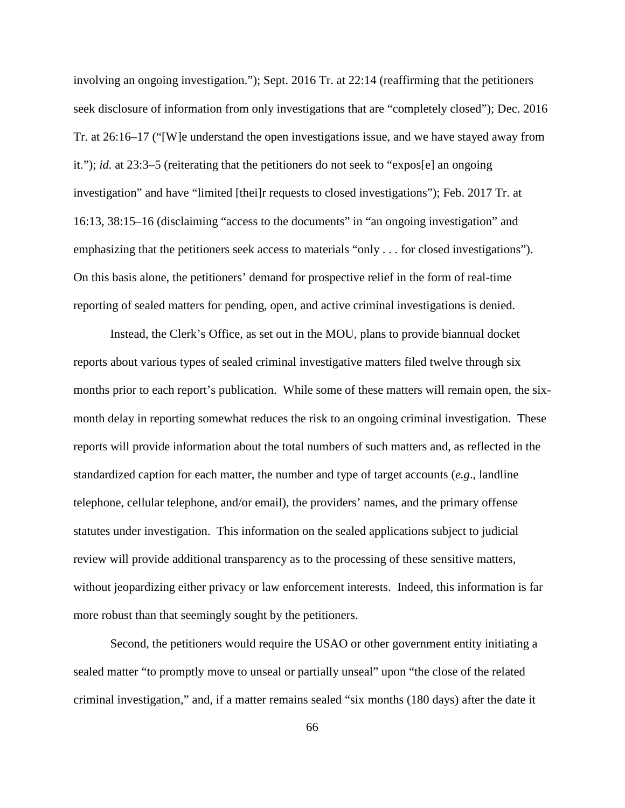involving an ongoing investigation."); Sept. 2016 Tr. at 22:14 (reaffirming that the petitioners seek disclosure of information from only investigations that are "completely closed"); Dec. 2016 Tr. at 26:16–17 ("[W]e understand the open investigations issue, and we have stayed away from it."); *id.* at 23:3–5 (reiterating that the petitioners do not seek to "expos[e] an ongoing investigation" and have "limited [thei]r requests to closed investigations"); Feb. 2017 Tr. at 16:13, 38:15–16 (disclaiming "access to the documents" in "an ongoing investigation" and emphasizing that the petitioners seek access to materials "only . . . for closed investigations"). On this basis alone, the petitioners' demand for prospective relief in the form of real-time reporting of sealed matters for pending, open, and active criminal investigations is denied.

Instead, the Clerk's Office, as set out in the MOU, plans to provide biannual docket reports about various types of sealed criminal investigative matters filed twelve through six months prior to each report's publication. While some of these matters will remain open, the sixmonth delay in reporting somewhat reduces the risk to an ongoing criminal investigation. These reports will provide information about the total numbers of such matters and, as reflected in the standardized caption for each matter, the number and type of target accounts (*e.g*., landline telephone, cellular telephone, and/or email), the providers' names, and the primary offense statutes under investigation. This information on the sealed applications subject to judicial review will provide additional transparency as to the processing of these sensitive matters, without jeopardizing either privacy or law enforcement interests. Indeed, this information is far more robust than that seemingly sought by the petitioners.

Second, the petitioners would require the USAO or other government entity initiating a sealed matter "to promptly move to unseal or partially unseal" upon "the close of the related criminal investigation," and, if a matter remains sealed "six months (180 days) after the date it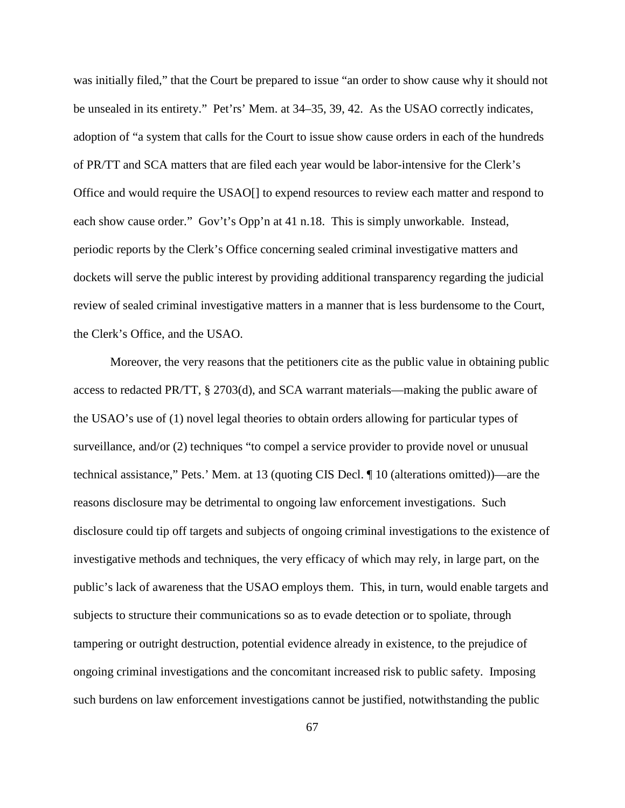was initially filed," that the Court be prepared to issue "an order to show cause why it should not be unsealed in its entirety." Pet'rs' Mem. at 34–35, 39, 42. As the USAO correctly indicates, adoption of "a system that calls for the Court to issue show cause orders in each of the hundreds of PR/TT and SCA matters that are filed each year would be labor-intensive for the Clerk's Office and would require the USAO[] to expend resources to review each matter and respond to each show cause order." Gov't's Opp'n at 41 n.18. This is simply unworkable. Instead, periodic reports by the Clerk's Office concerning sealed criminal investigative matters and dockets will serve the public interest by providing additional transparency regarding the judicial review of sealed criminal investigative matters in a manner that is less burdensome to the Court, the Clerk's Office, and the USAO.

Moreover, the very reasons that the petitioners cite as the public value in obtaining public access to redacted PR/TT, § 2703(d), and SCA warrant materials—making the public aware of the USAO's use of (1) novel legal theories to obtain orders allowing for particular types of surveillance, and/or (2) techniques "to compel a service provider to provide novel or unusual technical assistance," Pets.' Mem. at 13 (quoting CIS Decl. ¶ 10 (alterations omitted))—are the reasons disclosure may be detrimental to ongoing law enforcement investigations. Such disclosure could tip off targets and subjects of ongoing criminal investigations to the existence of investigative methods and techniques, the very efficacy of which may rely, in large part, on the public's lack of awareness that the USAO employs them. This, in turn, would enable targets and subjects to structure their communications so as to evade detection or to spoliate, through tampering or outright destruction, potential evidence already in existence, to the prejudice of ongoing criminal investigations and the concomitant increased risk to public safety. Imposing such burdens on law enforcement investigations cannot be justified, notwithstanding the public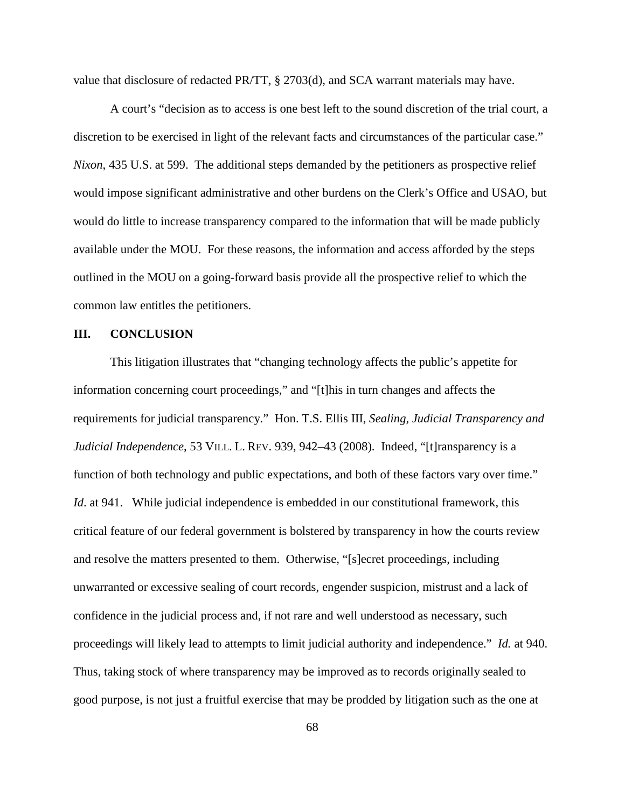value that disclosure of redacted PR/TT, § 2703(d), and SCA warrant materials may have.

A court's "decision as to access is one best left to the sound discretion of the trial court, a discretion to be exercised in light of the relevant facts and circumstances of the particular case." *Nixon*, 435 U.S. at 599. The additional steps demanded by the petitioners as prospective relief would impose significant administrative and other burdens on the Clerk's Office and USAO, but would do little to increase transparency compared to the information that will be made publicly available under the MOU. For these reasons, the information and access afforded by the steps outlined in the MOU on a going-forward basis provide all the prospective relief to which the common law entitles the petitioners.

## **III. CONCLUSION**

This litigation illustrates that "changing technology affects the public's appetite for information concerning court proceedings," and "[t]his in turn changes and affects the requirements for judicial transparency." Hon. T.S. Ellis III, *Sealing, Judicial Transparency and Judicial Independence*, 53 VILL. L. REV. 939, 942–43 (2008). Indeed, "[t]ransparency is a function of both technology and public expectations, and both of these factors vary over time." *Id.* at 941. While judicial independence is embedded in our constitutional framework, this critical feature of our federal government is bolstered by transparency in how the courts review and resolve the matters presented to them. Otherwise, "[s]ecret proceedings, including unwarranted or excessive sealing of court records, engender suspicion, mistrust and a lack of confidence in the judicial process and, if not rare and well understood as necessary, such proceedings will likely lead to attempts to limit judicial authority and independence." *Id.* at 940. Thus, taking stock of where transparency may be improved as to records originally sealed to good purpose, is not just a fruitful exercise that may be prodded by litigation such as the one at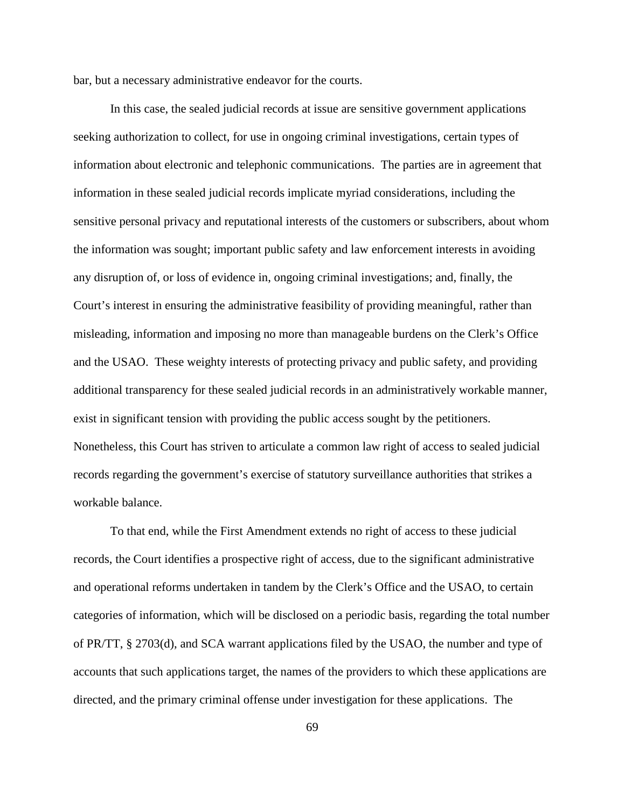bar, but a necessary administrative endeavor for the courts.

In this case, the sealed judicial records at issue are sensitive government applications seeking authorization to collect, for use in ongoing criminal investigations, certain types of information about electronic and telephonic communications. The parties are in agreement that information in these sealed judicial records implicate myriad considerations, including the sensitive personal privacy and reputational interests of the customers or subscribers, about whom the information was sought; important public safety and law enforcement interests in avoiding any disruption of, or loss of evidence in, ongoing criminal investigations; and, finally, the Court's interest in ensuring the administrative feasibility of providing meaningful, rather than misleading, information and imposing no more than manageable burdens on the Clerk's Office and the USAO. These weighty interests of protecting privacy and public safety, and providing additional transparency for these sealed judicial records in an administratively workable manner, exist in significant tension with providing the public access sought by the petitioners. Nonetheless, this Court has striven to articulate a common law right of access to sealed judicial records regarding the government's exercise of statutory surveillance authorities that strikes a workable balance.

To that end, while the First Amendment extends no right of access to these judicial records, the Court identifies a prospective right of access, due to the significant administrative and operational reforms undertaken in tandem by the Clerk's Office and the USAO, to certain categories of information, which will be disclosed on a periodic basis, regarding the total number of PR/TT, § 2703(d), and SCA warrant applications filed by the USAO, the number and type of accounts that such applications target, the names of the providers to which these applications are directed, and the primary criminal offense under investigation for these applications. The